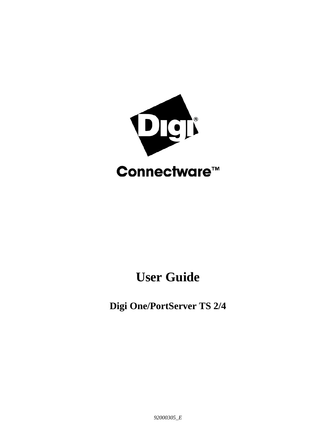

# **User Guide**

**Digi One/PortServer TS 2/4**

*92000305\_E*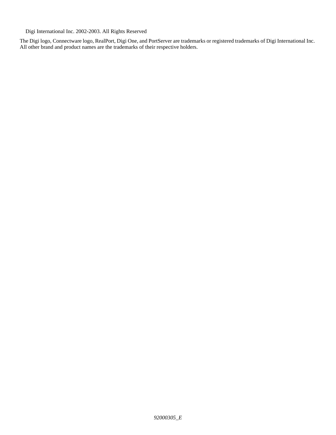Digi International Inc. 2002-2003. All Rights Reserved

The Digi logo, Connectware logo, RealPort, Digi One, and PortServer are trademarks or registered trademarks of Digi International Inc. All other brand and product names are the trademarks of their respective holders.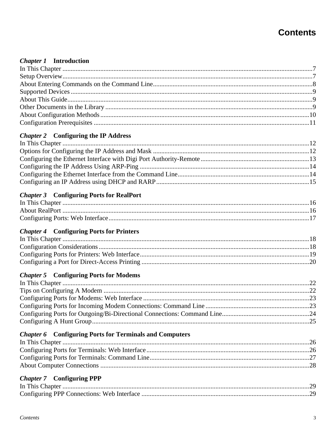# **Contents**

#### **Chapter 1** Introduction

#### **Chapter 2** Configuring the IP Address

#### **Chapter 3** Configuring Ports for RealPort

#### **Chapter 4 Configuring Ports for Printers**

#### **Chapter 5** Configuring Ports for Modems

### **Chapter 6** Configuring Ports for Terminals and Computers

#### **Chapter 7** Configuring PPP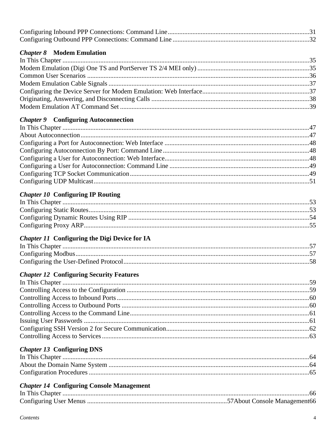#### **Chapter 8** Modem Emulation

#### **Chapter 9 Configuring Autoconnection**

#### **Chapter 10 Configuring IP Routing**

#### **Chapter 11 Configuring the Digi Device for IA**

#### **Chapter 12 Configuring Security Features**

#### **Chapter 13 Configuring DNS**

#### **Chapter 14 Configuring Console Management**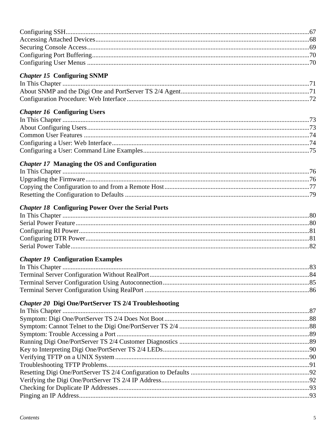#### **Chapter 15 Configuring SNMP**

#### **Chapter 16 Configuring Users**

#### **Chapter 17 Managing the OS and Configuration**

#### **Chapter 18 Configuring Power Over the Serial Ports**

#### **Chapter 19 Configuration Examples**

#### **Chapter 20 Digi One/PortServer TS 2/4 Troubleshooting**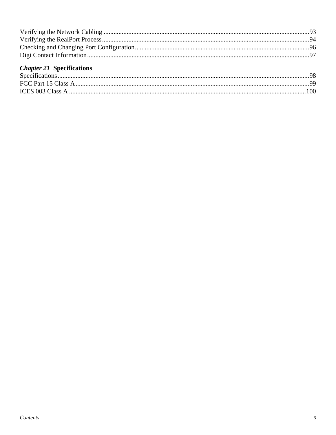# **Chapter 21 Specifications**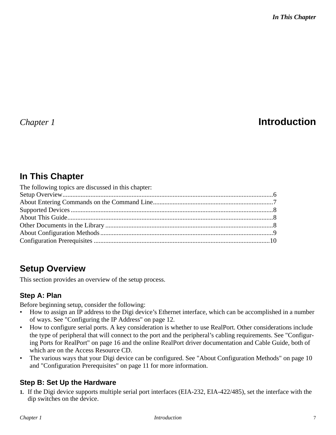# *Chapter 1* **Introduction**

# **In This Chapter**

| The following topics are discussed in this chapter: |  |
|-----------------------------------------------------|--|
|                                                     |  |
|                                                     |  |
|                                                     |  |
|                                                     |  |
|                                                     |  |
|                                                     |  |
|                                                     |  |

# **Setup Overview**

This section provides an overview of the setup process.

### **Step A: Plan**

Before beginning setup, consider the following:

- How to assign an IP address to the Digi device's Ethernet interface, which can be accomplished in a number of ways. See "Configuring the IP Address" on page 12.
- How to configure serial ports. A key consideration is whether to use RealPort. Other considerations include the type of peripheral that will connect to the port and the peripheral's cabling requirements. See "Configuring Ports for RealPort" on page 16 and the online RealPort driver documentation and Cable Guide, both of which are on the Access Resource CD.
- The various ways that your Digi device can be configured. See "About Configuration Methods" on page 10 and "Configuration Prerequisites" on page 11 for more information.

### **Step B: Set Up the Hardware**

**1.** If the Digi device supports multiple serial port interfaces (EIA-232, EIA-422/485), set the interface with the dip switches on the device.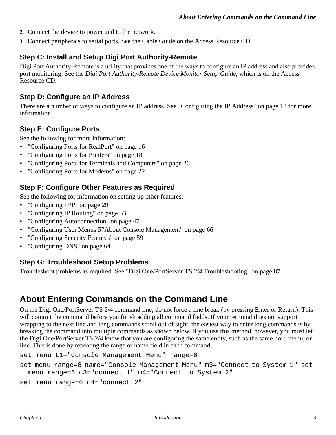- **2.** Connect the device to power and to the network.
- **3.** Connect peripherals to serial ports. See the Cable Guide on the Access Resource CD.

#### **Step C: Install and Setup Digi Port Authority-Remote**

Digi Port Authority-Remote is a utility that provides one of the ways to configure an IP address and also provides port monitoring. See the *Digi Port Authority-Remote Device Monitor Setup Guide*, which is on the Access Resource CD.

#### **Step D: Configure an IP Address**

There are a number of ways to configure an IP address. See "Configuring the IP Address" on page 12 for more information.

#### **Step E: Configure Ports**

See the following for more information:

- "Configuring Ports for RealPort" on page 16
- "Configuring Ports for Printers" on page 18
- "Configuring Ports for Terminals and Computers" on page 26
- "Configuring Ports for Modems" on page 22

#### **Step F: Configure Other Features as Required**

See the following for information on setting up other features:

- "Configuring PPP" on page 29
- "Configuring IP Routing" on page 53
- "Configuring Autoconnection" on page 47
- "Configuring User Menus 57About Console Management" on page 66
- "Configuring Security Features" on page 59
- "Configuring DNS" on page 64

#### **Step G: Troubleshoot Setup Problems**

Troubleshoot problems as required. See "Digi One/PortServer TS 2/4 Troubleshooting" on page 87.

### **About Entering Commands on the Command Line**

On the Digi One/PortServer TS 2/4 command line, do not force a line break (by pressing Enter or Return). This will commit the command before you finish adding all command fields. If your terminal does not support wrapping to the next line and long commands scroll out of sight, the easiest way to enter long commands is by breaking the command into multiple commands as shown below. If you use this method, however, you must let the Digi One/PortServer TS 2/4 know that you are configuring the same entity, such as the same port, menu, or line. This is done by repeating the range or name field in each command.

```
set menu t1="Console Management Menu" range=6
```

```
set menu range=6 name="Console Management Menu" m3="Connect to System 1" set 
 menu range=6 c3="connect 1" m4="Connect to System 2"
```

```
set menu range=6 c4="connect 2"
```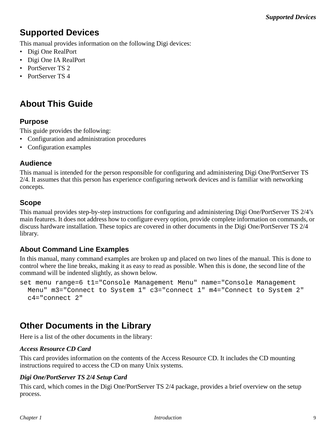# **Supported Devices**

This manual provides information on the following Digi devices:

- Digi One RealPort
- Digi One IA RealPort
- PortServer TS 2
- PortServer TS 4

# **About This Guide**

#### **Purpose**

This guide provides the following:

- Configuration and administration procedures
- Configuration examples

#### **Audience**

This manual is intended for the person responsible for configuring and administering Digi One/PortServer TS 2/4. It assumes that this person has experience configuring network devices and is familiar with networking concepts.

#### **Scope**

This manual provides step-by-step instructions for configuring and administering Digi One/PortServer TS 2/4's main features. It does not address how to configure every option, provide complete information on commands, or discuss hardware installation. These topics are covered in other documents in the Digi One/PortServer TS 2/4 library.

#### **About Command Line Examples**

In this manual, many command examples are broken up and placed on two lines of the manual. This is done to control where the line breaks, making it as easy to read as possible. When this is done, the second line of the command will be indented slightly, as shown below.

set menu range=6 t1="Console Management Menu" name="Console Management Menu" m3="Connect to System 1" c3="connect 1" m4="Connect to System 2"  $c4 = "connect 2"$ 

### **Other Documents in the Library**

Here is a list of the other documents in the library:

#### *Access Resource CD Card*

This card provides information on the contents of the Access Resource CD. It includes the CD mounting instructions required to access the CD on many Unix systems.

#### *Digi One/PortServer TS 2/4 Setup Card*

This card, which comes in the Digi One/PortServer TS 2/4 package, provides a brief overview on the setup process.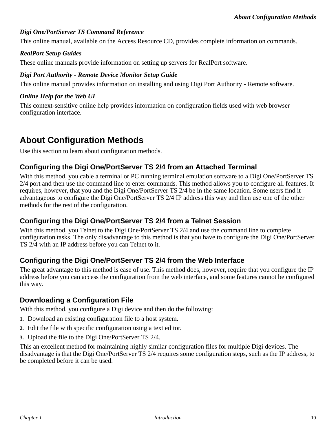#### *Digi One/PortServer TS Command Reference*

This online manual, available on the Access Resource CD, provides complete information on commands.

#### *RealPort Setup Guides*

These online manuals provide information on setting up servers for RealPort software.

#### *Digi Port Authority - Remote Device Monitor Setup Guide*

This online manual provides information on installing and using Digi Port Authority - Remote software.

#### *Online Help for the Web UI*

This context-sensitive online help provides information on configuration fields used with web browser configuration interface.

### **About Configuration Methods**

Use this section to learn about configuration methods.

#### **Configuring the Digi One/PortServer TS 2/4 from an Attached Terminal**

With this method, you cable a terminal or PC running terminal emulation software to a Digi One/PortServer TS 2/4 port and then use the command line to enter commands. This method allows you to configure all features. It requires, however, that you and the Digi One/PortServer TS 2/4 be in the same location. Some users find it advantageous to configure the Digi One/PortServer TS 2/4 IP address this way and then use one of the other methods for the rest of the configuration.

#### **Configuring the Digi One/PortServer TS 2/4 from a Telnet Session**

With this method, you Telnet to the Digi One/PortServer TS 2/4 and use the command line to complete configuration tasks. The only disadvantage to this method is that you have to configure the Digi One/PortServer TS 2/4 with an IP address before you can Telnet to it.

#### **Configuring the Digi One/PortServer TS 2/4 from the Web Interface**

The great advantage to this method is ease of use. This method does, however, require that you configure the IP address before you can access the configuration from the web interface, and some features cannot be configured this way.

#### **Downloading a Configuration File**

With this method, you configure a Digi device and then do the following:

- **1.** Download an existing configuration file to a host system.
- **2.** Edit the file with specific configuration using a text editor.
- **3.** Upload the file to the Digi One/PortServer TS 2/4.

This an excellent method for maintaining highly similar configuration files for multiple Digi devices. The disadvantage is that the Digi One/PortServer TS 2/4 requires some configuration steps, such as the IP address, to be completed before it can be used.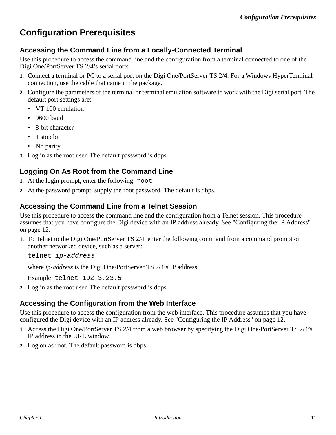# **Configuration Prerequisites**

#### **Accessing the Command Line from a Locally-Connected Terminal**

Use this procedure to access the command line and the configuration from a terminal connected to one of the Digi One/PortServer TS 2/4's serial ports.

- **1.** Connect a terminal or PC to a serial port on the Digi One/PortServer TS 2/4. For a Windows HyperTerminal connection, use the cable that came in the package.
- **2.** Configure the parameters of the terminal or terminal emulation software to work with the Digi serial port. The default port settings are:
	- VT 100 emulation
	- 9600 baud
	- 8-bit character
	- 1 stop bit
	- No parity
- **3.** Log in as the root user. The default password is dbps.

#### **Logging On As Root from the Command Line**

- **1.** At the login prompt, enter the following: root
- **2.** At the password prompt, supply the root password. The default is dbps.

#### **Accessing the Command Line from a Telnet Session**

Use this procedure to access the command line and the configuration from a Telnet session. This procedure assumes that you have configure the Digi device with an IP address already. See "Configuring the IP Address" on page 12.

**1.** To Telnet to the Digi One/PortServer TS 2/4, enter the following command from a command prompt on another networked device, such as a server:

telnet ip-address

where *ip-address* is the Digi One/PortServer TS 2/4's IP address

Example: telnet 192.3.23.5

**2.** Log in as the root user. The default password is dbps.

#### **Accessing the Configuration from the Web Interface**

Use this procedure to access the configuration from the web interface. This procedure assumes that you have configured the Digi device with an IP address already. See "Configuring the IP Address" on page 12.

- **1.** Access the Digi One/PortServer TS 2/4 from a web browser by specifying the Digi One/PortServer TS 2/4's IP address in the URL window.
- **2.** Log on as root. The default password is dbps.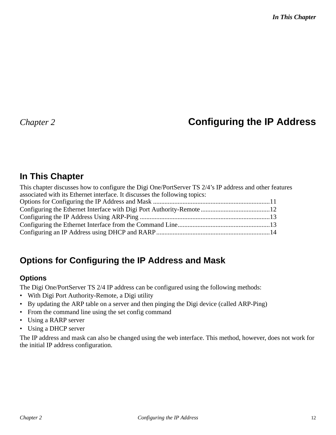# *Chapter 2* **Configuring the IP Address**

# **In This Chapter**

| This chapter discusses how to configure the Digi One/PortServer TS 2/4's IP address and other features |  |
|--------------------------------------------------------------------------------------------------------|--|
| associated with its Ethernet interface. It discusses the following topics:                             |  |
|                                                                                                        |  |
|                                                                                                        |  |
|                                                                                                        |  |
|                                                                                                        |  |
|                                                                                                        |  |

# **Options for Configuring the IP Address and Mask**

### **Options**

The Digi One/PortServer TS 2/4 IP address can be configured using the following methods:

- With Digi Port Authority-Remote, a Digi utility
- By updating the ARP table on a server and then pinging the Digi device (called ARP-Ping)
- From the command line using the set config command
- Using a RARP server
- Using a DHCP server

The IP address and mask can also be changed using the web interface. This method, however, does not work for the initial IP address configuration.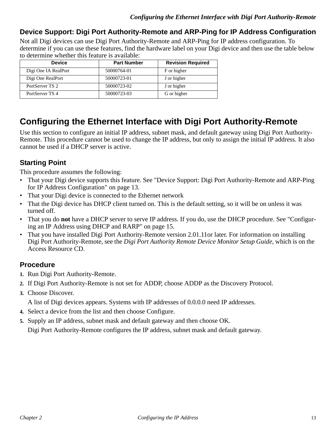#### **Device Support: Digi Port Authority-Remote and ARP-Ping for IP Address Configuration**

Not all Digi devices can use Digi Port Authority-Remote and ARP-Ping for IP address configuration. To determine if you can use these features, find the hardware label on your Digi device and then use the table below to determine whether this feature is available:

| <b>Device</b>        | <b>Part Number</b> | <b>Revision Required</b> |
|----------------------|--------------------|--------------------------|
| Digi One IA RealPort | 50000764-01        | F or higher              |
| Digi One RealPort    | 50000723-01        | J or higher              |
| PortServer TS 2      | 50000723-02        | J or higher              |
| PortServer TS 4      | 50000723-03        | G or higher              |

# **Configuring the Ethernet Interface with Digi Port Authority-Remote**

Use this section to configure an initial IP address, subnet mask, and default gateway using Digi Port Authority-Remote. This procedure cannot be used to change the IP address, but only to assign the initial IP address. It also cannot be used if a DHCP server is active.

### **Starting Point**

This procedure assumes the following:

- That your Digi device supports this feature. See "Device Support: Digi Port Authority-Remote and ARP-Ping for IP Address Configuration" on page 13.
- That your Digi device is connected to the Ethernet network
- That the Digi device has DHCP client turned on. This is the default setting, so it will be on unless it was turned off.
- That you do **not** have a DHCP server to serve IP address. If you do, use the DHCP procedure. See "Configuring an IP Address using DHCP and RARP" on page 15.
- That you have installed Digi Port Authority-Remote version 2.01.11or later. For information on installing Digi Port Authority-Remote, see the *Digi Port Authority Remote Device Monitor Setup Guide*, which is on the Access Resource CD.

#### **Procedure**

- **1.** Run Digi Port Authority-Remote.
- **2.** If Digi Port Authority-Remote is not set for ADDP, choose ADDP as the Discovery Protocol.
- **3.** Choose Discover.

A list of Digi devices appears. Systems with IP addresses of 0.0.0.0 need IP addresses.

- **4.** Select a device from the list and then choose Configure.
- **5.** Supply an IP address, subnet mask and default gateway and then choose OK.

Digi Port Authority-Remote configures the IP address, subnet mask and default gateway.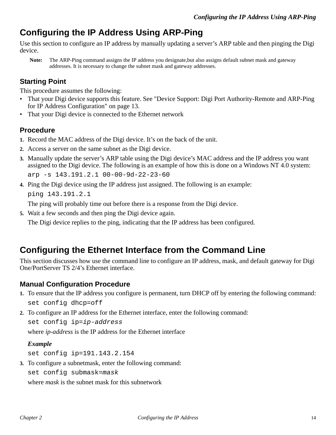# **Configuring the IP Address Using ARP-Ping**

Use this section to configure an IP address by manually updating a server's ARP table and then pinging the Digi device.

**Note:** The ARP-Ping command assigns the IP address you designate,but also assigns default subnet mask and gateway addresses. It is necessary to change the subnet mask and gateway addresses.

#### **Starting Point**

This procedure assumes the following:

- That your Digi device supports this feature. See "Device Support: Digi Port Authority-Remote and ARP-Ping for IP Address Configuration" on page 13.
- That your Digi device is connected to the Ethernet network

#### **Procedure**

- **1.** Record the MAC address of the Digi device. It's on the back of the unit.
- **2.** Access a server on the same subnet as the Digi device.
- **3.** Manually update the server's ARP table using the Digi device's MAC address and the IP address you want assigned to the Digi device. The following is an example of how this is done on a Windows NT 4.0 system: arp -s 143.191.2.1 00-00-9d-22-23-60
- **4.** Ping the Digi device using the IP address just assigned. The following is an example: ping 143.191.2.1

The ping will probably time out before there is a response from the Digi device.

**5.** Wait a few seconds and then ping the Digi device again.

The Digi device replies to the ping, indicating that the IP address has been configured.

# **Configuring the Ethernet Interface from the Command Line**

This section discusses how use the command line to configure an IP address, mask, and default gateway for Digi One/PortServer TS 2/4's Ethernet interface.

#### **Manual Configuration Procedure**

- **1.** To ensure that the IP address you configure is permanent, turn DHCP off by entering the following command: set config dhcp=off
- **2.** To configure an IP address for the Ethernet interface, enter the following command:

set config ip=ip-address

where *ip-address* is the IP address for the Ethernet interface

#### *Example*

set config ip=191.143.2.154

**3.** To configure a subnetmask, enter the following command:

set config submask=mask

where *mask* is the subnet mask for this subnetwork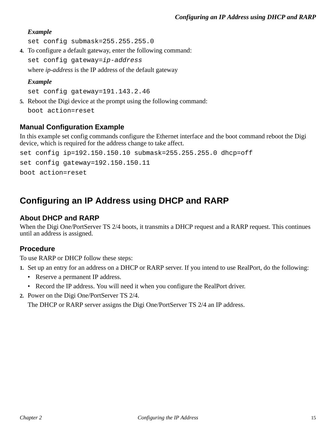#### *Example*

set config submask=255.255.255.0

**4.** To configure a default gateway, enter the following command:

set config gateway=ip-address

where *ip-address* is the IP address of the default gateway

#### *Example*

set config gateway=191.143.2.46

**5.** Reboot the Digi device at the prompt using the following command: boot action=reset

#### **Manual Configuration Example**

In this example set config commands configure the Ethernet interface and the boot command reboot the Digi device, which is required for the address change to take affect.

set config ip=192.150.150.10 submask=255.255.255.0 dhcp=off set config gateway=192.150.150.11 boot action=reset

# **Configuring an IP Address using DHCP and RARP**

#### **About DHCP and RARP**

When the Digi One/PortServer TS 2/4 boots, it transmits a DHCP request and a RARP request. This continues until an address is assigned.

#### **Procedure**

To use RARP or DHCP follow these steps:

**1.** Set up an entry for an address on a DHCP or RARP server. If you intend to use RealPort, do the following:

- Reserve a permanent IP address.
- Record the IP address. You will need it when you configure the RealPort driver.
- **2.** Power on the Digi One/PortServer TS 2/4.

The DHCP or RARP server assigns the Digi One/PortServer TS 2/4 an IP address.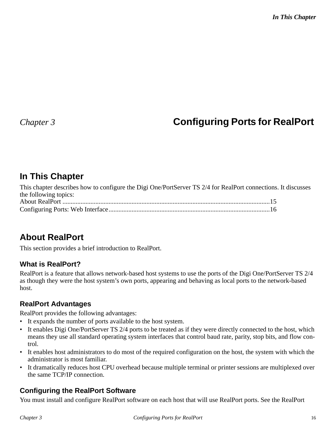# *Chapter 3* **Configuring Ports for RealPort**

# **In This Chapter**

| This chapter describes how to configure the Digi One/PortServer TS 2/4 for RealPort connections. It discusses |  |
|---------------------------------------------------------------------------------------------------------------|--|
| the following topics:                                                                                         |  |
|                                                                                                               |  |
|                                                                                                               |  |

# **About RealPort**

This section provides a brief introduction to RealPort.

#### **What is RealPort?**

RealPort is a feature that allows network-based host systems to use the ports of the Digi One/PortServer TS 2/4 as though they were the host system's own ports, appearing and behaving as local ports to the network-based host.

#### **RealPort Advantages**

RealPort provides the following advantages:

- It expands the number of ports available to the host system.
- It enables Digi One/PortServer TS 2/4 ports to be treated as if they were directly connected to the host, which means they use all standard operating system interfaces that control baud rate, parity, stop bits, and flow control.
- It enables host administrators to do most of the required configuration on the host, the system with which the administrator is most familiar.
- It dramatically reduces host CPU overhead because multiple terminal or printer sessions are multiplexed over the same TCP/IP connection.

### **Configuring the RealPort Software**

You must install and configure RealPort software on each host that will use RealPort ports. See the RealPort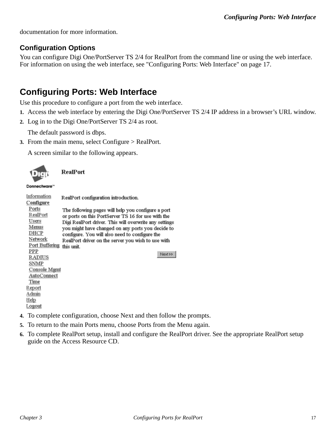documentation for more information.

#### **Configuration Options**

You can configure Digi One/PortServer TS 2/4 for RealPort from the command line or using the web interface. For information on using the web interface, see "Configuring Ports: Web Interface" on page 17.

# **Configuring Ports: Web Interface**

Use this procedure to configure a port from the web interface.

- **1.** Access the web interface by entering the Digi One/PortServer TS 2/4 IP address in a browser's URL window.
- **2.** Log in to the Digi One/PortServer TS 2/4 as root.

The default password is dbps.

**3.** From the main menu, select Configure > RealPort.

A screen similar to the following appears.

| $\sim$ |  |
|--------|--|

**RealPort** 

#### Connectware"

| Information    | RealPort configuration introduction.                   |
|----------------|--------------------------------------------------------|
| Configure      |                                                        |
| Ports          | The following pages will help you configure a port     |
| RealPort       | or ports on this PortServer TS 16 for use with the     |
| Users          | Digi RealPort driver. This will overwrite any settings |
| Menus          | you might have changed on any ports you decide to      |
| DHCP           | configure. You will also need to configure the         |
| Network        | RealPort driver on the server you wish to use with     |
| Port Buffering | this unit.                                             |
| PPP            | Next >>                                                |
| RADIUS         |                                                        |
| SNMP           |                                                        |
| Console Mgmt   |                                                        |
| AutoConnect    |                                                        |
| Time           |                                                        |
| Report         |                                                        |
| Admin          |                                                        |
| Help           |                                                        |
| Logout         |                                                        |
|                |                                                        |

- **4.** To complete configuration, choose Next and then follow the prompts.
- **5.** To return to the main Ports menu, choose Ports from the Menu again.
- **6.** To complete RealPort setup, install and configure the RealPort driver. See the appropriate RealPort setup guide on the Access Resource CD.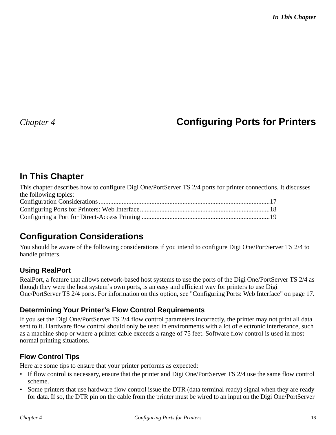# *Chapter 4* **Configuring Ports for Printers**

# **In This Chapter**

| This chapter describes how to configure Digi One/PortServer TS 2/4 ports for printer connections. It discusses |  |
|----------------------------------------------------------------------------------------------------------------|--|
| the following topics:                                                                                          |  |
|                                                                                                                |  |
|                                                                                                                |  |
|                                                                                                                |  |

# **Configuration Considerations**

You should be aware of the following considerations if you intend to configure Digi One/PortServer TS 2/4 to handle printers.

### **Using RealPort**

RealPort, a feature that allows network-based host systems to use the ports of the Digi One/PortServer TS 2/4 as though they were the host system's own ports, is an easy and efficient way for printers to use Digi One/PortServer TS 2/4 ports. For information on this option, see "Configuring Ports: Web Interface" on page 17.

### **Determining Your Printer's Flow Control Requirements**

If you set the Digi One/PortServer TS 2/4 flow control parameters incorrectly, the printer may not print all data sent to it. Hardware flow control should only be used in environments with a lot of electronic interferance, such as a machine shop or where a printer cable exceeds a range of 75 feet. Software flow control is used in most normal printing situations.

### **Flow Control Tips**

Here are some tips to ensure that your printer performs as expected:

- If flow control is necessary, ensure that the printer and Digi One/PortServer TS 2/4 use the same flow control scheme.
- Some printers that use hardware flow control issue the DTR (data terminal ready) signal when they are ready for data. If so, the DTR pin on the cable from the printer must be wired to an input on the Digi One/PortServer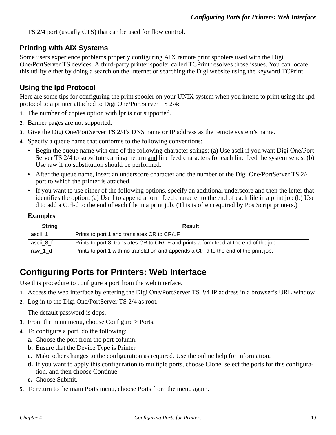TS 2/4 port (usually CTS) that can be used for flow control.

#### **Printing with AIX Systems**

Some users experience problems properly configuring AIX remote print spoolers used with the Digi One/PortServer TS devices. A third-party printer spooler called TCPrint resolves those issues. You can locate this utility either by doing a search on the Internet or searching the Digi website using the keyword TCPrint.

#### **Using the lpd Protocol**

Here are some tips for configuring the print spooler on your UNIX system when you intend to print using the lpd protocol to a printer attached to Digi One/PortServer TS 2/4:

- **1.** The number of copies option with lpr is not supported.
- **2.** Banner pages are not supported.
- **3.** Give the Digi One/PortServer TS 2/4's DNS name or IP address as the remote system's name.
- **4.** Specify a queue name that conforms to the following conventions:
	- Begin the queue name with one of the following character strings: (a) Use ascii if you want Digi One/Port-Server TS 2/4 to substitute carriage return and line feed characters for each line feed the system sends. (b) Use raw if no substitution should be performed.
	- After the queue name, insert an underscore character and the number of the Digi One/PortServer TS 2/4 port to which the printer is attached.
	- If you want to use either of the following options, specify an additional underscore and then the letter that identifies the option: (a) Use f to append a form feed character to the end of each file in a print job (b) Use d to add a Ctrl-d to the end of each file in a print job. (This is often required by PostScript printers.)

#### **Examples**

| <b>String</b> | <b>Result</b>                                                                          |
|---------------|----------------------------------------------------------------------------------------|
| ascii_1       | Prints to port 1 and translates CR to CR/LF.                                           |
| ascii 8 f     | Prints to port 8, translates CR to CR/LF and prints a form feed at the end of the job. |
| raw 1 d       | Prints to port 1 with no translation and appends a Ctrl-d to the end of the print job. |

### **Configuring Ports for Printers: Web Interface**

Use this procedure to configure a port from the web interface.

- **1.** Access the web interface by entering the Digi One/PortServer TS 2/4 IP address in a browser's URL window.
- **2.** Log in to the Digi One/PortServer TS 2/4 as root.

The default password is dbps.

- **3.** From the main menu, choose Configure > Ports.
- **4.** To configure a port, do the following:
	- **a.** Choose the port from the port column.
	- **b.** Ensure that the Device Type is Printer.
	- **c.** Make other changes to the configuration as required. Use the online help for information.
	- **d.** If you want to apply this configuration to multiple ports, choose Clone, select the ports for this configuration, and then choose Continue.
	- **e.** Choose Submit.
- **5.** To return to the main Ports menu, choose Ports from the menu again.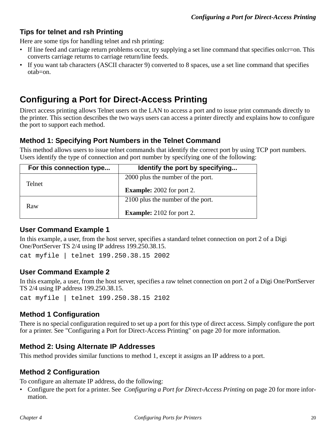#### **Tips for telnet and rsh Printing**

Here are some tips for handling telnet and rsh printing:

- If line feed and carriage return problems occur, try supplying a set line command that specifies onlcr=on. This converts carriage returns to carriage return/line feeds.
- If you want tab characters (ASCII character 9) converted to 8 spaces, use a set line command that specifies otab=on.

# **Configuring a Port for Direct-Access Printing**

Direct access printing allows Telnet users on the LAN to access a port and to issue print commands directly to the printer. This section describes the two ways users can access a printer directly and explains how to configure the port to support each method.

#### **Method 1: Specifying Port Numbers in the Telnet Command**

This method allows users to issue telnet commands that identify the correct port by using TCP port numbers. Users identify the type of connection and port number by specifying one of the following:

| For this connection type | Identify the port by specifying   |
|--------------------------|-----------------------------------|
|                          | 2000 plus the number of the port. |
| Telnet                   | <b>Example:</b> 2002 for port 2.  |
|                          | 2100 plus the number of the port. |
| Raw                      | <b>Example:</b> 2102 for port 2.  |

#### **User Command Example 1**

In this example, a user, from the host server, specifies a standard telnet connection on port 2 of a Digi One/PortServer TS 2/4 using IP address 199.250.38.15.

cat myfile | telnet 199.250.38.15 2002

#### **User Command Example 2**

In this example, a user, from the host server, specifies a raw telnet connection on port 2 of a Digi One/PortServer TS 2/4 using IP address 199.250.38.15.

cat myfile | telnet 199.250.38.15 2102

#### **Method 1 Configuration**

There is no special configuration required to set up a port for this type of direct access. Simply configure the port for a printer. See "Configuring a Port for Direct-Access Printing" on page 20 for more information.

#### **Method 2: Using Alternate IP Addresses**

This method provides similar functions to method 1, except it assigns an IP address to a port.

#### **Method 2 Configuration**

To configure an alternate IP address, do the following:

• Configure the port for a printer. See *Configuring a Port for Direct-Access Printing* on page 20 for more information.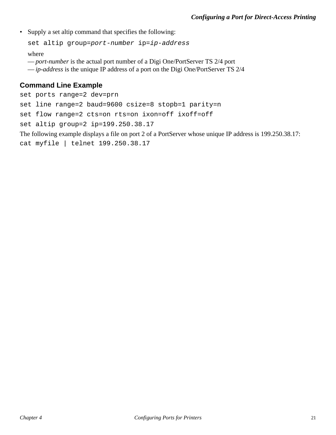• Supply a set altip command that specifies the following:

set altip group=port-number ip=ip-address

where

- *port-number* is the actual port number of a Digi One/PortServer TS 2/4 port
- *ip-address* is the unique IP address of a port on the Digi One/PortServer TS 2/4

#### **Command Line Example**

```
set ports range=2 dev=prn 
set line range=2 baud=9600 csize=8 stopb=1 parity=n 
set flow range=2 cts=on rts=on ixon=off ixoff=off
set altip group=2 ip=199.250.38.17
The following example displays a file on port 2 of a PortServer whose unique IP address is 199.250.38.17:
```
cat myfile | telnet 199.250.38.17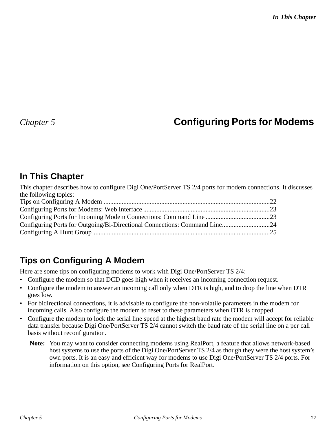# *Chapter 5* **Configuring Ports for Modems**

### **In This Chapter**

This chapter describes how to configure Digi One/PortServer TS 2/4 ports for modem connections. It discusses the following topics: Tips on Configuring A Modem .....................................................................................................22

| Configuring Ports for Outgoing/Bi-Directional Connections: Command Line24 |  |
|---------------------------------------------------------------------------|--|
|                                                                           |  |
|                                                                           |  |

# **Tips on Configuring A Modem**

Here are some tips on configuring modems to work with Digi One/PortServer TS 2/4:

- Configure the modem so that DCD goes high when it receives an incoming connection request.
- Configure the modem to answer an incoming call only when DTR is high, and to drop the line when DTR goes low.
- For bidirectional connections, it is advisable to configure the non-volatile parameters in the modem for incoming calls. Also configure the modem to reset to these parameters when DTR is dropped.
- Configure the modem to lock the serial line speed at the highest baud rate the modem will accept for reliable data transfer because Digi One/PortServer TS 2/4 cannot switch the baud rate of the serial line on a per call basis without reconfiguration.
	- **Note:** You may want to consider connecting modems using RealPort, a feature that allows network-based host systems to use the ports of the Digi One/PortServer TS 2/4 as though they were the host system's own ports. It is an easy and efficient way for modems to use Digi One/PortServer TS 2/4 ports. For information on this option, see Configuring Ports for RealPort.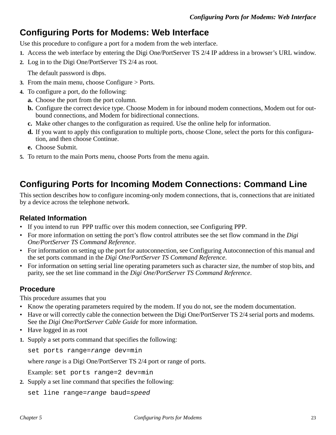### **Configuring Ports for Modems: Web Interface**

Use this procedure to configure a port for a modem from the web interface.

- **1.** Access the web interface by entering the Digi One/PortServer TS 2/4 IP address in a browser's URL window.
- **2.** Log in to the Digi One/PortServer TS 2/4 as root.

The default password is dbps.

- **3.** From the main menu, choose Configure > Ports.
- **4.** To configure a port, do the following:
	- **a.** Choose the port from the port column.
	- **b.** Configure the correct device type. Choose Modem in for inbound modem connections, Modem out for outbound connections, and Modem for bidirectional connections.
	- **c.** Make other changes to the configuration as required. Use the online help for information.
	- **d.** If you want to apply this configuration to multiple ports, choose Clone, select the ports for this configuration, and then choose Continue.
	- **e.** Choose Submit.
- **5.** To return to the main Ports menu, choose Ports from the menu again.

# **Configuring Ports for Incoming Modem Connections: Command Line**

This section describes how to configure incoming-only modem connections, that is, connections that are initiated by a device across the telephone network.

#### **Related Information**

- If you intend to run PPP traffic over this modem connection, see Configuring PPP.
- For more information on setting the port's flow control attributes see the set flow command in the *Digi One/PortServer TS Command Reference*.
- For information on setting up the port for autoconnection, see Configuring Autoconnection of this manual and the set ports command in the *Digi One/PortServer TS Command Reference*.
- For information on setting serial line operating parameters such as character size, the number of stop bits, and parity, see the set line command in the *Digi One/PortServer TS Command Reference*.

#### **Procedure**

This procedure assumes that you

- Know the operating parameters required by the modem. If you do not, see the modem documentation.
- Have or will correctly cable the connection between the Digi One/PortServer TS 2/4 serial ports and modems. See the *Digi One/PortServer Cable Guide* for more information.
- Have logged in as root
- **1.** Supply a set ports command that specifies the following:

set ports range=range dev=min

where *range* is a Digi One/PortServer TS 2/4 port or range of ports.

Example: set ports range=2 dev=min

**2.** Supply a set line command that specifies the following:

```
set line range=range baud=speed
```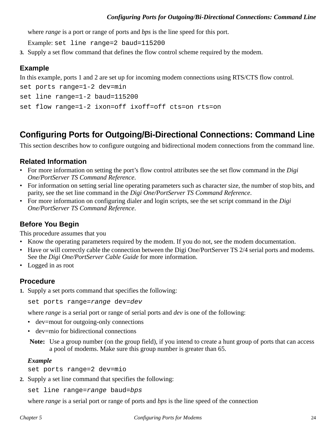where *range* is a port or range of ports and *bps* is the line speed for this port.

Example: set line range=2 baud=115200

**3.** Supply a set flow command that defines the flow control scheme required by the modem.

#### **Example**

In this example, ports 1 and 2 are set up for incoming modem connections using RTS/CTS flow control.

```
set ports range=1-2 dev=min
set line range=1-2 baud=115200
set flow range=1-2 ixon=off ixoff=off cts=on rts=on
```
# **Configuring Ports for Outgoing/Bi-Directional Connections: Command Line**

This section describes how to configure outgoing and bidirectional modem connections from the command line.

#### **Related Information**

- For more information on setting the port's flow control attributes see the set flow command in the *Digi One/PortServer TS Command Reference*.
- For information on setting serial line operating parameters such as character size, the number of stop bits, and parity, see the set line command in the *Digi One/PortServer TS Command Reference*.
- For more information on configuring dialer and login scripts, see the set script command in the *Digi One/PortServer TS Command Reference*.

#### **Before You Begin**

This procedure assumes that you

- Know the operating parameters required by the modem. If you do not, see the modem documentation.
- Have or will correctly cable the connection between the Digi One/PortServer TS 2/4 serial ports and modems. See the *Digi One/PortServer Cable Guide* for more information.
- Logged in as root

#### **Procedure**

**1.** Supply a set ports command that specifies the following:

```
set ports range=range dev=dev
```
where *range* is a serial port or range of serial ports and *dev* is one of the following:

- dev=mout for outgoing-only connections
- dev=mio for bidirectional connections

**Note:** Use a group number (on the group field), if you intend to create a hunt group of ports that can access a pool of modems. Make sure this group number is greater than 65.

#### *Example*

set ports range=2 dev=mio

**2.** Supply a set line command that specifies the following:

```
set line range=range baud=bps
```
where *range* is a serial port or range of ports and *bps* is the line speed of the connection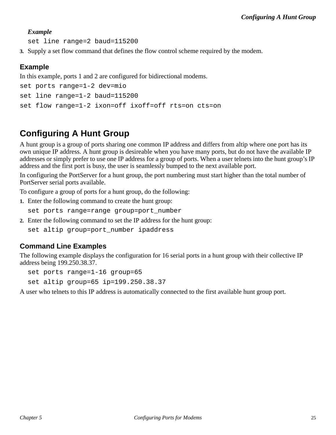#### *Example*

set line range=2 baud=115200

**3.** Supply a set flow command that defines the flow control scheme required by the modem.

#### **Example**

In this example, ports 1 and 2 are configured for bidirectional modems.

```
set ports range=1-2 dev=mio
set line range=1-2 baud=115200
set flow range=1-2 ixon=off ixoff=off rts=on cts=on
```
# **Configuring A Hunt Group**

A hunt group is a group of ports sharing one common IP address and differs from altip where one port has its own unique IP address. A hunt group is desireable when you have many ports, but do not have the available IP addresses or simply prefer to use one IP address for a group of ports. When a user telnets into the hunt group's IP address and the first port is busy, the user is seamlessly bumped to the next available port.

In configuring the PortServer for a hunt group, the port numbering must start higher than the total number of PortServer serial ports available.

To configure a group of ports for a hunt group, do the following:

**1.** Enter the following command to create the hunt group:

set ports range=range group=port\_number

**2.** Enter the following command to set the IP address for the hunt group:

set altip group=port number ipaddress

#### **Command Line Examples**

The following example displays the configuration for 16 serial ports in a hunt group with their collective IP address being 199.250.38.37.

set ports range=1-16 group=65

set altip group=65 ip=199.250.38.37

A user who telnets to this IP address is automatically connected to the first available hunt group port.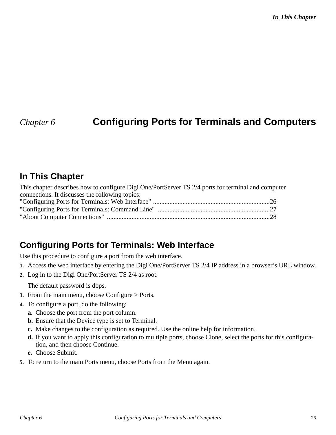# *Chapter 6* **Configuring Ports for Terminals and Computers**

### **In This Chapter**

| This chapter describes how to configure Digi One/PortServer TS 2/4 ports for terminal and computer |  |
|----------------------------------------------------------------------------------------------------|--|
| connections. It discusses the following topics:                                                    |  |
|                                                                                                    |  |
|                                                                                                    |  |
|                                                                                                    |  |

# **Configuring Ports for Terminals: Web Interface**

Use this procedure to configure a port from the web interface.

- **1.** Access the web interface by entering the Digi One/PortServer TS 2/4 IP address in a browser's URL window.
- **2.** Log in to the Digi One/PortServer TS 2/4 as root.

The default password is dbps.

- **3.** From the main menu, choose Configure > Ports.
- **4.** To configure a port, do the following:
	- **a.** Choose the port from the port column.
	- **b.** Ensure that the Device type is set to Terminal.
	- **c.** Make changes to the configuration as required. Use the online help for information.
	- **d.** If you want to apply this configuration to multiple ports, choose Clone, select the ports for this configuration, and then choose Continue.
	- **e.** Choose Submit.
- **5.** To return to the main Ports menu, choose Ports from the Menu again.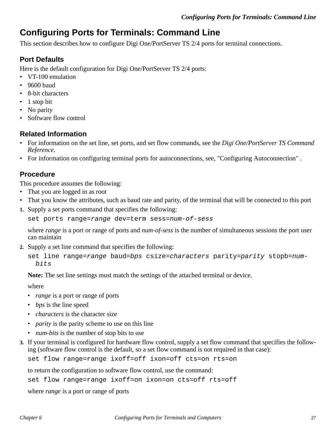# **Configuring Ports for Terminals: Command Line**

This section describes how to configure Digi One/PortServer TS 2/4 ports for terminal connections.

#### **Port Defaults**

Here is the default configuration for Digi One/PortServer TS 2/4 ports:

- VT-100 emulation
- 9600 baud
- 8-bit characters
- 1 stop bit
- No parity
- Software flow control

#### **Related Information**

- For information on the set line, set ports, and set flow commands, see the *Digi One/PortServer TS Command Reference*.
- For information on configuring terminal ports for autoconnections, see, "Configuring Autoconnection" .

#### **Procedure**

This procedure assumes the following:

- That you are logged in as root
- That you know the attributes, such as baud rate and parity, of the terminal that will be connected to this port
- **1.** Supply a set ports command that specifies the following:

set ports range=range dev=term sess=num-of-sess

where *range* is a port or range of ports and *num-of-sess* is the number of simultaneous sessions the port user can maintain

**2.** Supply a set line command that specifies the following:

```
set line range=range baud=bps csize=characters parity=parity stopb=num-
  bits
```
**Note:** The set line settings must match the settings of the attached terminal or device.

where

- *range* is a port or range of ports
- *bps* is the line speed
- *characters* is the character size
- *parity* is the parity scheme to use on this line
- *num-bits* is the number of stop bits to use
- **3.** If your terminal is configured for hardware flow control, supply a set flow command that specifies the following (software flow control is the default, so a set flow command is not required in that case):

set flow range=range ixoff=off ixon=off cts=on rts=on

to return the configuration to software flow control, use the command:

set flow range=range ixoff=on ixon=on cts=off rts=off

where *range* is a port or range of ports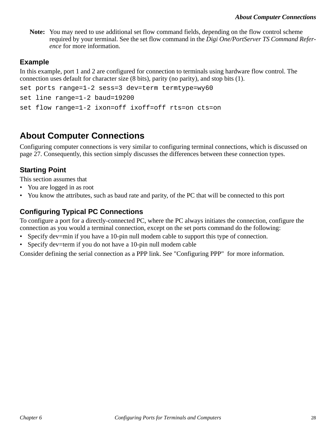**Note:** You may need to use additional set flow command fields, depending on the flow control scheme required by your terminal. See the set flow command in the *Digi One/PortServer TS Command Reference* for more information.

#### **Example**

In this example, port 1 and 2 are configured for connection to terminals using hardware flow control. The connection uses default for character size (8 bits), parity (no parity), and stop bits (1).

```
set ports range=1-2 sess=3 dev=term termtype=wy60
set line range=1-2 baud=19200
set flow range=1-2 ixon=off ixoff=off rts=on cts=on
```
# **About Computer Connections**

Configuring computer connections is very similar to configuring terminal connections, which is discussed on page 27. Consequently, this section simply discusses the differences between these connection types.

### **Starting Point**

This section assumes that

- You are logged in as root
- You know the attributes, such as baud rate and parity, of the PC that will be connected to this port

#### **Configuring Typical PC Connections**

To configure a port for a directly-connected PC, where the PC always initiates the connection, configure the connection as you would a terminal connection, except on the set ports command do the following:

- Specify dev=min if you have a 10-pin null modem cable to support this type of connection.
- Specify dev=term if you do not have a 10-pin null modem cable

Consider defining the serial connection as a PPP link. See "Configuring PPP" for more information.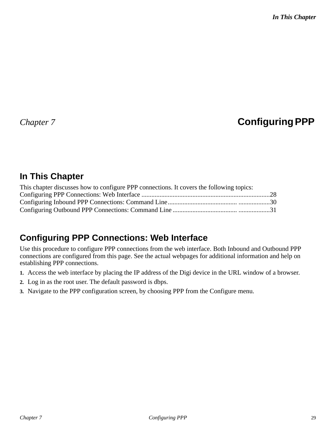# *Chapter 7* **Configuring PPP**

# **In This Chapter**

| This chapter discusses how to configure PPP connections. It covers the following topics: |  |
|------------------------------------------------------------------------------------------|--|
|                                                                                          |  |
|                                                                                          |  |
|                                                                                          |  |

# **Configuring PPP Connections: Web Interface**

Use this procedure to configure PPP connections from the web interface. Both Inbound and Outbound PPP connections are configured from this page. See the actual webpages for additional information and help on establishing PPP connections.

- **1.** Access the web interface by placing the IP address of the Digi device in the URL window of a browser.
- **2.** Log in as the root user. The default password is dbps.
- **3.** Navigate to the PPP configuration screen, by choosing PPP from the Configure menu.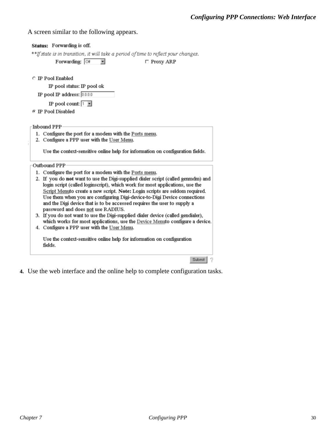A screen similar to the following appears.

| Status: Forwarding is off.                                                                                                                              |
|---------------------------------------------------------------------------------------------------------------------------------------------------------|
| **If state is in transition, it will take a period of time to reflect your changes.                                                                     |
| Forwarding: Off<br>$\Box$ Proxy ARP                                                                                                                     |
|                                                                                                                                                         |
| <b>C</b> IP Pool Enabled                                                                                                                                |
| IP pool status: IP pool ok                                                                                                                              |
| IP pool IP address: $[0.0.0.0]$                                                                                                                         |
| IP pool count: $\boxed{1}$                                                                                                                              |
| <b>E</b> IP Pool Disabled                                                                                                                               |
|                                                                                                                                                         |
| Inbound PPP                                                                                                                                             |
| 1. Configure the port for a modem with the Ports menu.                                                                                                  |
| 2. Configure a PPP user with the User Menu.                                                                                                             |
| Use the context-sensitive online help for information on configuration fields.                                                                          |
|                                                                                                                                                         |
| Outbound PPP                                                                                                                                            |
| 1. Configure the port for a modem with the Ports menu.                                                                                                  |
| 2. If you do not want to use the Digi-supplied dialer script (called genmdm) and                                                                        |
| login script (called loginscript), which work for most applications, use the                                                                            |
| Script Menuto create a new script. Note: Login scripts are seldom required.<br>Use them when you are configuring Digi-device-to-Digi Device connections |
| and the Digi device that is to be accessed requires the user to supply a                                                                                |
| password and does not use RADIUS.                                                                                                                       |
| 3. If you do not want to use the Digi-supplied dialer device (called gendialer),                                                                        |
| which works for most applications, use the Device Menuto configure a device.                                                                            |
| 4. Configure a PPP user with the User Menu.                                                                                                             |
| Use the context-sensitive online help for information on configuration                                                                                  |
| fields.                                                                                                                                                 |
|                                                                                                                                                         |
| Submit                                                                                                                                                  |

**4.** Use the web interface and the online help to complete configuration tasks.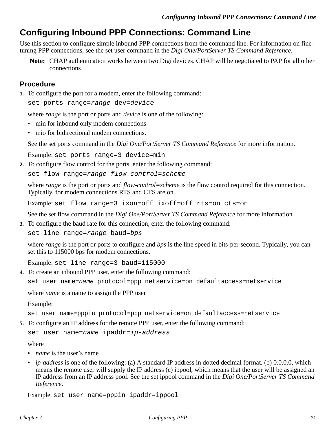# **Configuring Inbound PPP Connections: Command Line**

Use this section to configure simple inbound PPP connections from the command line. For information on finetuning PPP connections, see the set user command in the *Digi One/PortServer TS Command Reference*.

**Note:** CHAP authentication works between two Digi devices. CHAP will be negotiated to PAP for all other connections

#### **Procedure**

**1.** To configure the port for a modem, enter the following command:

set ports range=range dev=device

where *range* is the port or ports and *device* is one of the following:

- min for inbound only modem connections
- mio for bidirectional modem connections.

See the set ports command in the *Digi One/PortServer TS Command Reference* for more information.

Example: set ports range=3 device=min

**2.** To configure flow control for the ports, enter the following command:

set flow range=range flow-control=scheme

where *range* is the port or ports and *flow-control=scheme* is the flow control required for this connection. Typically, for modem connections RTS and CTS are on.

Example: set flow range=3 ixon=off ixoff=off rts=on cts=on

See the set flow command in the *Digi One/PortServer TS Command Reference* for more information.

**3.** To configure the baud rate for this connection, enter the following command:

set line range=range baud=bps

where *range* is the port or ports to configure and *bps* is the line speed in bits-per-second. Typically, you can set this to 115000 bps for modem connections.

Example: set line range=3 baud=115000

**4.** To create an inbound PPP user, enter the following command:

set user name=name protocol=ppp netservice=on defaultaccess=netservice

where *name* is a name to assign the PPP user

Example:

set user name=pppin protocol=ppp netservice=on defaultaccess=netservice

**5.** To configure an IP address for the remote PPP user, enter the following command:

set user name=name ipaddr=ip-address

where

- *name* is the user's name
- *ip-address* is one of the following: (a) A standard IP address in dotted decimal format. (b) 0.0.0.0, which means the remote user will supply the IP address (c) ippool, which means that the user will be assigned an IP address from an IP address pool. See the set ippool command in the *Digi One/PortServer TS Command Reference*.

Example: set user name=pppin ipaddr=ippool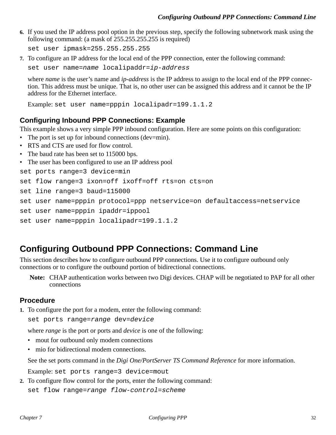**6.** If you used the IP address pool option in the previous step, specify the following subnetwork mask using the following command: (a mask of 255.255.255.255 is required)

set user ipmask=255.255.255.255

**7.** To configure an IP address for the local end of the PPP connection, enter the following command:

set user name=name localipaddr=ip-address

where *name* is the user's name and *ip-address* is the IP address to assign to the local end of the PPP connection. This address must be unique. That is, no other user can be assigned this address and it cannot be the IP address for the Ethernet interface.

```
Example: set user name=pppin localipadr=199.1.1.2
```
#### **Configuring Inbound PPP Connections: Example**

This example shows a very simple PPP inbound configuration. Here are some points on this configuration:

- The port is set up for inbound connections (dev=min).
- RTS and CTS are used for flow control.
- The baud rate has been set to 115000 bps.
- The user has been configured to use an IP address pool

```
set ports range=3 device=min
```

```
set flow range=3 ixon=off ixoff=off rts=on cts=on
```

```
set line range=3 baud=115000
```

```
set user name=pppin protocol=ppp netservice=on defaultaccess=netservice
```

```
set user name=pppin ipaddr=ippool
```

```
set user name=pppin localipadr=199.1.1.2
```
### **Configuring Outbound PPP Connections: Command Line**

This section describes how to configure outbound PPP connections. Use it to configure outbound only connections or to configure the outbound portion of bidirectional connections.

**Note:** CHAP authentication works between two Digi devices. CHAP will be negotiated to PAP for all other connections

#### **Procedure**

**1.** To configure the port for a modem, enter the following command:

```
set ports range=range dev=device
```
where *range* is the port or ports and *device* is one of the following:

- mout for outbound only modem connections
- mio for bidirectional modem connections.

See the set ports command in the *Digi One/PortServer TS Command Reference* for more information.

Example: set ports range=3 device=mout

**2.** To configure flow control for the ports, enter the following command:

set flow range=range flow-control=scheme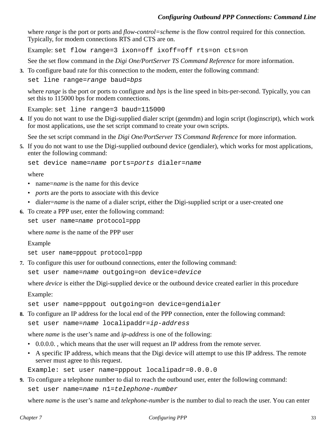where *range* is the port or ports and *flow-control=scheme* is the flow control required for this connection. Typically, for modem connections RTS and CTS are on.

Example: set flow range=3 ixon=off ixoff=off rts=on cts=on

See the set flow command in the *Digi One/PortServer TS Command Reference* for more information.

**3.** To configure baud rate for this connection to the modem, enter the following command:

```
set line range=range baud=bps
```
where *range* is the port or ports to configure and *bps* is the line speed in bits-per-second. Typically, you can set this to 115000 bps for modem connections.

Example: set line range=3 baud=115000

**4.** If you do not want to use the Digi-supplied dialer script (genmdm) and login script (loginscript), which work for most applications, use the set script command to create your own scripts.

See the set script command in the *Digi One/PortServer TS Command Reference* for more information.

**5.** If you do not want to use the Digi-supplied outbound device (gendialer), which works for most applications, enter the following command:

```
set device name=name ports=ports dialer=name
```
where

- name*=name* is the name for this device
- *ports* are the ports to associate with this device
- dialer=*name* is the name of a dialer script, either the Digi-supplied script or a user-created one

**6.** To create a PPP user, enter the following command:

set user name=name protocol=ppp

where *name* is the name of the PPP user

Example

set user name=pppout protocol=ppp

**7.** To configure this user for outbound connections, enter the following command:

set user name=name outgoing=on device=device

where *device* is either the Digi-supplied device or the outbound device created earlier in this procedure

Example:

set user name=pppout outgoing=on device=gendialer

**8.** To configure an IP address for the local end of the PPP connection, enter the following command: set user name=name localipaddr=ip-address

where *name* is the user's name and *ip-address* is one of the following:

- 0.0.0.0., which means that the user will request an IP address from the remote server.
- A specific IP address, which means that the Digi device will attempt to use this IP address. The remote server must agree to this request.

Example: set user name=pppout localipadr=0.0.0.0

**9.** To configure a telephone number to dial to reach the outbound user, enter the following command: set user name=name n1=telephone-number

where *name* is the user's name and *telephone-number* is the number to dial to reach the user. You can enter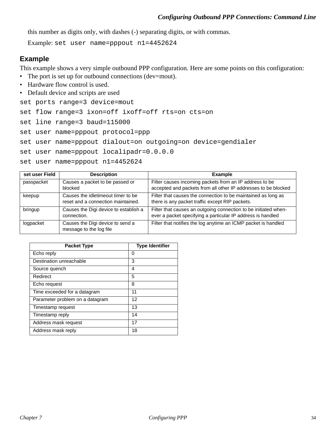this number as digits only, with dashes (-) separating digits, or with commas.

Example: set user name=pppout n1=4452624

#### **Example**

This example shows a very simple outbound PPP configuration. Here are some points on this configuration:

- The port is set up for outbound connections (dev=mout).
- Hardware flow control is used.
- Default device and scripts are used

set ports range=3 device=mout

set flow range=3 ixon=off ixoff=off rts=on cts=on

set line range=3 baud=115000

set user name=pppout protocol=ppp

```
set user name=pppout dialout=on outgoing=on device=gendialer
```
set user name=pppout localipadr=0.0.0.0

set user name=pppout n1=4452624

| set user Field | <b>Description</b>                                                       | <b>Example</b>                                                                                                                 |
|----------------|--------------------------------------------------------------------------|--------------------------------------------------------------------------------------------------------------------------------|
| passpacket     | Causes a packet to be passed or<br>blocked                               | Filter causes incoming packets from an IP address to be<br>accepted and packets from all other IP addresses to be blocked      |
| keepup         | Causes the idletimeout timer to be<br>reset and a connection maintained. | Filter that causes the connection to be maintained as long as<br>there is any packet traffic except RIP packets.               |
| bringup        | Causes the Digi device to establish a<br>connection.                     | Filter that causes an outgoing connection to be initiated when-<br>ever a packet specifying a particular IP address is handled |
| logpacket      | Causes the Digi device to send a<br>message to the log file              | Filter that notifies the log anytime an ICMP packet is handled                                                                 |

| <b>Packet Type</b>              | <b>Type Identifier</b> |
|---------------------------------|------------------------|
| Echo reply                      | 0                      |
| Destination unreachable         | 3                      |
| Source quench                   | 4                      |
| Redirect                        | 5                      |
| Echo request                    | 8                      |
| Time exceeded for a datagram    | 11                     |
| Parameter problem on a datagram | 12                     |
| Timestamp request               | 13                     |
| Timestamp reply                 | 14                     |
| Address mask request            | 17                     |
| Address mask reply              | 18                     |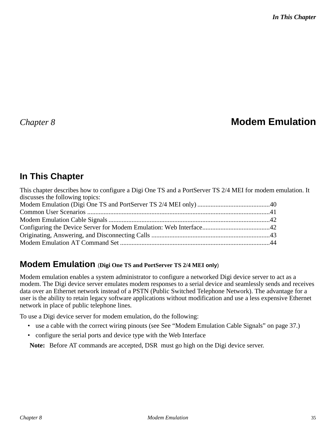# *Chapter 8* **Modem Emulation**

# **In This Chapter**

| This chapter describes how to configure a Digi One TS and a PortServer TS 2/4 MEI for modem emulation. It |  |
|-----------------------------------------------------------------------------------------------------------|--|
| discusses the following topics:                                                                           |  |
|                                                                                                           |  |
|                                                                                                           |  |
|                                                                                                           |  |
|                                                                                                           |  |
|                                                                                                           |  |
|                                                                                                           |  |

### **Modem Emulation** (**Digi One TS and PortServer TS 2/4 MEI only**)

Modem emulation enables a system administrator to configure a networked Digi device server to act as a modem. The Digi device server emulates modem responses to a serial device and seamlessly sends and receives data over an Ethernet network instead of a PSTN (Public Switched Telephone Network). The advantage for a user is the ability to retain legacy software applications without modification and use a less expensive Ethernet network in place of public telephone lines.

To use a Digi device server for modem emulation, do the following:

- use a cable with the correct wiring pinouts (see See "Modem Emulation Cable Signals" on page 37.)
- configure the serial ports and device type with the Web Interface

**Note:** Before AT commands are accepted, DSR must go high on the Digi device server.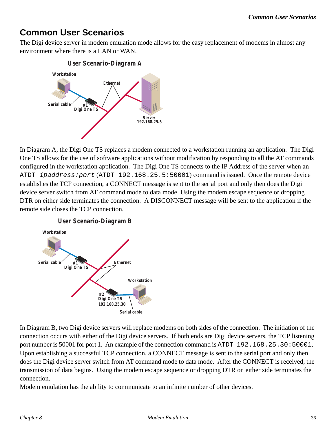# **Common User Scenarios**

The Digi device server in modem emulation mode allows for the easy replacement of modems in almost any environment where there is a LAN or WAN.



In Diagram A, the Digi One TS replaces a modem connected to a workstation running an application. The Digi One TS allows for the use of software applications without modification by responding to all the AT commands configured in the workstation application. The Digi One TS connects to the IP Address of the server when an ATDT ipaddress:port (ATDT 192.168.25.5:50001) command is issued. Once the remote device establishes the TCP connection, a CONNECT message is sent to the serial port and only then does the Digi device server switch from AT command mode to data mode. Using the modem escape sequence or dropping DTR on either side terminates the connection. A DISCONNECT message will be sent to the application if the remote side closes the TCP connection.



In Diagram B, two Digi device servers will replace modems on both sides of the connection. The initiation of the connection occurs with either of the Digi device servers. If both ends are Digi device servers, the TCP listening port number is 50001 for port 1. An example of the connection command is ATDT 192.168.25.30:50001. Upon establishing a successful TCP connection, a CONNECT message is sent to the serial port and only then does the Digi device server switch from AT command mode to data mode. After the CONNECT is received, the transmission of data begins. Using the modem escape sequence or dropping DTR on either side terminates the connection.

Modem emulation has the ability to communicate to an infinite number of other devices.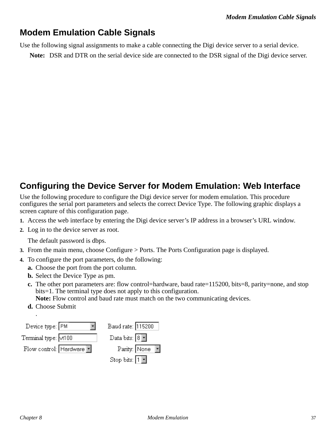# **Modem Emulation Cable Signals**

Use the following signal assignments to make a cable connecting the Digi device server to a serial device.

**Note:** DSR and DTR on the serial device side are connected to the DSR signal of the Digi device server.

# **Configuring the Device Server for Modem Emulation: Web Interface**

Use the following procedure to configure the Digi device server for modem emulation. This procedure configures the serial port parameters and selects the correct Device Type. The following graphic displays a screen capture of this configuration page.

- **1.** Access the web interface by entering the Digi device server's IP address in a browser's URL window.
- **2.** Log in to the device server as root.

The default password is dbps.

- **3.** From the main menu, choose Configure > Ports. The Ports Configuration page is displayed.
- **4.** To configure the port parameters, do the following:
	- **a.** Choose the port from the port column.
	- **b.** Select the Device Type as pm.
	- **c.** The other port parameters are: flow control=hardware, baud rate=115200, bits=8, parity=none, and stop bits=1. The terminal type does not apply to this configuration.
		- **Note:** Flow control and baud rate must match on the two communicating devices.
	- **d.** Choose Submit .

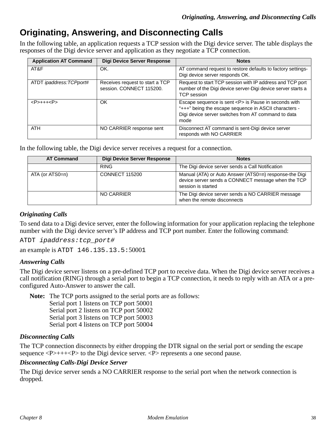# **Originating, Answering, and Disconnecting Calls**

In the following table, an application requests a TCP session with the Digi device server. The table displays the responses of the Digi device server and application as they negotiate a TCP connection.

| <b>Application AT Command</b> | <b>Digi Device Server Response</b>                          | <b>Notes</b>                                                                                                                                                                        |
|-------------------------------|-------------------------------------------------------------|-------------------------------------------------------------------------------------------------------------------------------------------------------------------------------------|
| AT&F                          | OK.                                                         | AT command request to restore defaults to factory settings-<br>Digi device server responds OK.                                                                                      |
| ATDT ipaddress: TCPport#      | Receives request to start a TCP<br>session. CONNECT 115200. | Request to start TCP session with IP address and TCP port<br>number of the Digi device server-Digi device server starts a<br><b>TCP</b> session                                     |
| $<$ P>+++ $<$ P>              | OK                                                          | Escape sequence is sent <p> is Pause in seconds with<br/>"+++" being the escape sequence in ASCII characters -<br/>Digi device server switches from AT command to data<br/>mode</p> |
| <b>ATH</b>                    | NO CARRIER response sent                                    | Disconnect AT command is sent-Digi device server<br>responds with NO CARRIER                                                                                                        |

In the following table, the Digi device server receives a request for a connection.

| <b>AT Command</b> | <b>Digi Device Server Response</b> | <b>Notes</b>                                                                                                                       |
|-------------------|------------------------------------|------------------------------------------------------------------------------------------------------------------------------------|
|                   | <b>RING</b>                        | The Digi device server sends a Call Notification                                                                                   |
| ATA (or ATS0=n)   | <b>CONNECT 115200</b>              | Manual (ATA) or Auto Answer (ATS0=n) response-the Digi<br>device server sends a CONNECT message when the TCP<br>session is started |
|                   | NO CARRIER                         | The Digi device server sends a NO CARRIER message<br>when the remote disconnects                                                   |

#### *Originating Calls*

To send data to a Digi device server, enter the following information for your application replacing the telephone number with the Digi device server's IP address and TCP port number. Enter the following command:

ATDT ipaddress:tcp\_port#

an example is ATDT 146.135.13.5:50001

#### *Answering Calls*

The Digi device server listens on a pre-defined TCP port to receive data. When the Digi device server receives a call notification (RING) through a serial port to begin a TCP connection, it needs to reply with an ATA or a preconfigured Auto-Answer to answer the call.

**Note:** The TCP ports assigned to the serial ports are as follows: Serial port 1 listens on TCP port 50001 Serial port 2 listens on TCP port 50002 Serial port 3 listens on TCP port 50003

Serial port 4 listens on TCP port 50004

#### *Disconnecting Calls*

The TCP connection disconnects by either dropping the DTR signal on the serial port or sending the escape sequence  $\langle P \rangle$ +++ $\langle P \rangle$  to the Digi device server.  $\langle P \rangle$  represents a one second pause.

#### *Disconnecting Calls-Digi Device Server*

The Digi device server sends a NO CARRIER response to the serial port when the network connection is dropped.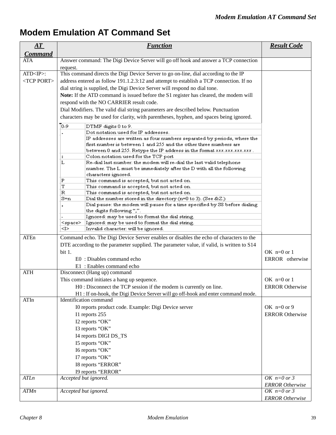# **Modem Emulation AT Command Set**

| AT                                   | <b>Function</b>                                                                                                                                                                                                                                                                                                                                                                                                                                                                                                                                                                   | <b>Result Code</b>                      |
|--------------------------------------|-----------------------------------------------------------------------------------------------------------------------------------------------------------------------------------------------------------------------------------------------------------------------------------------------------------------------------------------------------------------------------------------------------------------------------------------------------------------------------------------------------------------------------------------------------------------------------------|-----------------------------------------|
| <b>Command</b>                       |                                                                                                                                                                                                                                                                                                                                                                                                                                                                                                                                                                                   |                                         |
| ATA                                  | Answer command: The Digi Device Server will go off hook and answer a TCP connection<br>request.                                                                                                                                                                                                                                                                                                                                                                                                                                                                                   |                                         |
| $ATD < IP>$ :<br><tcp port=""></tcp> | This command directs the Digi Device Server to go on-line, dial according to the IP<br>address entered as follow 191.1.2.3:12 and attempt to establish a TCP connection. If no<br>dial string is supplied, the Digi Device Server will respond no dial tone.<br>Note: If the ATD command is issued before the S1 register has cleared, the modem will<br>respond with the NO CARRIER result code.<br>Dial Modifiers. The valid dial string parameters are described below. Punctuation<br>characters may be used for clarity, with parentheses, hyphen, and spaces being ignored. |                                         |
|                                      | To-9<br>DTMF digits 0 to 9.<br>Dot notation used for IP addresses.<br>IP addresses are written as four numbers separated by periods, where the<br>first number is between 1 and 255 and the other three numbers are                                                                                                                                                                                                                                                                                                                                                               |                                         |
|                                      | between 0 and 255. Retype the IP address in the format xxx.xxx.xxx.xxx.<br>Colon notation used for the TCP port<br>٠<br>L<br>Re-dial last number: the modem will re-dial the last valid telephone<br>number. The L must be immediately after the D with all the following<br>characters ignored.                                                                                                                                                                                                                                                                                  |                                         |
|                                      | P<br>This command is accepted, but not acted on.<br>т<br>This command is accepted, but not acted on.<br>R<br>This command is accepted, but not acted on.<br>$S=n$<br>Dial the number stored in the directory (n=0 to 3). (See & Z.)                                                                                                                                                                                                                                                                                                                                               |                                         |
|                                      | Dial pause: the modem will pause for a time specified by S8 before dialing<br>the digits following ",".<br>Ignored: may be used to format the dial string.<br>Ignored: may be used to format the dial string.<br><space></space>                                                                                                                                                                                                                                                                                                                                                  |                                         |
|                                      | <i><br/>Invalid character: will be ignored.</i>                                                                                                                                                                                                                                                                                                                                                                                                                                                                                                                                   |                                         |
| ATEn                                 | Command echo. The Digi Device Server enables or disables the echo of characters to the<br>DTE according to the parameter supplied. The parameter value, if valid, is written to S14<br>bit 1.                                                                                                                                                                                                                                                                                                                                                                                     | OK $n=0$ or 1                           |
|                                      | E0 : Disables command echo                                                                                                                                                                                                                                                                                                                                                                                                                                                                                                                                                        | ERROR otherwise                         |
| <b>ATH</b>                           | E1 : Enables command echo<br>Disconnect (Hang up) command                                                                                                                                                                                                                                                                                                                                                                                                                                                                                                                         |                                         |
|                                      | This command initiates a hang up sequence.<br>H0 : Disconnect the TCP session if the modem is currently on line.<br>H1: If on-hook, the Digi Device Server will go off-hook and enter command mode.                                                                                                                                                                                                                                                                                                                                                                               | OK $n=0$ or 1<br><b>ERROR Otherwise</b> |
| ATIn                                 | Identification command<br>I0 reports product code. Example: Digi Device server<br>I1 reports 255                                                                                                                                                                                                                                                                                                                                                                                                                                                                                  | OK $n=0$ or 9<br><b>ERROR Otherwise</b> |
|                                      | I2 reports "OK"<br>I3 reports "OK"<br>I4 reports DIGI DS_TS<br>I5 reports "OK"                                                                                                                                                                                                                                                                                                                                                                                                                                                                                                    |                                         |
|                                      | I6 reports "OK"<br>I7 reports "OK"<br>I8 reports "ERROR"<br>I9 reports "ERROR"                                                                                                                                                                                                                                                                                                                                                                                                                                                                                                    |                                         |
| ATLn                                 | Accepted but ignored.                                                                                                                                                                                                                                                                                                                                                                                                                                                                                                                                                             | OK $n=0$ or 3                           |
|                                      |                                                                                                                                                                                                                                                                                                                                                                                                                                                                                                                                                                                   | <b>ERROR</b> Otherwise                  |
| ATMn                                 | Accepted but ignored.                                                                                                                                                                                                                                                                                                                                                                                                                                                                                                                                                             | OK $n=0$ or 3<br><b>ERROR Otherwise</b> |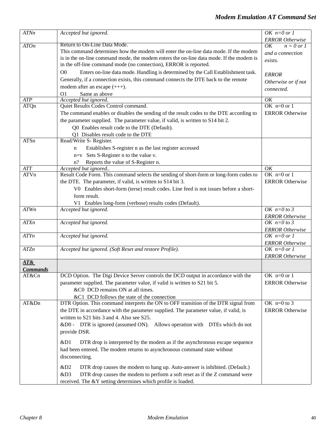| ATNn             | Accepted but ignored.                                                                              | OK $n=0$ or 1                           |
|------------------|----------------------------------------------------------------------------------------------------|-----------------------------------------|
|                  |                                                                                                    | <b>ERROR</b> Otherwise                  |
| <b>ATOn</b>      | Return to On-Line Data Mode.                                                                       | $n = 0$ or 1<br>OK                      |
|                  | This command determines how the modem will enter the on-line data mode. If the modem               | and a connection                        |
|                  | is in the on-line command mode, the modem enters the on-line data mode. If the modem is            | exists.                                 |
|                  | in the off-line command mode (no connection), ERROR is reported.                                   |                                         |
|                  | Enters on-line data mode. Handling is determined by the Call Establishment task.<br>O <sub>0</sub> | <b>ERROR</b>                            |
|                  | Generally, if a connection exists, this command connects the DTE back to the remote                | Otherwise or if not                     |
|                  | modem after an escape $(++)$ .                                                                     | connected.                              |
|                  | O <sub>1</sub><br>Same as above                                                                    |                                         |
| $\overline{ATP}$ | Accepted but ignored.                                                                              | OK                                      |
| ATQn             | Quiet Results Codes Control command.                                                               | OK $n=0$ or 1                           |
|                  | The command enables or disables the sending of the result codes to the DTE according to            | <b>ERROR</b> Otherwise                  |
|                  | the parameter supplied. The parameter value, if valid, is written to S14 bit 2.                    |                                         |
|                  | Q0 Enables result code to the DTE (Default).                                                       |                                         |
|                  | Q1 Disables result code to the DTE                                                                 |                                         |
| ATSn             | Read/Write S- Register.                                                                            |                                         |
|                  | Establishes S-register n as the last register accessed<br>n                                        |                                         |
|                  | n=v Sets S-Register n to the value v.                                                              |                                         |
|                  | Reports the value of S-Register n.<br>$n$ ?                                                        |                                         |
| ATT              | Accepted but ignored                                                                               | OK                                      |
| ATVn             | Result Code Form. This command selects the sending of short-form or long-form codes to             | OK $n=0$ or 1                           |
|                  | the DTE. The parameter, if valid, is written to S14 bit 3.                                         | <b>ERROR</b> Otherwise                  |
|                  | V0 Enables short-form (terse) result codes. Line feed is not issues before a short-                |                                         |
|                  | form result.                                                                                       |                                         |
|                  | V1 Enables long-form (verbose) results codes (Default).                                            |                                         |
| ATWn             | Accepted but ignored.                                                                              | OK $n=0$ to 3                           |
|                  |                                                                                                    | <b>ERROR</b> Otherwise                  |
| ATXn             | Accepted but ignored.                                                                              | OK $n=0$ to 3                           |
|                  |                                                                                                    | <b>ERROR</b> Otherwise                  |
| ATYn             | Accepted but ignored.                                                                              | OK $n=0$ or 1                           |
| ATZn             | Accepted but ignored. (Soft Reset and restore Profile).                                            | <b>ERROR</b> Otherwise<br>OK $n=0$ or 1 |
|                  |                                                                                                    |                                         |
| AT&              |                                                                                                    | <b>ERROR</b> Otherwise                  |
| <b>Commands</b>  |                                                                                                    |                                         |
| AT&Cn            | DCD Option. The Digi Device Server controls the DCD output in accordance with the                  | OK $n=0$ or 1                           |
|                  | parameter supplied. The parameter value, if valid is written to S21 bit 5.                         | <b>ERROR</b> Otherwise                  |
|                  | &C0 DCD remains ON at all times.                                                                   |                                         |
|                  | &C1 DCD follows the state of the connection                                                        |                                         |
| AT&Dn            | DTR Option. This command interprets the ON to OFF transition of the DTR signal from                | OK $n=0$ to 3                           |
|                  | the DTE in accordance with the parameter supplied. The parameter value, if valid, is               | <b>ERROR</b> Otherwise                  |
|                  | written to S21 bits 3 and 4. Also see S25.                                                         |                                         |
|                  | &D0 - DTR is ignored (assumed ON). Allows operation with DTEs which do not                         |                                         |
|                  | provide DSR.                                                                                       |                                         |
|                  |                                                                                                    |                                         |
|                  | DTR drop is interpreted by the modem as if the asynchronous escape sequence<br>&D1                 |                                         |
|                  | had been entered. The modem returns to asynchronous command state without                          |                                         |
|                  | disconnecting.                                                                                     |                                         |
|                  |                                                                                                    |                                         |
|                  | &D2<br>DTR drop causes the modem to hang up. Auto-answer is inhibited. (Default.)                  |                                         |
|                  | DTR drop causes the modem to perform a soft reset as if the Z command were<br>&D3                  |                                         |
|                  | received. The &Y setting determines which profile is loaded.                                       |                                         |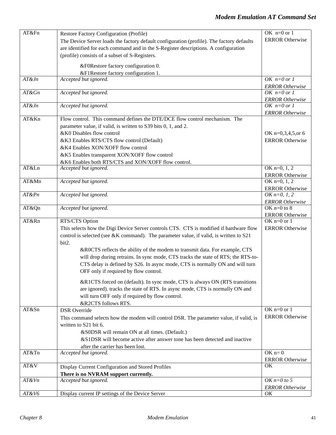| AT&Fn    | Restore Factory Configuration (Profile)                                                   | OK $n=0$ or 1                           |
|----------|-------------------------------------------------------------------------------------------|-----------------------------------------|
|          | The Device Server loads the factory default configuration (profile). The factory defaults | <b>ERROR</b> Otherwise                  |
|          | are identified for each command and in the S-Register descriptions. A configuration       |                                         |
|          | (profile) consists of a subset of S-Registers.                                            |                                         |
|          |                                                                                           |                                         |
|          | &F0Restore factory configuration 0.                                                       |                                         |
|          | &F1Restore factory configuration 1.                                                       |                                         |
| AT&Jn    | Accepted but ignored.                                                                     | OK $n=0$ or 1                           |
|          |                                                                                           | <b>ERROR</b> Otherwise                  |
| $AT\&Gn$ | Accepted but ignored.                                                                     | OK $n=0$ or 1                           |
| $AT\&Jn$ | Accepted but ignored.                                                                     | <b>ERROR</b> Otherwise<br>OK $n=0$ or 1 |
|          |                                                                                           | <b>ERROR</b> Otherwise                  |
| AT&Kn    | Flow control. This command defines the DTE/DCE flow control mechanism. The                |                                         |
|          | parameter value, if valid, is written to S39 bits 0, 1, and 2.                            |                                         |
|          | &K0 Disables flow control                                                                 | OK n=0,3,4,5,or 6                       |
|          | &K3 Enables RTS/CTS flow control (Default)                                                | <b>ERROR Otherwise</b>                  |
|          | &K4 Enables XON/XOFF flow control                                                         |                                         |
|          | &K5 Enables transparent XON/XOFF flow control                                             |                                         |
|          | &K6 Enables both RTS/CTS and XON/XOFF flow control.                                       |                                         |
| AT&Ln    | Accepted but ignored.                                                                     | OK $n=0, 1, 2$                          |
|          |                                                                                           | <b>ERROR</b> Otherwise                  |
| AT&Mn    | Accepted but ignored.                                                                     | OK $n=0, 1, 2$                          |
|          |                                                                                           | <b>ERROR</b> Otherwise                  |
| $AT\&Pn$ | Accepted but ignored.                                                                     | OK $n=0, 1, 2$                          |
|          |                                                                                           | <b>ERROR Otherwise</b>                  |
| AT&Qn    | Accepted but ignored.                                                                     | OK $n=0$ to $8$                         |
|          |                                                                                           | <b>ERROR</b> Otherwise                  |
| AT&Rn    | RTS/CTS Option                                                                            | OK $n=0$ or 1                           |
|          | This selects how the Digi Device Server controls CTS. CTS is modified if hardware flow    | <b>ERROR</b> Otherwise                  |
|          | control is selected (see &K command). The parameter value, if valid, is written to S21    |                                         |
|          | bit2.                                                                                     |                                         |
|          | &ROCTS reflects the ability of the modem to transmit data. For example, CTS               |                                         |
|          | will drop during retrains. In sync mode, CTS tracks the state of RTS; the RTS-to-         |                                         |
|          | CTS delay is defined by S26. In async mode, CTS is normally ON and will turn              |                                         |
|          | OFF only if required by flow control.                                                     |                                         |
|          | &R1CTS forced on (default). In sync mode, CTS is always ON (RTS transitions               |                                         |
|          | are ignored). tracks the state of RTS. In async mode, CTS is normally ON and              |                                         |
|          | will turn OFF only if required by flow control.                                           |                                         |
|          | &R2CTS follows RTS.                                                                       |                                         |
| AT&Sn    | <b>DSR</b> Override                                                                       | OK $n=0$ or 1                           |
|          | This command selects how the modem will control DSR. The parameter value, if valid, is    | <b>ERROR</b> Otherwise                  |
|          | written to S21 bit 6.                                                                     |                                         |
|          | &S0DSR will remain ON at all times. (Default.)                                            |                                         |
|          | &S1DSR will become active after answer tone has been detected and inactive                |                                         |
|          | after the carrier has been lost.                                                          |                                         |
| AT&Tn    | Accepted but ignored.                                                                     | $OK n=0$                                |
|          |                                                                                           | <b>ERROR</b> Otherwise                  |
| AT&V     | Display Current Configuration and Stored Profiles                                         | OK                                      |
|          | There is no NVRAM support currently.                                                      |                                         |
| $AT\&Vn$ | Accepted but ignored.                                                                     | OK $n=0$ to 5                           |
|          |                                                                                           | <b>ERROR</b> Otherwise                  |
| AT&V6    | Display current IP settings of the Device Server                                          | OK                                      |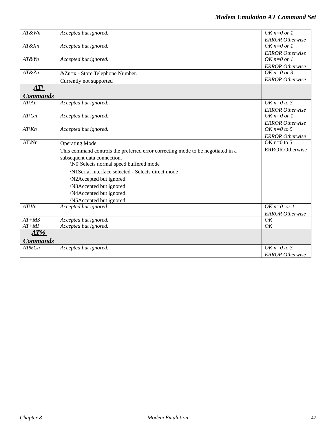| $AT\&Wn$         | Accepted but ignored.                                                           | $OK n=0$ or 1          |
|------------------|---------------------------------------------------------------------------------|------------------------|
|                  |                                                                                 | <b>ERROR</b> Otherwise |
| $AT\&Xn$         | Accepted but ignored.                                                           | $OK n=0$ or 1          |
|                  |                                                                                 | <b>ERROR</b> Otherwise |
| $AT\&Yn$         | Accepted but ignored.                                                           | $OK n=0$ or 1          |
|                  |                                                                                 | <b>ERROR</b> Otherwise |
| AT&Zn            | &Zn=x - Store Telephone Number.                                                 | OK $n=0$ or 3          |
|                  | Currently not supported                                                         | <b>ERROR</b> Otherwise |
| AT               |                                                                                 |                        |
| <b>Commands</b>  |                                                                                 |                        |
| $AT\setminus An$ | Accepted but ignored.                                                           | OK $n=0$ to 3          |
|                  |                                                                                 | <b>ERROR</b> Otherwise |
| $AT\setminus Gn$ | Accepted but ignored.                                                           | $OK n=0$ or 1          |
|                  |                                                                                 | <b>ERROR</b> Otherwise |
| $AT\&n$          | Accepted but ignored.                                                           | OK $n=0$ to 5          |
|                  |                                                                                 | <b>ERROR</b> Otherwise |
| $AT\Nn$          | <b>Operating Mode</b>                                                           | OK $n=0$ to 5          |
|                  | This command controls the preferred error correcting mode to be negotiated in a | <b>ERROR</b> Otherwise |
|                  | subsequent data connection.                                                     |                        |
|                  | \N0 Selects normal speed buffered mode                                          |                        |
|                  | \N1Serial interface selected - Selects direct mode                              |                        |
|                  | \N2Accepted but ignored.                                                        |                        |
|                  | \N3Accepted but ignored.                                                        |                        |
|                  | \N4Accepted but ignored.                                                        |                        |
|                  | \N5Accepted but ignored.                                                        |                        |
| $AT\setminus Vn$ | Accepted but ignored.                                                           | $OK n=0$ or 1          |
|                  |                                                                                 | <b>ERROR</b> Otherwise |
| $AT+MS$          | Accepted but ignored.                                                           | OK                     |
| $AT+MI$          | Accepted but ignored.                                                           | OK                     |
| $AT\%$           |                                                                                 |                        |
| <b>Commands</b>  |                                                                                 |                        |
| AT%Cn            | Accepted but ignored.                                                           | OK $n=0$ to 3          |
|                  |                                                                                 | <b>ERROR</b> Otherwise |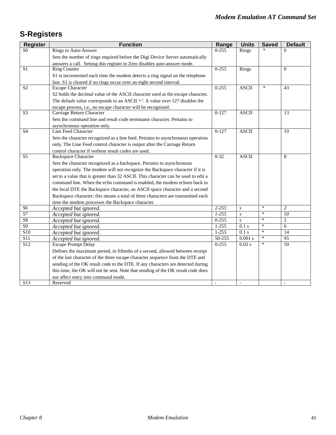# **S-Registers**

| <b>Register</b>             | <b>Function</b>                                                                    | Range     | <b>Units</b>     | <b>Saved</b> | <b>Default</b>           |
|-----------------------------|------------------------------------------------------------------------------------|-----------|------------------|--------------|--------------------------|
| $\overline{S}$ <sup>0</sup> | <b>Rings to Auto-Answer</b>                                                        | $0 - 255$ | Rings            |              | $\Omega$                 |
|                             | Sets the number of rings required before the Digi Device Server automatically      |           |                  |              |                          |
|                             | answers a call. Setting this register to Zero disables auto-answer mode.           |           |                  |              |                          |
| $\overline{S1}$             | <b>Ring Counter</b>                                                                | $0 - 255$ | <b>Rings</b>     |              | $\Omega$                 |
|                             | S1 is incremented each time the modem detects a ring signal on the telephone       |           |                  |              |                          |
|                             | line. S1 is cleared if no rings occur over an eight second interval.               |           |                  |              |                          |
| S <sub>2</sub>              | <b>Escape Character</b>                                                            | $0 - 255$ | <b>ASCII</b>     | $\ast$       | 43                       |
|                             | S2 holds the decimal value of the ASCII character used as the escape character.    |           |                  |              |                          |
|                             | The default value corresponds to an ASCII '+'. A value over 127 disables the       |           |                  |              |                          |
|                             | escape process, i.e., no escape character will be recognized.                      |           |                  |              |                          |
| S <sub>3</sub>              | Carriage Return Character                                                          | $0-127$   | <b>ASCII</b>     |              | 13                       |
|                             | Sets the command line and result code terminator character. Pertains to            |           |                  |              |                          |
|                             | asynchronous operation only.                                                       |           |                  |              |                          |
| <b>S4</b>                   | Line Feed Character                                                                | $0-127$   | <b>ASCII</b>     |              | 10                       |
|                             | Sets the character recognized as a line feed. Pertains to asynchronous operation   |           |                  |              |                          |
|                             | only. The Line Feed control character is output after the Carriage Return          |           |                  |              |                          |
|                             | control character if verbose result codes are used.                                |           |                  |              |                          |
| S <sub>5</sub>              | <b>Backspace Character</b>                                                         | $0 - 32$  | <b>ASCII</b>     |              | 8                        |
|                             | Sets the character recognized as a backspace. Pertains to asynchronous             |           |                  |              |                          |
|                             | operation only. The modem will not recognize the Backspace character if it is      |           |                  |              |                          |
|                             | set to a value that is greater than 32 ASCII. This character can be used to edit a |           |                  |              |                          |
|                             | command line. When the echo command is enabled, the modem echoes back to           |           |                  |              |                          |
|                             | the local DTE the Backspace character, an ASCII space character and a second       |           |                  |              |                          |
|                             | Backspace character; this means a total of three characters are transmitted each   |           |                  |              |                          |
|                             | time the modem processes the Backspace character.                                  |           |                  |              |                          |
| S6                          | Accepted but ignored.                                                              | $2 - 255$ | $\boldsymbol{S}$ | $\ast$       | $\overline{c}$           |
| $S$ 7                       | Accepted but ignored.                                                              | $1 - 255$ | $\boldsymbol{S}$ | $\ast$       | 50                       |
| S <sub>8</sub>              | Accepted but ignored.                                                              | $0 - 255$ | S                | $\ast$       | $\overline{2}$           |
| $\overline{S9}$             | Accepted but ignored.                                                              | $1 - 255$ | 0.1 s            | $\ast$       | 6                        |
| $\overline{S10}$            | Accepted but ignored.                                                              | $1 - 255$ | 0.1 s            | $\ast$       | 14                       |
| <b>S11</b>                  | Accepted but ignored.                                                              | 50-255    | 0.001 s          | $\ast$       | 95                       |
| S <sub>12</sub>             | <b>Escape Prompt Delay</b>                                                         | $0 - 255$ | $0.02$ s         | $\ast$       | 50                       |
|                             | Defines the maximum period, in fiftieths of a second, allowed between receipt      |           |                  |              |                          |
|                             | of the last character of the three escape character sequence from the DTE and      |           |                  |              |                          |
|                             | sending of the OK result code to the DTE. If any characters are detected during    |           |                  |              |                          |
|                             | this time, the OK will not be sent. Note that sending of the OK result code does   |           |                  |              |                          |
|                             | not affect entry into command mode.                                                |           |                  |              |                          |
| S <sub>13</sub>             | Reserved                                                                           | $\sim$    | $\blacksquare$   |              | $\overline{\phantom{a}}$ |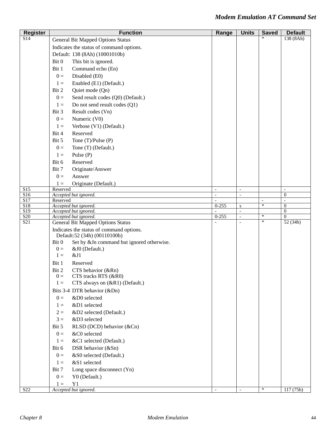| <b>Register</b> | <b>Function</b>                                                                     | Range               | <b>Units</b>                          | <b>Saved</b>             | <b>Default</b>                     |
|-----------------|-------------------------------------------------------------------------------------|---------------------|---------------------------------------|--------------------------|------------------------------------|
| S <sub>14</sub> | <b>General Bit Mapped Options Status</b>                                            |                     |                                       |                          | 138 (8Ah)                          |
|                 | Indicates the status of command options.                                            |                     |                                       |                          |                                    |
|                 | Default: 138 (8Ah) (10001010b)                                                      |                     |                                       |                          |                                    |
|                 | Bit 0<br>This bit is ignored.                                                       |                     |                                       |                          |                                    |
|                 | Bit 1<br>Command echo (En)                                                          |                     |                                       |                          |                                    |
|                 | $0 =$<br>Disabled (E0)                                                              |                     |                                       |                          |                                    |
|                 | Enabled (E1) (Default.)<br>$1 =$                                                    |                     |                                       |                          |                                    |
|                 | Bit 2<br>Quiet mode (Qn)                                                            |                     |                                       |                          |                                    |
|                 | Send result codes (Q0) (Default.)<br>$0 =$                                          |                     |                                       |                          |                                    |
|                 | Do not send result codes (Q1)<br>$1 =$                                              |                     |                                       |                          |                                    |
|                 | Result codes (Vn)<br>Bit 3                                                          |                     |                                       |                          |                                    |
|                 | Numeric (V0)<br>$0 =$                                                               |                     |                                       |                          |                                    |
|                 | Verbose (V1) (Default.)<br>$1 =$                                                    |                     |                                       |                          |                                    |
|                 | Bit 4<br>Reserved                                                                   |                     |                                       |                          |                                    |
|                 | Bit 5<br>Tone $(T)/Pulse(P)$                                                        |                     |                                       |                          |                                    |
|                 | $0 =$<br>Tone (T) (Default.)                                                        |                     |                                       |                          |                                    |
|                 | Pulse (P)<br>$1 =$                                                                  |                     |                                       |                          |                                    |
|                 | Bit 6<br>Reserved                                                                   |                     |                                       |                          |                                    |
|                 | Originate/Answer<br>Bit 7                                                           |                     |                                       |                          |                                    |
|                 | $0 =$<br>Answer                                                                     |                     |                                       |                          |                                    |
|                 |                                                                                     |                     |                                       |                          |                                    |
| S15             | Originate (Default.)<br>$1 =$<br>Reserved                                           | $\blacksquare$      | $\blacksquare$                        |                          | $\blacksquare$                     |
| S <sub>16</sub> | Accepted but ignored.                                                               | $\bar{\phantom{a}}$ | $\overline{\phantom{a}}$              |                          | $\boldsymbol{0}$                   |
| S17             | Reserved                                                                            | $\overline{a}$      |                                       | $\overline{\phantom{a}}$ | $\overline{a}$                     |
| S18<br>S19      | Accepted but ignored.<br>Accepted but ignored.                                      | $0 - 255$           | ${\bf S}$<br>$\overline{\phantom{a}}$ | $\ast$                   | $\overline{0}$<br>$\boldsymbol{0}$ |
| S <sub>20</sub> | Accepted but ignored.                                                               | $0 - 255$           | $\mathcal{L}$                         | $\ast$                   | $\Omega$                           |
| S21             | <b>General Bit Mapped Options Status</b>                                            |                     | $\overline{\phantom{a}}$              | $\ast$                   | 52(34h)                            |
|                 | Indicates the status of command options.                                            |                     |                                       |                          |                                    |
|                 | Default:52 (34h) (00110100b)<br>Bit 0<br>Set by & Jn command but ignored otherwise. |                     |                                       |                          |                                    |
|                 | &J0 (Default.)<br>$0 =$                                                             |                     |                                       |                          |                                    |
|                 | &J1<br>$1 =$                                                                        |                     |                                       |                          |                                    |
|                 | Reserved<br>Bit 1                                                                   |                     |                                       |                          |                                    |
|                 | Bit 2<br>CTS behavior (&Rn)                                                         |                     |                                       |                          |                                    |
|                 | $0 =$<br>$CIS$ tracks RTS $(KR0)$                                                   |                     |                                       |                          |                                    |
|                 | $1 =$<br>CTS always on (&R1) (Default.)                                             |                     |                                       |                          |                                    |
|                 | Bits 3-4 DTR behavior (&Dn)                                                         |                     |                                       |                          |                                    |
|                 | &D0 selected<br>$0 =$                                                               |                     |                                       |                          |                                    |
|                 | &D1 selected<br>$1 =$                                                               |                     |                                       |                          |                                    |
|                 | &D2 selected (Default.)<br>$2 =$                                                    |                     |                                       |                          |                                    |
|                 | &D3 selected<br>$3 =$                                                               |                     |                                       |                          |                                    |
|                 | RLSD (DCD) behavior (&Cn)<br>Bit 5                                                  |                     |                                       |                          |                                    |
|                 | $0 =$<br>&C0 selected                                                               |                     |                                       |                          |                                    |
|                 | &C1 selected (Default.)<br>$1 =$                                                    |                     |                                       |                          |                                    |
|                 | Bit 6<br>DSR behavior (&Sn)                                                         |                     |                                       |                          |                                    |
|                 | $0 =$<br>&S0 selected (Default.)                                                    |                     |                                       |                          |                                    |
|                 | &S1 selected                                                                        |                     |                                       |                          |                                    |
|                 | $1 =$                                                                               |                     |                                       |                          |                                    |
|                 | Long space disconnect (Yn)<br>Bit 7                                                 |                     |                                       |                          |                                    |
|                 | Y0 (Default.)<br>$0 =$                                                              |                     |                                       |                          |                                    |
| S <sub>22</sub> | Y1<br>$1 =$<br>Accepted but ignored.                                                | $\bar{\phantom{a}}$ | $\mathcal{L}$                         | $\ast$                   | 117(75h)                           |
|                 |                                                                                     |                     |                                       |                          |                                    |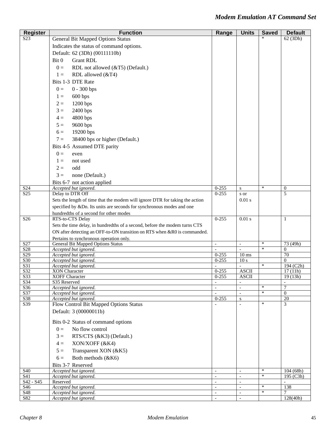| <b>Register</b>                    | <b>Function</b>                                                              | Range                                           | <b>Units</b>                               | <b>Saved</b> | <b>Default</b>             |
|------------------------------------|------------------------------------------------------------------------------|-------------------------------------------------|--------------------------------------------|--------------|----------------------------|
| S <sub>2</sub> 3                   | <b>General Bit Mapped Options Status</b>                                     |                                                 |                                            |              | 62 (3Dh)                   |
|                                    | Indicates the status of command options.                                     |                                                 |                                            |              |                            |
|                                    | Default: 62 (3Dh) (00111110b)                                                |                                                 |                                            |              |                            |
|                                    | Bit 0<br><b>Grant RDL</b>                                                    |                                                 |                                            |              |                            |
|                                    | $0 =$<br>RDL not allowed (&T5) (Default.)                                    |                                                 |                                            |              |                            |
|                                    | RDL allowed (&T4)<br>$1 =$                                                   |                                                 |                                            |              |                            |
|                                    | Bits 1-3 DTE Rate                                                            |                                                 |                                            |              |                            |
|                                    | $0 =$<br>$0 - 300$ bps                                                       |                                                 |                                            |              |                            |
|                                    |                                                                              |                                                 |                                            |              |                            |
|                                    | 600 bps<br>$1 =$                                                             |                                                 |                                            |              |                            |
|                                    | $2=$<br>$1200$ bps                                                           |                                                 |                                            |              |                            |
|                                    | $3 =$<br>2400 bps                                                            |                                                 |                                            |              |                            |
|                                    | $4 =$<br>4800 bps                                                            |                                                 |                                            |              |                            |
|                                    | $5 =$<br>9600 bps                                                            |                                                 |                                            |              |                            |
|                                    | 19200 bps<br>$6=$                                                            |                                                 |                                            |              |                            |
|                                    | 38400 bps or higher (Default.)<br>$7 =$                                      |                                                 |                                            |              |                            |
|                                    | Bits 4-5 Assumed DTE parity                                                  |                                                 |                                            |              |                            |
|                                    | $0 =$<br>even                                                                |                                                 |                                            |              |                            |
|                                    | $1 =$<br>not used                                                            |                                                 |                                            |              |                            |
|                                    | $2=$<br>odd                                                                  |                                                 |                                            |              |                            |
|                                    | none (Default.)<br>$3 =$                                                     |                                                 |                                            |              |                            |
|                                    | Bits 6-7 not action applied                                                  |                                                 |                                            |              |                            |
| S <sub>24</sub>                    | Accepted but ignored.                                                        | $0 - 255$                                       | ${\bf S}$                                  | $\ast$       | $\boldsymbol{0}$           |
| S <sub>25</sub>                    | Delay to DTR Off                                                             | $0 - 255$                                       | s or                                       |              | 5                          |
|                                    | Sets the length of time that the modem will ignore DTR for taking the action |                                                 | $0.01$ s                                   |              |                            |
|                                    | specified by &Dn. Its units are seconds for synchronous modes and one        |                                                 |                                            |              |                            |
|                                    | hundredths of a second for other modes                                       |                                                 |                                            |              |                            |
| S <sub>26</sub>                    | RTS-to-CTS Delay                                                             | $0 - 255$                                       | $0.01$ s                                   |              | 1                          |
|                                    | Sets the time delay, in hundredths of a second, before the modem turns CTS   |                                                 |                                            |              |                            |
|                                    | ON after detecting an OFF-to-ON transition on RTS when &R0 is commanded.     |                                                 |                                            |              |                            |
|                                    | Pertains to synchronous operation only.                                      |                                                 |                                            | $\ast$       |                            |
| S <sub>27</sub><br>S <sub>28</sub> | <b>General Bit Mapped Options Status</b><br>Accepted but ignored.            | $\overline{\phantom{a}}$<br>$\bar{\phantom{a}}$ | $\overline{\phantom{a}}$<br>$\sim$         | $\ast$       | 73 (49h)<br>$\overline{0}$ |
| S <sub>29</sub>                    | Accepted but ignored.                                                        | $0 - 255$                                       | $10 \text{ ms}$                            |              | 70                         |
| S30                                | Accepted but ignored.                                                        | $0 - 255$                                       | 10 <sub>s</sub>                            |              | $\Omega$                   |
| S31                                | Accepted but ignored.                                                        |                                                 | $\blacksquare$                             | $\ast$       | 194 (C2h)                  |
| $\overline{S32}$<br>S33            | <b>XON</b> Character<br><b>XOFF Character</b>                                | $0 - 255$<br>$0 - 255$                          | <b>ASCII</b><br>ASCII                      |              | 17(11h)<br>19(13h)         |
| S <sub>34</sub>                    | S35 Reserved                                                                 |                                                 |                                            |              |                            |
| S36                                | Accepted but ignored.                                                        | $\overline{a}$                                  | $\mathbf{r}$                               | *            | $\overline{7}$             |
| S37                                | Accepted but ignored.                                                        |                                                 | $\blacksquare$                             | $\ast$       | $\overline{0}$             |
| S38<br>S39                         | Accepted but ignored.<br>Flow Control Bit Mapped Options Status              | $0 - 255$                                       | ${\bf S}$<br>$\mathbf{r}$                  | $\ast$       | $20\,$<br>3                |
|                                    |                                                                              |                                                 |                                            |              |                            |
|                                    | Default: 3 (00000011b)                                                       |                                                 |                                            |              |                            |
|                                    | Bits 0-2 Status of command options                                           |                                                 |                                            |              |                            |
|                                    | No flow control<br>$0 =$                                                     |                                                 |                                            |              |                            |
|                                    | RTS/CTS (&K3) (Default.)<br>$3 =$                                            |                                                 |                                            |              |                            |
|                                    | XON/XOFF (&K4)<br>$4 =$                                                      |                                                 |                                            |              |                            |
|                                    | Transparent XON (&K5)<br>$5 =$                                               |                                                 |                                            |              |                            |
|                                    | Both methods (&K6)<br>$6 =$                                                  |                                                 |                                            |              |                            |
|                                    |                                                                              |                                                 |                                            |              |                            |
| <b>S40</b>                         | Bits 3-7 Reserved<br>Accepted but ignored.                                   |                                                 |                                            | $\ast$       | 104(68h)                   |
| S41                                | Accepted but ignored.                                                        | $\bar{\phantom{a}}$                             | $\mathcal{L}$                              | $\ast$       | 195 (C3h)                  |
| S42 - S45                          | Reserved                                                                     | $\overline{\phantom{a}}$                        | $\sim$                                     |              |                            |
| S46                                | Accepted but ignored.                                                        | $\blacksquare$                                  | $\blacksquare$                             | $\ast$       | 138                        |
| S48<br>S82                         | Accepted but ignored.                                                        | $\overline{\phantom{a}}$<br>$\blacksquare$      | $\overline{\phantom{a}}$<br>$\blacksquare$ | $\ast$       | 7                          |
|                                    | Accepted but ignored.                                                        |                                                 |                                            |              | 128(40h)                   |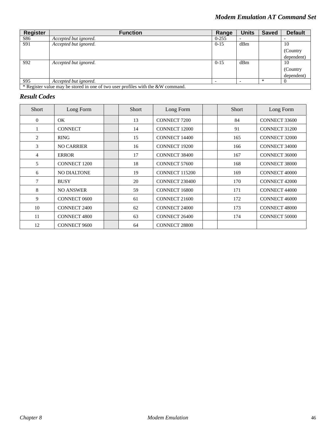| Register | <b>Function</b>                                                                 | Range     | <b>Units</b> | <b>Saved</b> | <b>Default</b> |
|----------|---------------------------------------------------------------------------------|-----------|--------------|--------------|----------------|
| S86      | Accepted but ignored.                                                           | $0 - 255$ |              |              |                |
| S91      | Accepted but ignored.                                                           | $0 - 15$  | dBm          |              | 10             |
|          |                                                                                 |           |              |              | (Country)      |
|          |                                                                                 |           |              |              | dependent)     |
| S92      | Accepted but ignored.                                                           | $0 - 15$  | dBm          |              | 10             |
|          |                                                                                 |           |              |              | (Country)      |
|          |                                                                                 |           |              |              | dependent)     |
| S95      | Accepted but ignored.                                                           |           |              | $\ast$       |                |
|          | * Register value may be stored in one of two user profiles with the &W command. |           |              |              |                |

## *Result Codes*

| <b>Short</b>   | Long Form           | Short | Long Form            | <b>Short</b> | Long Form            |
|----------------|---------------------|-------|----------------------|--------------|----------------------|
| $\overline{0}$ | OK.                 | 13    | <b>CONNECT 7200</b>  | 84           | CONNECT 33600        |
|                | <b>CONNECT</b>      | 14    | <b>CONNECT 12000</b> | 91           | <b>CONNECT 31200</b> |
| 2              | <b>RING</b>         | 15    | <b>CONNECT 14400</b> | 165          | <b>CONNECT 32000</b> |
| 3              | <b>NO CARRIER</b>   | 16    | <b>CONNECT 19200</b> | 166          | <b>CONNECT 34000</b> |
| $\overline{4}$ | <b>ERROR</b>        | 17    | <b>CONNECT 38400</b> | 167          | CONNECT 36000        |
| 5              | <b>CONNECT 1200</b> | 18    | CONNECT 57600        | 168          | <b>CONNECT 38000</b> |
| 6              | <b>NO DIALTONE</b>  | 19    | CONNECT 115200       | 169          | <b>CONNECT 40000</b> |
| $\tau$         | <b>BUSY</b>         | 20    | CONNECT 230400       | 170          | <b>CONNECT 42000</b> |
| 8              | <b>NO ANSWER</b>    | 59    | CONNECT 16800        | 171          | <b>CONNECT 44000</b> |
| 9              | <b>CONNECT 0600</b> | 61    | CONNECT 21600        | 172          | <b>CONNECT 46000</b> |
| 10             | <b>CONNECT 2400</b> | 62    | <b>CONNECT 24000</b> | 173          | <b>CONNECT 48000</b> |
| 11             | <b>CONNECT 4800</b> | 63    | <b>CONNECT 26400</b> | 174          | <b>CONNECT 50000</b> |
| 12             | <b>CONNECT 9600</b> | 64    | <b>CONNECT 28800</b> |              |                      |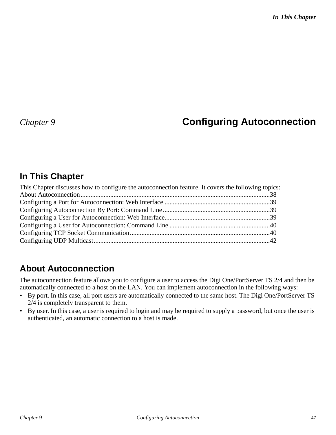# *Chapter 9* **Configuring Autoconnection**

# **In This Chapter**

| This Chapter discusses how to configure the autoconnection feature. It covers the following topics: |  |
|-----------------------------------------------------------------------------------------------------|--|
|                                                                                                     |  |
|                                                                                                     |  |
|                                                                                                     |  |
|                                                                                                     |  |
|                                                                                                     |  |
|                                                                                                     |  |
|                                                                                                     |  |

# **About Autoconnection**

The autoconnection feature allows you to configure a user to access the Digi One/PortServer TS 2/4 and then be automatically connected to a host on the LAN. You can implement autoconnection in the following ways:

- By port. In this case, all port users are automatically connected to the same host. The Digi One/PortServer TS 2/4 is completely transparent to them.
- By user. In this case, a user is required to login and may be required to supply a password, but once the user is authenticated, an automatic connection to a host is made.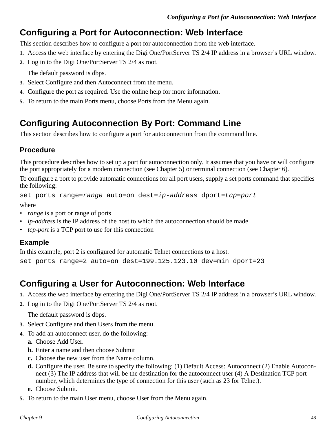# **Configuring a Port for Autoconnection: Web Interface**

This section describes how to configure a port for autoconnection from the web interface.

- **1.** Access the web interface by entering the Digi One/PortServer TS 2/4 IP address in a browser's URL window.
- **2.** Log in to the Digi One/PortServer TS 2/4 as root.

The default password is dbps.

- **3.** Select Configure and then Autoconnect from the menu.
- **4.** Configure the port as required. Use the online help for more information.
- **5.** To return to the main Ports menu, choose Ports from the Menu again.

# **Configuring Autoconnection By Port: Command Line**

This section describes how to configure a port for autoconnection from the command line.

# **Procedure**

This procedure describes how to set up a port for autoconnection only. It assumes that you have or will configure the port appropriately for a modem connection (see Chapter 5) or terminal connection (see Chapter 6).

To configure a port to provide automatic connections for all port users, supply a set ports command that specifies the following:

set ports range=range auto=on dest=ip-address dport=tcp=port

where

- *range* is a port or range of ports
- *ip-address* is the IP address of the host to which the autoconnection should be made
- *tcp-port* is a TCP port to use for this connection

# **Example**

In this example, port 2 is configured for automatic Telnet connections to a host.

set ports range=2 auto=on dest=199.125.123.10 dev=min dport=23

# **Configuring a User for Autoconnection: Web Interface**

- **1.** Access the web interface by entering the Digi One/PortServer TS 2/4 IP address in a browser's URL window.
- **2.** Log in to the Digi One/PortServer TS 2/4 as root.

The default password is dbps.

- **3.** Select Configure and then Users from the menu.
- **4.** To add an autoconnect user, do the following:
	- **a.** Choose Add User.
	- **b.** Enter a name and then choose Submit
	- **c.** Choose the new user from the Name column.
	- **d.** Configure the user. Be sure to specify the following: (1) Default Access: Autoconnect (2) Enable Autoconnect (3) The IP address that will be the destination for the autoconnect user (4) A Destination TCP port number, which determines the type of connection for this user (such as 23 for Telnet).
	- **e.** Choose Submit.
- **5.** To return to the main User menu, choose User from the Menu again.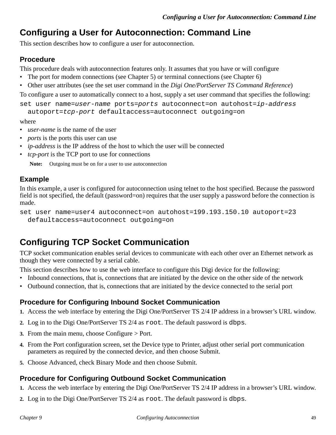# **Configuring a User for Autoconnection: Command Line**

This section describes how to configure a user for autoconnection.

### **Procedure**

This procedure deals with autoconnection features only. It assumes that you have or will configure

- The port for modem connections (see Chapter 5) or terminal connections (see Chapter 6)
- Other user attributes (see the set user command in the *Digi One/PortServer TS Command Reference*)

To configure a user to automatically connect to a host, supply a set user command that specifies the following:

set user name=user-name ports=ports autoconnect=on autohost=ip-address

autoport=tcp-port defaultaccess=autoconnect outgoing=on

where

- *user-name* is the name of the user
- *ports* is the ports this user can use
- *ip-address* is the IP address of the host to which the user will be connected
- *tcp-port* is the TCP port to use for connections

**Note:** Outgoing must be on for a user to use autoconnection

### **Example**

In this example, a user is configured for autoconnection using telnet to the host specified. Because the password field is not specified, the default (password=on) requires that the user supply a password before the connection is made.

```
set user name=user4 autoconnect=on autohost=199.193.150.10 autoport=23 
 defaultaccess=autoconnect outgoing=on
```
# **Configuring TCP Socket Communication**

TCP socket communication enables serial devices to communicate with each other over an Ethernet network as though they were connected by a serial cable.

This section describes how to use the web interface to configure this Digi device for the following:

- Inbound connections, that is, connections that are initiated by the device on the other side of the network
- Outbound connection, that is, connections that are initiated by the device connected to the serial port

### **Procedure for Configuring Inbound Socket Communication**

- **1.** Access the web interface by entering the Digi One/PortServer TS 2/4 IP address in a browser's URL window.
- **2.** Log in to the Digi One/PortServer TS 2/4 as root. The default password is dbps.
- **3.** From the main menu, choose Configure > Port.
- **4.** From the Port configuration screen, set the Device type to Printer, adjust other serial port communication parameters as required by the connected device, and then choose Submit.
- **5.** Choose Advanced, check Binary Mode and then choose Submit.

### **Procedure for Configuring Outbound Socket Communication**

- **1.** Access the web interface by entering the Digi One/PortServer TS 2/4 IP address in a browser's URL window.
- **2.** Log in to the Digi One/PortServer TS 2/4 as root. The default password is dbps.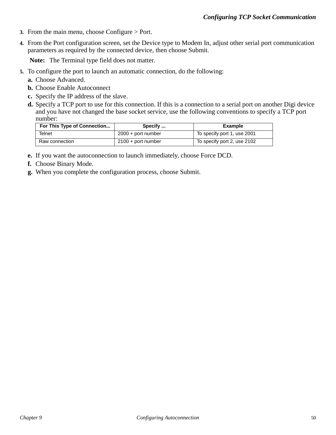- **3.** From the main menu, choose Configure > Port.
- **4.** From the Port configuration screen, set the Device type to Modem In, adjust other serial port communication parameters as required by the connected device, then choose Submit.

**Note:** The Terminal type field does not matter.

- **5.** To configure the port to launch an automatic connection, do the following:
	- **a.** Choose Advanced.
	- **b.** Choose Enable Autoconnect
	- **c.** Specify the IP address of the slave.
	- **d.** Specify a TCP port to use for this connection. If this is a connection to a serial port on another Digi device and you have not changed the base socket service, use the following conventions to specify a TCP port number:

| For This Type of Connection | Specify              | Example                     |  |
|-----------------------------|----------------------|-----------------------------|--|
| Telnet                      | $2000 +$ port number | To specify port 1, use 2001 |  |
| Raw connection              | 2100 + port number   | To specify port 2, use 2102 |  |

- **e.** If you want the autoconnection to launch immediately, choose Force DCD.
- **f.** Choose Binary Mode.
- **g.** When you complete the configuration process, choose Submit.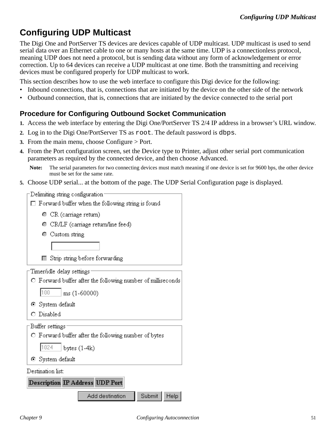# **Configuring UDP Multicast**

The Digi One and PortServer TS devices are devices capable of UDP multicast. UDP multicast is used to send serial data over an Ethernet cable to one or many hosts at the same time. UDP is a connectionless protocol, meaning UDP does not need a protocol, but is sending data without any form of acknowledgement or error correction. Up to 64 devices can receive a UDP multicast at one time. Both the transmitting and receiving devices must be configured properly for UDP multicast to work.

This section describes how to use the web interface to configure this Digi device for the following:

- Inbound connections, that is, connections that are initiated by the device on the other side of the network
- Outbound connection, that is, connections that are initiated by the device connected to the serial port

# **Procedure for Configuring Outbound Socket Communication**

- **1.** Access the web interface by entering the Digi One/PortServer TS 2/4 IP address in a browser's URL window.
- **2.** Log in to the Digi One/PortServer TS as root. The default password is dbps.
- **3.** From the main menu, choose Configure > Port.
- **4.** From the Port configuration screen, set the Device type to Printer, adjust other serial port communication parameters as required by the connected device, and then choose Advanced.

**Note:** The serial parameters for two connecting devices must match meaning if one device is set for 9600 bps, the other device must be set for the same rate.

**5.** Choose UDP serial... at the bottom of the page. The UDP Serial Configuration page is displayed.

Delimiting string configuration:

|  |  |  |  |  | $\Box$ Forward buffer when the following string is found |  |  |
|--|--|--|--|--|----------------------------------------------------------|--|--|
|--|--|--|--|--|----------------------------------------------------------|--|--|

- CR (carriage return)
- CR/LF (carriage return/line feed)
- Custom string

Strip string before forwarding

Timer/idle delay settings:

O Forward buffer after the following number of milliseconds

100 ms (1-60000)

- ⊙ System default
- O Disabled

Buffer settings

O Forward buffer after the following number of bytes

1024 bytes  $(1-4k)$ 

System default

Destination list:

**Description IP Address UDP Port** 

Add destination Submit Help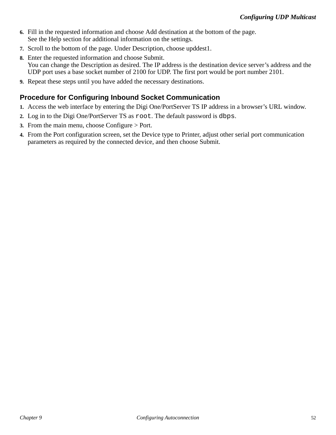- **6.** Fill in the requested information and choose Add destination at the bottom of the page. See the Help section for additional information on the settings.
- **7.** Scroll to the bottom of the page. Under Description, choose upddest1.
- **8.** Enter the requested information and choose Submit. You can change the Description as desired. The IP address is the destination device server's address and the UDP port uses a base socket number of 2100 for UDP. The first port would be port number 2101.
- **9.** Repeat these steps until you have added the necessary destinations.

# **Procedure for Configuring Inbound Socket Communication**

- **1.** Access the web interface by entering the Digi One/PortServer TS IP address in a browser's URL window.
- **2.** Log in to the Digi One/PortServer TS as root. The default password is dbps.
- **3.** From the main menu, choose Configure > Port.
- **4.** From the Port configuration screen, set the Device type to Printer, adjust other serial port communication parameters as required by the connected device, and then choose Submit.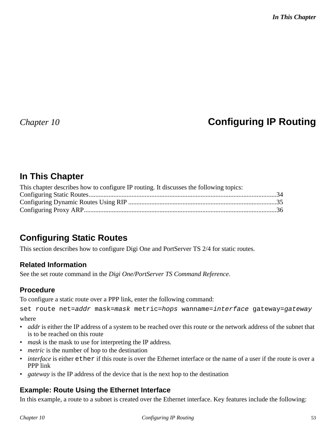# *Chapter 10* **Configuring IP Routing**

# **In This Chapter**

| This chapter describes how to configure IP routing. It discusses the following topics: |  |
|----------------------------------------------------------------------------------------|--|
|                                                                                        |  |
|                                                                                        |  |
|                                                                                        |  |
|                                                                                        |  |

# **Configuring Static Routes**

This section describes how to configure Digi One and PortServer TS 2/4 for static routes.

## **Related Information**

See the set route command in the *Digi One/PortServer TS Command Reference*.

## **Procedure**

To configure a static route over a PPP link, enter the following command:

```
set route net=addr mask=mask metric=hops wanname=interface gateway=gateway
where
```
- *addr* is either the IP address of a system to be reached over this route or the network address of the subnet that is to be reached on this route
- *mask* is the mask to use for interpreting the IP address.
- *metric* is the number of hop to the destination
- *interface* is either ether if this route is over the Ethernet interface or the name of a user if the route is over a PPP link
- *gateway* is the IP address of the device that is the next hop to the destination

## **Example: Route Using the Ethernet Interface**

In this example, a route to a subnet is created over the Ethernet interface. Key features include the following: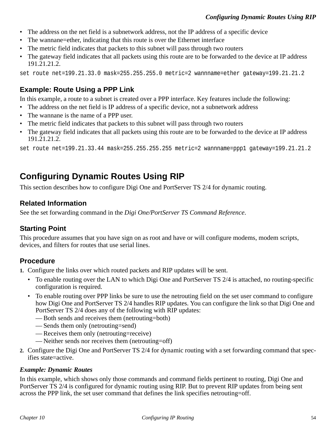- The address on the net field is a subnetwork address, not the IP address of a specific device
- The wannane=ether, indicating that this route is over the Ethernet interface
- The metric field indicates that packets to this subnet will pass through two routers
- The gateway field indicates that all packets using this route are to be forwarded to the device at IP address 191.21.21.2.

set route net=199.21.33.0 mask=255.255.255.0 metric=2 wannname=ether gateway=199.21.21.2

### **Example: Route Using a PPP Link**

In this example, a route to a subnet is created over a PPP interface. Key features include the following:

- The address on the net field is IP address of a specific device, not a subnetwork address
- The wannane is the name of a PPP user.
- The metric field indicates that packets to this subnet will pass through two routers
- The gateway field indicates that all packets using this route are to be forwarded to the device at IP address 191.21.21.2.

set route net=199.21.33.44 mask=255.255.255.255 metric=2 wannname=ppp1 gateway=199.21.21.2

# **Configuring Dynamic Routes Using RIP**

This section describes how to configure Digi One and PortServer TS 2/4 for dynamic routing.

### **Related Information**

See the set forwarding command in the *Digi One/PortServer TS Command Reference*.

## **Starting Point**

This procedure assumes that you have sign on as root and have or will configure modems, modem scripts, devices, and filters for routes that use serial lines.

### **Procedure**

**1.** Configure the links over which routed packets and RIP updates will be sent.

- To enable routing over the LAN to which Digi One and PortServer TS 2/4 is attached, no routing-specific configuration is required.
- To enable routing over PPP links be sure to use the netrouting field on the set user command to configure how Digi One and PortServer TS 2/4 handles RIP updates. You can configure the link so that Digi One and PortServer TS 2/4 does any of the following with RIP updates:
	- Both sends and receives them (netrouting=both)
	- Sends them only (netrouting=send)
	- Receives them only (netrouting=receive)
	- Neither sends nor receives them (netrouting=off)
- **2.** Configure the Digi One and PortServer TS 2/4 for dynamic routing with a set forwarding command that specifies state=active.

#### *Example: Dynamic Routes*

In this example, which shows only those commands and command fields pertinent to routing, Digi One and PortServer TS 2/4 is configured for dynamic routing using RIP. But to prevent RIP updates from being sent across the PPP link, the set user command that defines the link specifies netrouting=off.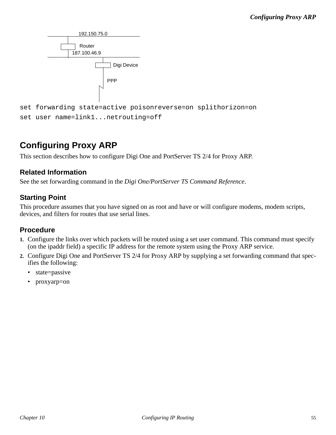

# **Configuring Proxy ARP**

This section describes how to configure Digi One and PortServer TS 2/4 for Proxy ARP.

### **Related Information**

See the set forwarding command in the *Digi One/PortServer TS Command Reference*.

### **Starting Point**

This procedure assumes that you have signed on as root and have or will configure modems, modem scripts, devices, and filters for routes that use serial lines.

### **Procedure**

- **1.** Configure the links over which packets will be routed using a set user command. This command must specify (on the ipaddr field) a specific IP address for the remote system using the Proxy ARP service.
- **2.** Configure Digi One and PortServer TS 2/4 for Proxy ARP by supplying a set forwarding command that specifies the following:
	- state=passive
	- proxyarp=on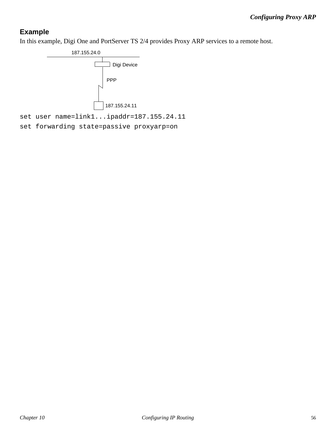# **Example**

In this example, Digi One and PortServer TS 2/4 provides Proxy ARP services to a remote host.

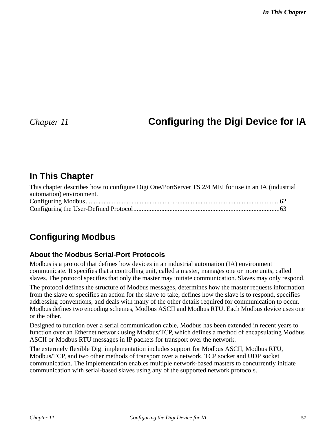# *Chapter 11* **Configuring the Digi Device for IA**

# **In This Chapter**

| This chapter describes how to configure Digi One/PortServer TS 2/4 MEI for use in an IA (industrial |  |
|-----------------------------------------------------------------------------------------------------|--|
| automation) environment.                                                                            |  |
|                                                                                                     |  |
|                                                                                                     |  |

# **Configuring Modbus**

## **About the Modbus Serial-Port Protocols**

Modbus is a protocol that defines how devices in an industrial automation (IA) environment communicate. It specifies that a controlling unit, called a master, manages one or more units, called slaves. The protocol specifies that only the master may initiate communication. Slaves may only respond.

The protocol defines the structure of Modbus messages, determines how the master requests information from the slave or specifies an action for the slave to take, defines how the slave is to respond, specifies addressing conventions, and deals with many of the other details required for communication to occur. Modbus defines two encoding schemes, Modbus ASCII and Modbus RTU. Each Modbus device uses one or the other.

Designed to function over a serial communication cable, Modbus has been extended in recent years to function over an Ethernet network using Modbus/TCP, which defines a method of encapsulating Modbus ASCII or Modbus RTU messages in IP packets for transport over the network.

The extermely flexible Digi implementation includes support for Modbus ASCII, Modbus RTU, Modbus/TCP, and two other methods of transport over a network, TCP socket and UDP socket communication. The implementation enables multiple network-based masters to concurrently initiate communication with serial-based slaves using any of the supported network protocols.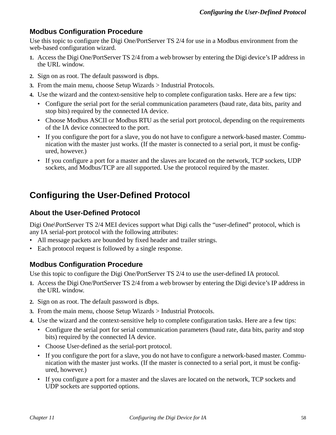## **Modbus Configuration Procedure**

Use this topic to configure the Digi One/PortServer TS 2/4 for use in a Modbus environment from the web-based configuration wizard.

- **1.** Access the Digi One/PortServer TS 2/4 from a web browser by entering the Digi device's IP address in the URL window.
- **2.** Sign on as root. The default password is dbps.
- **3.** From the main menu, choose Setup Wizards > Industrial Protocols.
- **4.** Use the wizard and the context-sensitive help to complete configuration tasks. Here are a few tips:
	- Configure the serial port for the serial communication parameters (baud rate, data bits, parity and stop bits) required by the connected IA device.
	- Choose Modbus ASCII or Modbus RTU as the serial port protocol, depending on the requirements of the IA device connecteed to the port.
	- If you configure the port for a slave, you do not have to configure a network-based master. Communication with the master just works. (If the master is connected to a serial port, it must be configured, however.)
	- If you configure a port for a master and the slaves are located on the network, TCP sockets, UDP sockets, and Modbus/TCP are all supported. Use the protocol required by the master.

# **Configuring the User-Defined Protocol**

### **About the User-Defined Protocol**

Digi One\PortServer TS 2/4 MEI devices support what Digi calls the "user-defined" protocol, which is any IA serial-port protocol with the following attributes:

- All message packets are bounded by fixed header and trailer strings.
- Each protocol request is followed by a single response.

### **Modbus Configuration Procedure**

Use this topic to configure the Digi One/PortServer TS 2/4 to use the user-defined IA protocol.

- **1.** Access the Digi One/PortServer TS 2/4 from a web browser by entering the Digi device's IP address in the URL window.
- **2.** Sign on as root. The default password is dbps.
- **3.** From the main menu, choose Setup Wizards > Industrial Protocols.
- **4.** Use the wizard and the context-sensitive help to complete configuration tasks. Here are a few tips:
	- Configure the serial port for serial communication parameters (baud rate, data bits, parity and stop bits) required by the connected IA device.
	- Choose User-defined as the serial-port protocol.
	- If you configure the port for a slave, you do not have to configure a network-based master. Communication with the master just works. (If the master is connected to a serial port, it must be configured, however.)
	- If you configure a port for a master and the slaves are located on the network, TCP sockets and UDP sockets are supported options.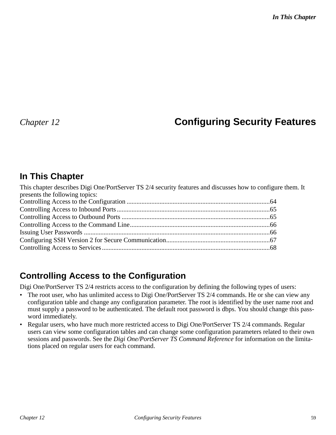# *Chapter 12* **Configuring Security Features**

# **In This Chapter**

| This chapter describes Digi One/PortServer TS 2/4 security features and discusses how to configure them. It |  |
|-------------------------------------------------------------------------------------------------------------|--|
| presents the following topics:                                                                              |  |
|                                                                                                             |  |
|                                                                                                             |  |
|                                                                                                             |  |
|                                                                                                             |  |
|                                                                                                             |  |
|                                                                                                             |  |
|                                                                                                             |  |

# **Controlling Access to the Configuration**

Digi One/PortServer TS 2/4 restricts access to the configuration by defining the following types of users:

- The root user, who has unlimited access to Digi One/PortServer TS 2/4 commands. He or she can view any configuration table and change any configuration parameter. The root is identified by the user name root and must supply a password to be authenticated. The default root password is dbps. You should change this password immediately.
- Regular users, who have much more restricted access to Digi One/PortServer TS 2/4 commands. Regular users can view some configuration tables and can change some configuration parameters related to their own sessions and passwords. See the *Digi One/PortServer TS Command Reference* for information on the limitations placed on regular users for each command.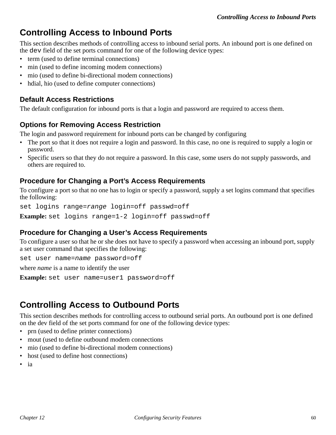# **Controlling Access to Inbound Ports**

This section describes methods of controlling access to inbound serial ports. An inbound port is one defined on the dev field of the set ports command for one of the following device types:

- term (used to define terminal connections)
- min (used to define incoming modem connections)
- mio (used to define bi-directional modem connections)
- hdial, hio (used to define computer connections)

### **Default Access Restrictions**

The default configuration for inbound ports is that a login and password are required to access them.

## **Options for Removing Access Restriction**

The login and password requirement for inbound ports can be changed by configuring

- The port so that it does not require a login and password. In this case, no one is required to supply a login or password.
- Specific users so that they do not require a password. In this case, some users do not supply passwords, and others are required to.

### **Procedure for Changing a Port's Access Requirements**

To configure a port so that no one has to login or specify a password, supply a set logins command that specifies the following:

set logins range=range login=off passwd=off

**Example:** set logins range=1-2 login=off passwd=off

### **Procedure for Changing a User's Access Requirements**

To configure a user so that he or she does not have to specify a password when accessing an inbound port, supply a set user command that specifies the following:

set user name=name password=off

where *name* is a name to identify the user

**Example:** set user name=user1 password=off

# **Controlling Access to Outbound Ports**

This section describes methods for controlling access to outbound serial ports. An outbound port is one defined on the dev field of the set ports command for one of the following device types:

- prn (used to define printer connections)
- mout (used to define outbound modem connections
- mio (used to define bi-directional modem connections)
- host (used to define host connections)
- ia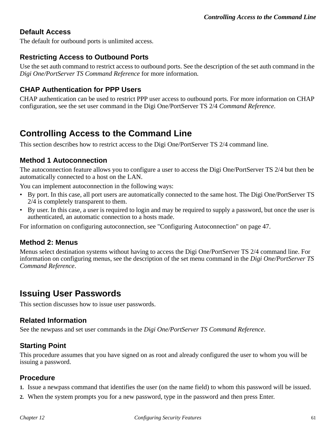### **Default Access**

The default for outbound ports is unlimited access.

### **Restricting Access to Outbound Ports**

Use the set auth command to restrict access to outbound ports. See the description of the set auth command in the *Digi One/PortServer TS Command Reference* for more information.

### **CHAP Authentication for PPP Users**

CHAP authentication can be used to restrict PPP user access to outbound ports. For more information on CHAP configuration, see the set user command in the Digi One/PortServer TS 2/4 *Command Reference*.

# **Controlling Access to the Command Line**

This section describes how to restrict access to the Digi One/PortServer TS 2/4 command line.

### **Method 1 Autoconnection**

The autoconnection feature allows you to configure a user to access the Digi One/PortServer TS 2/4 but then be automatically connected to a host on the LAN.

You can implement autoconnection in the following ways:

- By port. In this case, all port users are automatically connected to the same host. The Digi One/PortServer TS 2/4 is completely transparent to them.
- By user. In this case, a user is required to login and may be required to supply a password, but once the user is authenticated, an automatic connection to a hosts made.

For information on configuring autoconnection, see "Configuring Autoconnection" on page 47.

#### **Method 2: Menus**

Menus select destination systems without having to access the Digi One/PortServer TS 2/4 command line. For information on configuring menus, see the description of the set menu command in the *Digi One/PortServer TS Command Reference*.

# **Issuing User Passwords**

This section discusses how to issue user passwords.

#### **Related Information**

See the newpass and set user commands in the *Digi One/PortServer TS Command Reference*.

### **Starting Point**

This procedure assumes that you have signed on as root and already configured the user to whom you will be issuing a password.

### **Procedure**

- **1.** Issue a newpass command that identifies the user (on the name field) to whom this password will be issued.
- **2.** When the system prompts you for a new password, type in the password and then press Enter.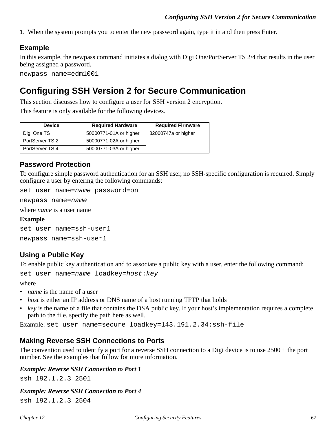**3.** When the system prompts you to enter the new password again, type it in and then press Enter.

# **Example**

In this example, the newpass command initiates a dialog with Digi One/PortServer TS 2/4 that results in the user being assigned a password.

newpass name=edm1001

# **Configuring SSH Version 2 for Secure Communication**

This section discusses how to configure a user for SSH version 2 encryption.

This feature is only available for the following devices.

| <b>Device</b>   | <b>Required Hardware</b> | <b>Required Firmware</b> |
|-----------------|--------------------------|--------------------------|
| Digi One TS     | 50000771-01A or higher   | 82000747a or higher      |
| PortServer TS 2 | 50000771-02A or higher   |                          |
| PortServer TS 4 | 50000771-03A or higher   |                          |

### **Password Protection**

To configure simple password authentication for an SSH user, no SSH-specific configuration is required. Simply configure a user by entering the following commands:

set user name=name password=on

newpass name=name

where *name* is a user name

#### **Example**

set user name=ssh-user1

newpass name=ssh-user1

## **Using a Public Key**

To enable public key authentication and to associate a public key with a user, enter the following command:

set user name=name loadkey=host: key

#### where

- *name* is the name of a user
- *host* is either an IP address or DNS name of a host running TFTP that holds
- *key* is the name of a file that contains the DSA public key. If your host's implementation requires a complete path to the file, specify the path here as well.

Example: set user name=secure loadkey=143.191.2.34:ssh-file

### **Making Reverse SSH Connections to Ports**

The convention used to identify a port for a reverse SSH connection to a Digi device is to use 2500 + the port number. See the examples that follow for more information.

#### *Example: Reverse SSH Connection to Port 1*

ssh 192.1.2.3 2501

#### *Example: Reverse SSH Connection to Port 4*

ssh 192.1.2.3 2504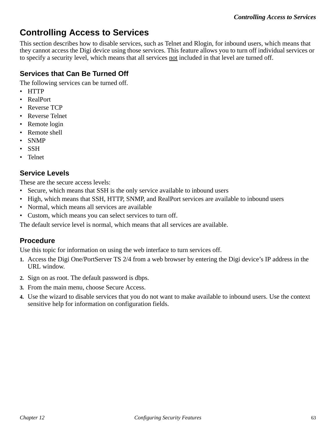# **Controlling Access to Services**

This section describes how to disable services, such as Telnet and Rlogin, for inbound users, which means that they cannot access the Digi device using those services. This feature allows you to turn off individual services or to specify a security level, which means that all services not included in that level are turned off.

# **Services that Can Be Turned Off**

The following services can be turned off.

- HTTP
- RealPort
- Reverse TCP
- Reverse Telnet
- Remote login
- Remote shell
- SNMP
- SSH
- Telnet

## **Service Levels**

These are the secure access levels:

- Secure, which means that SSH is the only service available to inbound users
- High, which means that SSH, HTTP, SNMP, and RealPort services are available to inbound users
- Normal, which means all services are available
- Custom, which means you can select services to turn off.

The default service level is normal, which means that all services are available.

## **Procedure**

Use this topic for information on using the web interface to turn services off.

- **1.** Access the Digi One/PortServer TS 2/4 from a web browser by entering the Digi device's IP address in the URL window.
- **2.** Sign on as root. The default password is dbps.
- **3.** From the main menu, choose Secure Access.
- **4.** Use the wizard to disable services that you do not want to make available to inbound users. Use the context sensitive help for information on configuration fields.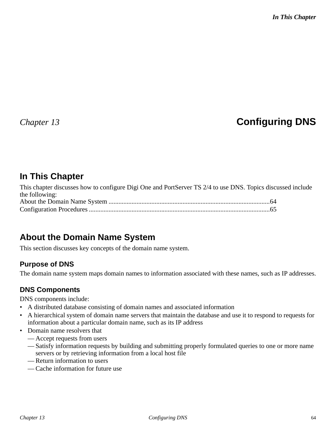# *Chapter 13* **Configuring DNS**

# **In This Chapter**

This chapter discusses how to configure Digi One and PortServer TS 2/4 to use DNS. Topics discussed include the following: About the Domain Name System ..................................................................................................64 Configuration Procedures ..............................................................................................................65

# **About the Domain Name System**

This section discusses key concepts of the domain name system.

### **Purpose of DNS**

The domain name system maps domain names to information associated with these names, such as IP addresses.

### **DNS Components**

DNS components include:

- A distributed database consisting of domain names and associated information
- A hierarchical system of domain name servers that maintain the database and use it to respond to requests for information about a particular domain name, such as its IP address
- Domain name resolvers that
	- Accept requests from users
	- Satisfy information requests by building and submitting properly formulated queries to one or more name servers or by retrieving information from a local host file
	- Return information to users
	- Cache information for future use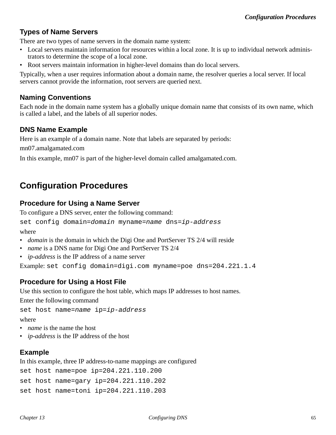## **Types of Name Servers**

There are two types of name servers in the domain name system:

- Local servers maintain information for resources within a local zone. It is up to individual network administrators to determine the scope of a local zone.
- Root servers maintain information in higher-level domains than do local servers.

Typically, when a user requires information about a domain name, the resolver queries a local server. If local servers cannot provide the information, root servers are queried next.

### **Naming Conventions**

Each node in the domain name system has a globally unique domain name that consists of its own name, which is called a label, and the labels of all superior nodes.

### **DNS Name Example**

Here is an example of a domain name. Note that labels are separated by periods:

mn07.amalgamated.com

In this example, mn07 is part of the higher-level domain called amalgamated.com.

# **Configuration Procedures**

### **Procedure for Using a Name Server**

To configure a DNS server, enter the following command:

set config domain=domain myname=name dns=ip-address

where

- *domain* is the domain in which the Digi One and PortServer TS 2/4 will reside
- *name* is a DNS name for Digi One and PortServer TS 2/4
- *ip-address* is the IP address of a name server

Example: set config domain=digi.com myname=poe dns=204.221.1.4

### **Procedure for Using a Host File**

Use this section to configure the host table, which maps IP addresses to host names.

Enter the following command

```
set host name=name ip=ip-address
```
where

- *name* is the name the host
- *ip-address* is the IP address of the host

## **Example**

In this example, three IP address-to-name mappings are configured

```
set host name=poe ip=204.221.110.200
set host name=gary ip=204.221.110.202
set host name=toni ip=204.221.110.203
```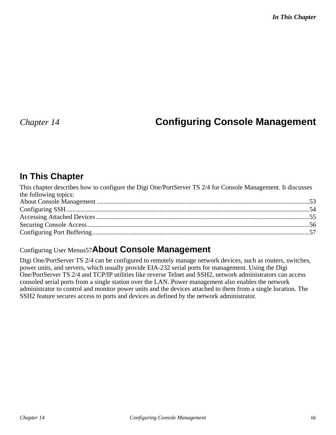# *Chapter 14* **Configuring Console Management**

# **In This Chapter**

| This chapter describes how to configure the Digi One/PortServer TS 2/4 for Console Management. It discusses |  |
|-------------------------------------------------------------------------------------------------------------|--|
| the following topics:                                                                                       |  |
|                                                                                                             |  |
|                                                                                                             |  |
|                                                                                                             |  |
|                                                                                                             |  |
|                                                                                                             |  |

# Configuring User Menus57**About Console Management**

Digi One/PortServer TS 2/4 can be configured to remotely manage network devices, such as routers, switches, power units, and servers, which usually provide EIA-232 serial ports for management. Using the Digi One/PortServer TS 2/4 and TCP/IP utilities like reverse Telnet and SSH2, network administrators can access consoled serial ports from a single station over the LAN. Power management also enables the network administrator to control and monitor power units and the devices attached to them from a single location. The SSH2 feature secures access to ports and devices as defined by the network administrator.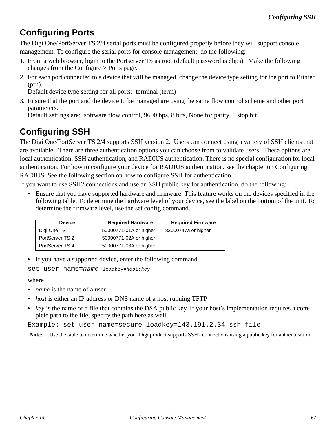# **Configuring Ports**

The Digi One/PortServer TS 2/4 serial ports must be configured properly before they will support console management. To configure the serial ports for console management, do the following:

- 1. From a web browser, login to the Portserver TS as root (default password is dbps). Make the following changes from the Configure > Ports page.
- 2. For each port connected to a device that will be managed, change the device type setting for the port to Printer (prn).

Default device type setting for all ports: terminal (term)

3. Ensure that the port and the device to be managed are using the same flow control scheme and other port parameters.

Default settings are: software flow control, 9600 bps, 8 bits, None for parity, 1 stop bit.

# **Configuring SSH**

The Digi One/PortServer TS 2/4 supports SSH version 2. Users can connect using a variety of SSH clients that are available. There are three authentication options you can choose from to validate users. These options are local authentication, SSH authentication, and RADIUS authentication. There is no special configuration for local authentication. For how to configure your device for RADIUS authentication, see the chapter on Configuring RADIUS. See the following section on how to configure SSH for authentication.

If you want to use SSH2 connections and use an SSH public key for authentication, do the following:

• Ensure that you have supported hardware and firmware. This feature works on the devices specified in the following table. To determine the hardware level of your device, see the label on the bottom of the unit. To determine the firmware level, use the set config command.

| <b>Device</b>   | <b>Required Hardware</b> | <b>Required Firmware</b> |
|-----------------|--------------------------|--------------------------|
| Digi One TS     | 50000771-01A or higher   | 82000747a or higher      |
| PortServer TS 2 | 50000771-02A or higher   |                          |
| PortServer TS 4 | 50000771-03A or higher   |                          |

• If you have a supported device, enter the following command

set user name=name loadkey=host: key

#### where

- *name* is the name of a user
- *host* is either an IP address or DNS name of a host running TFTP
- *key* is the name of a file that contains the DSA public key. If your host's implementation requires a complete path to the file, specify the path here as well.

Example: set user name=secure loadkey=143.191.2.34:ssh-file

**Note:** Use the table to determine whether your Digi product supports SSH2 connections using a public key for authentication.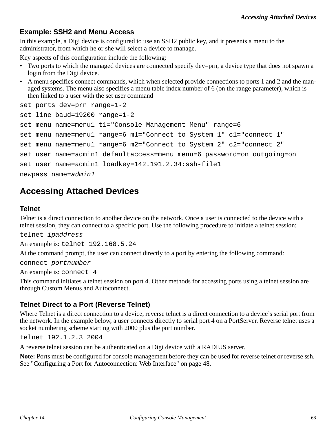### **Example: SSH2 and Menu Access**

In this example, a Digi device is configured to use an SSH2 public key, and it presents a menu to the administrator, from which he or she will select a device to manage.

Key aspects of this configuration include the following:

- Two ports to which the managed devices are connected specify dev=prn, a device type that does not spawn a login from the Digi device.
- A menu specifies connect commands, which when selected provide connections to ports 1 and 2 and the managed systems. The menu also specifies a menu table index number of 6 (on the range parameter), which is then linked to a user with the set user command

```
set ports dev=prn range=1-2 
set line baud=19200 range=1-2
set menu name=menu1 t1="Console Management Menu" range=6 
set menu name=menu1 range=6 m1="Connect to System 1" c1="connect 1" 
set menu name=menu1 range=6 m2="Connect to System 2" c2="connect 2" 
set user name=admin1 defaultaccess=menu menu=6 password=on outgoing=on
set user name=admin1 loadkey=142.191.2.34:ssh-file1
newpass name=admin1
```
# **Accessing Attached Devices**

#### **Telnet**

Telnet is a direct connection to another device on the network. Once a user is connected to the device with a telnet session, they can connect to a specific port. Use the following procedure to initiate a telnet session:

telnet ipaddress

An example is: telnet 192.168.5.24

At the command prompt, the user can connect directly to a port by entering the following command:

connect portnumber

An example is: connect 4

This command initiates a telnet session on port 4. Other methods for accessing ports using a telnet session are through Custom Menus and Autoconnect.

### **Telnet Direct to a Port (Reverse Telnet)**

Where Telnet is a direct connection to a device, reverse telnet is a direct connection to a device's serial port from the network. In the example below, a user connects directly to serial port 4 on a PortServer. Reverse telnet uses a socket numbering scheme starting with 2000 plus the port number.

telnet 192.1.2.3 2004

A reverse telnet session can be authenticated on a Digi device with a RADIUS server.

**Note:** Ports must be configured for console management before they can be used for reverse telnet or reverse ssh. See "Configuring a Port for Autoconnection: Web Interface" on page 48.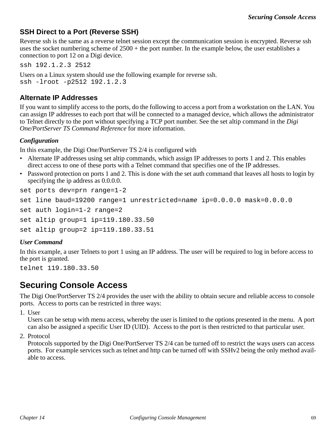### **SSH Direct to a Port (Reverse SSH)**

Reverse ssh is the same as a reverse telnet session except the communication session is encrypted. Reverse ssh uses the socket numbering scheme of  $2500 +$  the port number. In the example below, the user establishes a connection to port 12 on a Digi device.

ssh 192.1.2.3 2512

Users on a Linux system should use the following example for reverse ssh. ssh -lroot -p2512 192.1.2.3

### **Alternate IP Addresses**

If you want to simplify access to the ports, do the following to access a port from a workstation on the LAN. You can assign IP addresses to each port that will be connected to a managed device, which allows the administrator to Telnet directly to the port without specifying a TCP port number. See the set altip command in the *Digi One/PortServer TS Command Reference* for more information.

#### *Configuration*

In this example, the Digi One/PortServer TS 2/4 is configured with

- Alternate IP addresses using set altip commands, which assign IP addresses to ports 1 and 2. This enables direct access to one of these ports with a Telnet command that specifies one of the IP addresses.
- Password protection on ports 1 and 2. This is done with the set auth command that leaves all hosts to login by specifying the ip address as 0.0.0.0.

set ports dev=prn range=1-2

```
set line baud=19200 range=1 unrestricted=name ip=0.0.0.0 mask=0.0.0.0
```

```
set auth login=1-2 range=2
```

```
set altip group=1 ip=119.180.33.50
```

```
set altip group=2 ip=119.180.33.51
```
#### *User Command*

In this example, a user Telnets to port 1 using an IP address. The user will be required to log in before access to the port is granted.

telnet 119.180.33.50

# **Securing Console Access**

The Digi One/PortServer TS 2/4 provides the user with the ability to obtain secure and reliable access to console ports. Access to ports can be restricted in three ways:

1. User

Users can be setup with menu access, whereby the user is limited to the options presented in the menu. A port can also be assigned a specific User ID (UID). Access to the port is then restricted to that particular user.

2. Protocol

Protocols supported by the Digi One/PortServer TS 2/4 can be turned off to restrict the ways users can access ports. For example services such as telnet and http can be turned off with SSHv2 being the only method available to access.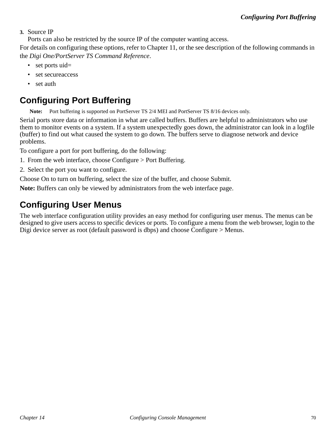#### **3.** Source IP

Ports can also be restricted by the source IP of the computer wanting access.

For details on configuring these options, refer to Chapter 11, or the see description of the following commands in the *Digi One/PortServer TS Command Reference*.

- set ports uid=
- set secureaccess
- set auth

# **Configuring Port Buffering**

**Note:** Port buffering is supported on PortServer TS 2/4 MEI and PortServer TS 8/16 devices only.

Serial ports store data or information in what are called buffers. Buffers are helpful to administrators who use them to monitor events on a system. If a system unexpectedly goes down, the administrator can look in a logfile (buffer) to find out what caused the system to go down. The buffers serve to diagnose network and device problems.

To configure a port for port buffering, do the following:

- 1. From the web interface, choose Configure > Port Buffering.
- 2. Select the port you want to configure.

Choose On to turn on buffering, select the size of the buffer, and choose Submit.

**Note:** Buffers can only be viewed by administrators from the web interface page.

# **Configuring User Menus**

The web interface configuration utility provides an easy method for configuring user menus. The menus can be designed to give users access to specific devices or ports. To configure a menu from the web browser, login to the Digi device server as root (default password is dbps) and choose Configure > Menus.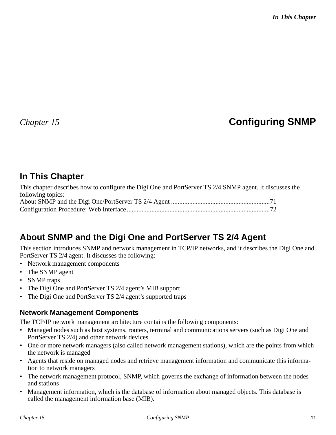# *Chapter 15* **Configuring SNMP**

# **In This Chapter**

This chapter describes how to configure the Digi One and PortServer TS 2/4 SNMP agent. It discusses the following topics: About SNMP and the Digi One/PortServer TS 2/4 Agent ............................................................71 Configuration Procedure: Web Interface.......................................................................................72

# **About SNMP and the Digi One and PortServer TS 2/4 Agent**

This section introduces SNMP and network management in TCP/IP networks, and it describes the Digi One and PortServer TS 2/4 agent. It discusses the following:

- Network management components
- The SNMP agent
- SNMP traps
- The Digi One and PortServer TS 2/4 agent's MIB support
- The Digi One and PortServer TS 2/4 agent's supported traps

## **Network Management Components**

The TCP/IP network management architecture contains the following components:

- Managed nodes such as host systems, routers, terminal and communications servers (such as Digi One and PortServer TS 2/4) and other network devices
- One or more network managers (also called network management stations), which are the points from which the network is managed
- Agents that reside on managed nodes and retrieve management information and communicate this information to network managers
- The network management protocol, SNMP, which governs the exchange of information between the nodes and stations
- Management information, which is the database of information about managed objects. This database is called the management information base (MIB).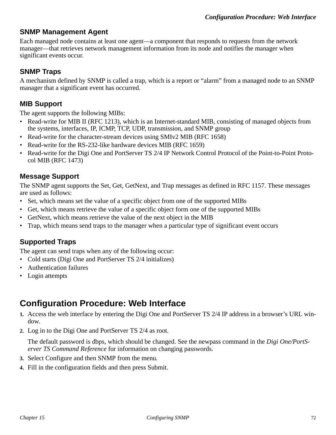### **SNMP Management Agent**

Each managed node contains at least one agent—a component that responds to requests from the network manager—that retrieves network management information from its node and notifies the manager when significant events occur.

### **SNMP Traps**

A mechanism defined by SNMP is called a trap, which is a report or "alarm" from a managed node to an SNMP manager that a significant event has occurred.

### **MIB Support**

The agent supports the following MIBs:

- Read-write for MIB II (RFC 1213), which is an Internet-standard MIB, consisting of managed objects from the systems, interfaces, IP, ICMP, TCP, UDP, transmission, and SNMP group
- Read-write for the character-stream devices using SMIv2 MIB (RFC 1658)
- Read-write for the RS-232-like hardware devices MIB (RFC 1659)
- Read-write for the Digi One and PortServer TS 2/4 IP Network Control Protocol of the Point-to-Point Protocol MIB (RFC 1473)

### **Message Support**

The SNMP agent supports the Set, Get, GetNext, and Trap messages as defined in RFC 1157. These messages are used as follows:

- Set, which means set the value of a specific object from one of the supported MIBs
- Get, which means retrieve the value of a specific object form one of the supported MIBs
- GetNext, which means retrieve the value of the next object in the MIB
- Trap, which means send traps to the manager when a particular type of significant event occurs

### **Supported Traps**

The agent can send traps when any of the following occur:

- Cold starts (Digi One and PortServer TS 2/4 initializes)
- Authentication failures
- Login attempts

# **Configuration Procedure: Web Interface**

- **1.** Access the web interface by entering the Digi One and PortServer TS 2/4 IP address in a browser's URL window.
- **2.** Log in to the Digi One and PortServer TS 2/4 as root.

The default password is dbps, which should be changed. See the newpass command in the *Digi One/PortServer TS Command Reference* for information on changing passwords.

- **3.** Select Configure and then SNMP from the menu.
- **4.** Fill in the configuration fields and then press Submit.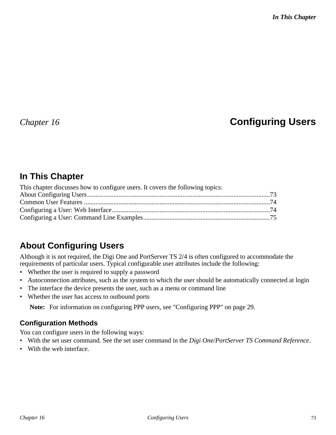# *Chapter 16* **Configuring Users**

### **In This Chapter**

| This chapter discusses how to configure users. It covers the following topics: |  |
|--------------------------------------------------------------------------------|--|
|                                                                                |  |
|                                                                                |  |
|                                                                                |  |
|                                                                                |  |

### **About Configuring Users**

Although it is not required, the Digi One and PortServer TS 2/4 is often configured to accommodate the requirements of particular users. Typical configurable user attributes include the following:

- Whether the user is required to supply a password
- Autoconnection attributes, such as the system to which the user should be automatically connected at login
- The interface the device presents the user, such as a menu or command line
- Whether the user has access to outbound ports

**Note:** For information on configuring PPP users, see "Configuring PPP" on page 29.

### **Configuration Methods**

You can configure users in the following ways:

- With the set user command. See the set user command in the *Digi One/PortServer TS Command Reference*.
- With the web interface.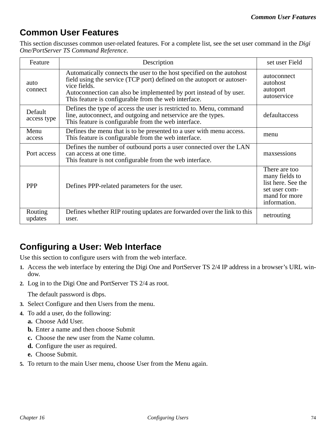### **Common User Features**

This section discusses common user-related features. For a complete list, see the set user command in the *Digi One/PortServer TS Command Reference*.

| Feature                | Description                                                                                                                                                                                                                                                                                   | set user Field                                                                                          |
|------------------------|-----------------------------------------------------------------------------------------------------------------------------------------------------------------------------------------------------------------------------------------------------------------------------------------------|---------------------------------------------------------------------------------------------------------|
| auto<br>connect        | Automatically connects the user to the host specified on the autohost<br>field using the service (TCP port) defined on the autoport or autoser-<br>vice fields.<br>Autoconnection can also be implemented by port instead of by user.<br>This feature is configurable from the web interface. | autoconnect<br>autohost<br>autoport<br>autoservice                                                      |
| Default<br>access type | Defines the type of access the user is restricted to. Menu, command<br>line, autoconnect, and outgoing and netservice are the types.<br>This feature is configurable from the web interface.                                                                                                  | defaultaccess                                                                                           |
| Menu<br>access         | Defines the menu that is to be presented to a user with menu access.<br>This feature is configurable from the web interface.                                                                                                                                                                  | menu                                                                                                    |
| Port access            | Defines the number of outbound ports a user connected over the LAN<br>can access at one time.<br>This feature is not configurable from the web interface.                                                                                                                                     | maxsessions                                                                                             |
| <b>PPP</b>             | Defines PPP-related parameters for the user.                                                                                                                                                                                                                                                  | There are too<br>many fields to<br>list here. See the<br>set user com-<br>mand for more<br>information. |
| Routing<br>updates     | Defines whether RIP routing updates are forwarded over the link to this<br>user.                                                                                                                                                                                                              | netrouting                                                                                              |

### **Configuring a User: Web Interface**

Use this section to configure users with from the web interface.

- **1.** Access the web interface by entering the Digi One and PortServer TS 2/4 IP address in a browser's URL window.
- **2.** Log in to the Digi One and PortServer TS 2/4 as root.

The default password is dbps.

- **3.** Select Configure and then Users from the menu.
- **4.** To add a user, do the following:
	- **a.** Choose Add User.
	- **b.** Enter a name and then choose Submit
	- **c.** Choose the new user from the Name column.
	- **d.** Configure the user as required.
	- **e.** Choose Submit.
- **5.** To return to the main User menu, choose User from the Menu again.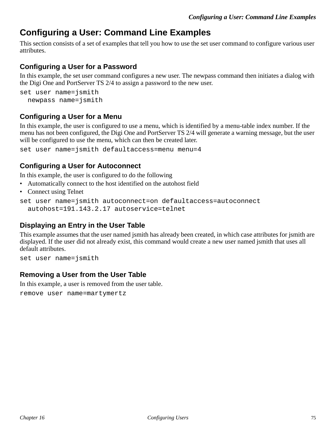### **Configuring a User: Command Line Examples**

This section consists of a set of examples that tell you how to use the set user command to configure various user attributes.

#### **Configuring a User for a Password**

In this example, the set user command configures a new user. The newpass command then initiates a dialog with the Digi One and PortServer TS 2/4 to assign a password to the new user.

```
set user name=jsmith 
 newpass name=jsmith
```
#### **Configuring a User for a Menu**

In this example, the user is configured to use a menu, which is identified by a menu-table index number. If the menu has not been configured, the Digi One and PortServer TS 2/4 will generate a warning message, but the user will be configured to use the menu, which can then be created later.

set user name=jsmith defaultaccess=menu menu=4

#### **Configuring a User for Autoconnect**

In this example, the user is configured to do the following

- Automatically connect to the host identified on the autohost field
- Connect using Telnet

```
set user name=jsmith autoconnect=on defaultaccess=autoconnect 
  autohost=191.143.2.17 autoservice=telnet
```
#### **Displaying an Entry in the User Table**

This example assumes that the user named jsmith has already been created, in which case attributes for jsmith are displayed. If the user did not already exist, this command would create a new user named jsmith that uses all default attributes.

set user name=jsmith

#### **Removing a User from the User Table**

In this example, a user is removed from the user table.

remove user name=martymertz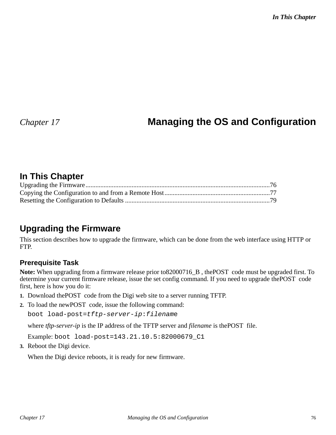# *Chapter 17* **Managing the OS and Configuration**

### **In This Chapter**

### **Upgrading the Firmware**

This section describes how to upgrade the firmware, which can be done from the web interface using HTTP or FTP.

#### **Prerequisite Task**

**Note:** When upgrading from a firmware release prior to82000716\_B , thePOST code must be upgraded first. To determine your current firmware release, issue the set config command. If you need to upgrade thePOST code first, here is how you do it:

- **1.** Download thePOST code from the Digi web site to a server running TFTP.
- **2.** To load the newPOST code, issue the following command:

boot load-post=tftp-server-ip:filename

where *tftp-server-ip* is the IP address of the TFTP server and *filename* is thePOST file.

Example: boot load-post=143.21.10.5:82000679\_C1

**3.** Reboot the Digi device.

When the Digi device reboots, it is ready for new firmware.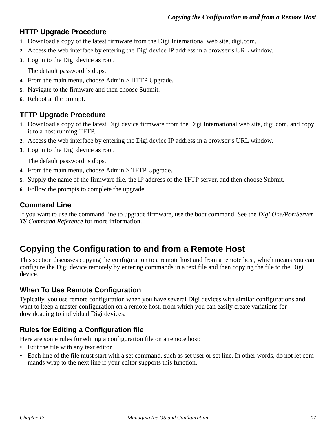#### **HTTP Upgrade Procedure**

- **1.** Download a copy of the latest firmware from the Digi International web site, digi.com.
- **2.** Access the web interface by entering the Digi device IP address in a browser's URL window.
- **3.** Log in to the Digi device as root.

The default password is dbps.

- **4.** From the main menu, choose Admin > HTTP Upgrade.
- **5.** Navigate to the firmware and then choose Submit.
- **6.** Reboot at the prompt.

### **TFTP Upgrade Procedure**

- **1.** Download a copy of the latest Digi device firmware from the Digi International web site, digi.com, and copy it to a host running TFTP.
- **2.** Access the web interface by entering the Digi device IP address in a browser's URL window.
- **3.** Log in to the Digi device as root.

The default password is dbps.

- **4.** From the main menu, choose Admin > TFTP Upgrade.
- **5.** Supply the name of the firmware file, the IP address of the TFTP server, and then choose Submit.
- **6.** Follow the prompts to complete the upgrade.

### **Command Line**

If you want to use the command line to upgrade firmware, use the boot command. See the *Digi One/PortServer TS Command Reference* for more information.

### **Copying the Configuration to and from a Remote Host**

This section discusses copying the configuration to a remote host and from a remote host, which means you can configure the Digi device remotely by entering commands in a text file and then copying the file to the Digi device.

### **When To Use Remote Configuration**

Typically, you use remote configuration when you have several Digi devices with similar configurations and want to keep a master configuration on a remote host, from which you can easily create variations for downloading to individual Digi devices.

### **Rules for Editing a Configuration file**

Here are some rules for editing a configuration file on a remote host:

- Edit the file with any text editor.
- Each line of the file must start with a set command, such as set user or set line. In other words, do not let commands wrap to the next line if your editor supports this function.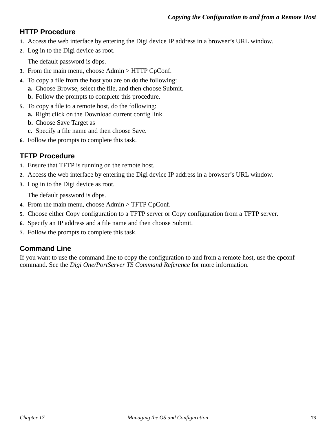### **HTTP Procedure**

- **1.** Access the web interface by entering the Digi device IP address in a browser's URL window.
- **2.** Log in to the Digi device as root.

The default password is dbps.

- **3.** From the main menu, choose Admin > HTTP CpConf.
- **4.** To copy a file from the host you are on do the following:
- **a.** Choose Browse, select the file, and then choose Submit.
	- **b.** Follow the prompts to complete this procedure.
- **5.** To copy a file to a remote host, do the following:
	- **a.** Right click on the Download current config link.
	- **b.** Choose Save Target as
	- **c.** Specify a file name and then choose Save.
- **6.** Follow the prompts to complete this task.

### **TFTP Procedure**

- **1.** Ensure that TFTP is running on the remote host.
- **2.** Access the web interface by entering the Digi device IP address in a browser's URL window.
- **3.** Log in to the Digi device as root.

The default password is dbps.

- **4.** From the main menu, choose Admin > TFTP CpConf.
- **5.** Choose either Copy configuration to a TFTP server or Copy configuration from a TFTP server.
- **6.** Specify an IP address and a file name and then choose Submit.
- **7.** Follow the prompts to complete this task.

### **Command Line**

If you want to use the command line to copy the configuration to and from a remote host, use the cpconf command. See the *Digi One/PortServer TS Command Reference* for more information.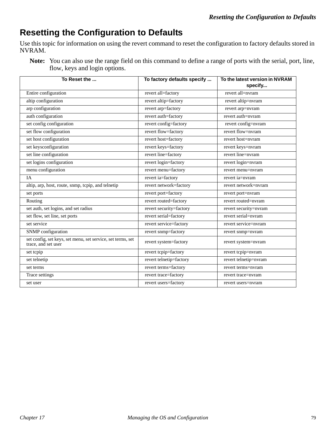### **Resetting the Configuration to Defaults**

Use this topic for information on using the revert command to reset the configuration to factory defaults stored in NVRAM.

**Note:** You can also use the range field on this command to define a range of ports with the serial, port, line, flow, keys and login options.

| To Reset the                                                                       | To factory defaults specify | To the latest version in NVRAM<br>specify |
|------------------------------------------------------------------------------------|-----------------------------|-------------------------------------------|
| Entire configuration                                                               | revert all=factory          | revert all=nvram                          |
| altip configuration                                                                | revert altip=factory        | revert altip=nvram                        |
| arp configuration                                                                  | revert arp=factory          | revert arp=nvram                          |
| auth configuration                                                                 | revert auth=factory         | revert auth=nyram                         |
| set config configuration                                                           | revert config=factory       | revert config=nvram                       |
| set flow configuration                                                             | revert flow=factory         | revert flow=nvram                         |
| set host configuration                                                             | revert host=factory         | revert host=nyram                         |
| set keysconfiguration                                                              | revert keys=factory         | revert keys=nvram                         |
| set line configuration                                                             | revert line=factory         | revert line=nvram                         |
| set logins configuration                                                           | revert login=factory        | revert login=nvram                        |
| menu configuration                                                                 | revert menu=factory         | revert menu=nvram                         |
| IA                                                                                 | revert ia=factory           | revert ia=nvram                           |
| altip, arp, host, route, snmp, tcpip, and telnetip                                 | revert network=factory      | revert network=nvram                      |
| set ports                                                                          | revert port=factory         | revert port=nvram                         |
| Routing                                                                            | revert routed=factory       | revert routed=nvram                       |
| set auth, set logins, and set radius                                               | revert security=factory     | revert security=nvram                     |
| set flow, set line, set ports                                                      | revert serial=factory       | revert serial=nvram                       |
| set service                                                                        | revert service=factory      | revert service=nvram                      |
| SNMP configuration                                                                 | revert snmp=factory         | revert snmp=nvram                         |
| set config, set keys, set menu, set service, set terms, set<br>trace, and set user | revert system=factory       | revert system=nvram                       |
| set tcpip                                                                          | revert tcpip=factory        | revert tcpip=nvram                        |
| set telnetip                                                                       | revert telnetip=factory     | revert telnetip=nvram                     |
| set terms                                                                          | revert terms=factory        | revert terms=nvram                        |
| Trace settings                                                                     | revert trace=factory        | revert trace=nvram                        |
| set user                                                                           | revert users=factory        | revert users=nyram                        |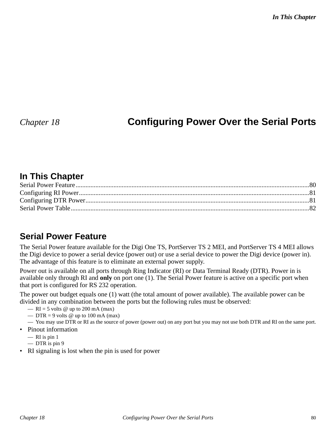*In This Chapter*

### *Chapter 18* **Configuring Power Over the Serial Ports**

### **In This Chapter**

### **Serial Power Feature**

The Serial Power feature available for the Digi One TS, PortServer TS 2 MEI, and PortServer TS 4 MEI allows the Digi device to power a serial device (power out) or use a serial device to power the Digi device (power in). The advantage of this feature is to eliminate an external power supply.

Power out is available on all ports through Ring Indicator (RI) or Data Terminal Ready (DTR). Power in is available only through RI and **only** on port one (1). The Serial Power feature is active on a specific port when that port is configured for RS 232 operation.

The power out budget equals one (1) watt (the total amount of power available). The available power can be divided in any combination between the ports but the following rules must be observed:

- $RI = 5$  volts @ up to 200 mA (max)
- DTR = 9 volts  $\omega$  up to 100 mA (max)
- You may use DTR or RI as the source of power (power out) on any port but you may not use both DTR and RI on the same port.
- Pinout information
	- $-$  RI is pin 1
	- DTR is pin 9
- RI signaling is lost when the pin is used for power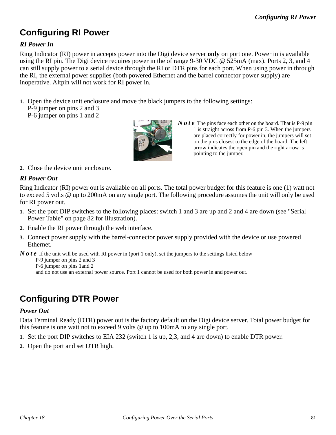# **Configuring RI Power**

#### *RI Power In*

Ring Indicator (RI) power in accepts power into the Digi device server **only** on port one. Power in is available using the RI pin. The Digi device requires power in the of range 9-30 VDC @ 525mA (max). Ports 2, 3, and 4 can still supply power to a serial device through the RI or DTR pins for each port. When using power in through the RI, the external power supplies (both powered Ethernet and the barrel connector power supply) are inoperative. Altpin will not work for RI power in.

**1.** Open the device unit enclosure and move the black jumpers to the following settings:

P-9 jumper on pins 2 and 3

```
P-6 jumper on pins 1 and 2
```


*Note* The pins face each other on the board. That is P-9 pin 1 is straight across from P-6 pin 3. When the jumpers are placed correctly for power in, the jumpers will set on the pins closest to the edge of the board. The left arrow indicates the open pin and the right arrow is pointing to the jumper.

**2.** Close the device unit enclosure.

#### *RI Power Out*

Ring Indicator (RI) power out is available on all ports. The total power budget for this feature is one (1) watt not to exceed 5 volts @ up to 200mA on any single port. The following procedure assumes the unit will only be used for RI power out.

- **1.** Set the port DIP switches to the following places: switch 1 and 3 are up and 2 and 4 are down (see "Serial Power Table" on page 82 for illustration).
- **2.** Enable the RI power through the web interface.
- **3.** Connect power supply with the barrel-connector power supply provided with the device or use powered Ethernet.

*Note* If the unit will be used with RI power in (port 1 only), set the jumpers to the settings listed below

P-9 jumper on pins 2 and 3

P-6 jumper on pins 1and 2

and do not use an external power source. Port 1 cannot be used for both power in and power out.

# **Configuring DTR Power**

#### *Power Out*

Data Terminal Ready (DTR) power out is the factory default on the Digi device server. Total power budget for this feature is one watt not to exceed 9 volts @ up to 100mA to any single port.

- **1.** Set the port DIP switches to EIA 232 (switch 1 is up, 2,3, and 4 are down) to enable DTR power.
- **2.** Open the port and set DTR high.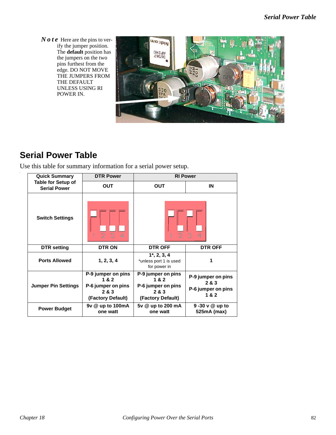*Note* Here are the pins to verify the jumper position. The **default** position has the jumpers on the two pins furthest from the edge. DO NOT MOVE THE JUMPERS FROM THE DEFAULT UNLESS USING RI POWER IN.



### **Serial Power Table**

Use this table for summary information for a serial power setup.

| <b>DTR Power</b><br><b>Quick Summary</b>         |                                                                               | <b>RI Power</b>                                                               |                                                          |
|--------------------------------------------------|-------------------------------------------------------------------------------|-------------------------------------------------------------------------------|----------------------------------------------------------|
| <b>Table for Setup of</b><br><b>Serial Power</b> | <b>OUT</b>                                                                    | <b>OUT</b>                                                                    | IN                                                       |
| <b>Switch Settings</b>                           | 2<br>R                                                                        | 2                                                                             | 8                                                        |
| <b>DTR</b> setting                               | <b>DTR ON</b>                                                                 | <b>DTR OFF</b>                                                                | <b>DTR OFF</b>                                           |
| <b>Ports Allowed</b>                             | 1, 2, 3, 4                                                                    | $1^*$ , 2, 3, 4<br>*unless port 1 is used<br>for power in                     | 1                                                        |
| <b>Jumper Pin Settings</b>                       | P-9 jumper on pins<br>1&2<br>P-6 jumper on pins<br>2 & 3<br>(Factory Default) | P-9 jumper on pins<br>1&2<br>P-6 jumper on pins<br>2 & 3<br>(Factory Default) | P-9 jumper on pins<br>2 & 3<br>P-6 jumper on pins<br>1&2 |
| <b>Power Budget</b>                              | 9v @ up to 100mA<br>one watt                                                  | 5v @ up to 200 mA<br>one watt                                                 | 9 -30 v @ up to<br>525mA (max)                           |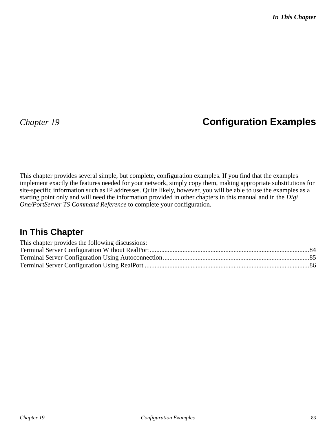# *Chapter 19* **Configuration Examples**

This chapter provides several simple, but complete, configuration examples. If you find that the examples implement exactly the features needed for your network, simply copy them, making appropriate substitutions for site-specific information such as IP addresses. Quite likely, however, you will be able to use the examples as a starting point only and will need the information provided in other chapters in this manual and in the *Digi One/PortServer TS Command Reference* to complete your configuration.

### **In This Chapter**

| This chapter provides the following discussions: |  |
|--------------------------------------------------|--|
|                                                  |  |
|                                                  |  |
|                                                  |  |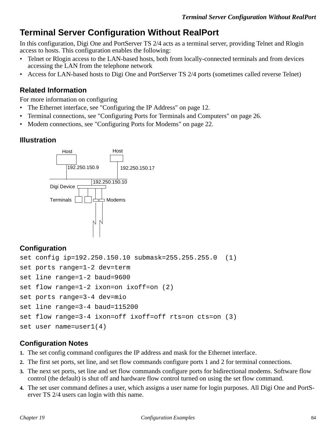### **Terminal Server Configuration Without RealPort**

In this configuration, Digi One and PortServer TS 2/4 acts as a terminal server, providing Telnet and Rlogin access to hosts. This configuration enables the following:

- Telnet or Rlogin access to the LAN-based hosts, both from locally-connected terminals and from devices accessing the LAN from the telephone network
- Access for LAN-based hosts to Digi One and PortServer TS 2/4 ports (sometimes called reverse Telnet)

#### **Related Information**

For more information on configuring

- The Ethernet interface, see "Configuring the IP Address" on page 12.
- Terminal connections, see "Configuring Ports for Terminals and Computers" on page 26.
- Modem connections, see "Configuring Ports for Modems" on page 22.

#### **Illustration**



#### **Configuration**

```
set config ip=192.250.150.10 submask=255.255.255.0 (1)
set ports range=1-2 dev=term 
set line range=1-2 baud=9600
set flow range=1-2 ixon=on ixoff=on (2)
set ports range=3-4 dev=mio
set line range=3-4 baud=115200
set flow range=3-4 ixon=off ixoff=off rts=on cts=on (3)
set user name=user1(4)
```
#### **Configuration Notes**

- **1.** The set config command configures the IP address and mask for the Ethernet interface.
- **2.** The first set ports, set line, and set flow commands configure ports 1 and 2 for terminal connections.
- **3.** The next set ports, set line and set flow commands configure ports for bidirectional modems. Software flow control (the default) is shut off and hardware flow control turned on using the set flow command.
- **4.** The set user command defines a user, which assigns a user name for login purposes. All Digi One and PortServer TS 2/4 users can login with this name.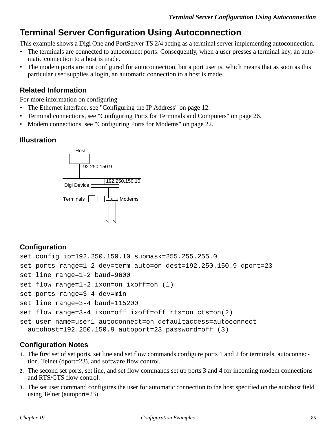### **Terminal Server Configuration Using Autoconnection**

This example shows a Digi One and PortServer TS 2/4 acting as a terminal server implementing autoconnection.

- The terminals are connected to autoconnect ports. Consequently, when a user presses a terminal key, an automatic connection to a host is made.
- The modem ports are not configured for autoconnection, but a port user is, which means that as soon as this particular user supplies a login, an automatic connection to a host is made.

#### **Related Information**

For more information on configuring

- The Ethernet interface, see "Configuring the IP Address" on page 12.
- Terminal connections, see "Configuring Ports for Terminals and Computers" on page 26.
- Modem connections, see "Configuring Ports for Modems" on page 22.

#### **Illustration**



### **Configuration**

```
set config ip=192.250.150.10 submask=255.255.255.0 
set ports range=1-2 dev=term auto=on dest=192.250.150.9 dport=23
set line range=1-2 baud=9600
set flow range=1-2 ixon=on ixoff=on (1)
set ports range=3-4 dev=min
set line range=3-4 baud=115200
set flow range=3-4 ixon=off ixoff=off rts=on cts=on(2)
set user name=user1 autoconnect=on defaultaccess=autoconnect 
 autohost=192.250.150.9 autoport=23 password=off (3)
```
### **Configuration Notes**

- **1.** The first set of set ports, set line and set flow commands configure ports 1 and 2 for terminals, autoconnection, Telnet (dport=23), and software flow control.
- **2.** The second set ports, set line, and set flow commands set up ports 3 and 4 for incoming modem connections and RTS/CTS flow control.
- **3.** The set user command configures the user for automatic connection to the host specified on the autohost field using Telnet (autoport=23).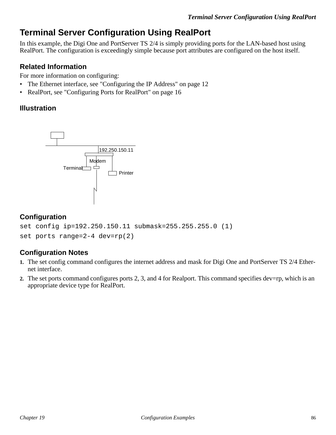### **Terminal Server Configuration Using RealPort**

In this example, the Digi One and PortServer TS 2/4 is simply providing ports for the LAN-based host using RealPort. The configuration is exceedingly simple because port attributes are configured on the host itself.

#### **Related Information**

For more information on configuring:

- The Ethernet interface, see "Configuring the IP Address" on page 12
- RealPort, see "Configuring Ports for RealPort" on page 16

#### **Illustration**



#### **Configuration**

```
set config ip=192.250.150.11 submask=255.255.255.0 (1)
set ports range=2-4 dev=rp(2)
```
#### **Configuration Notes**

- **1.** The set config command configures the internet address and mask for Digi One and PortServer TS 2/4 Ethernet interface.
- **2.** The set ports command configures ports 2, 3, and 4 for Realport. This command specifies dev=rp, which is an appropriate device type for RealPort.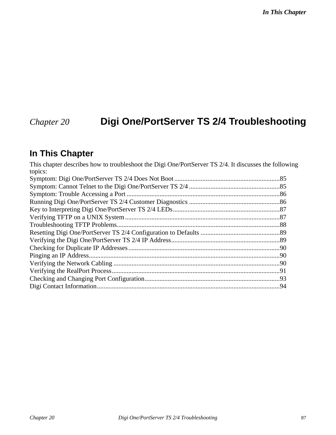*In This Chapter*

# *Chapter 20* **Digi One/PortServer TS 2/4 Troubleshooting**

### **In This Chapter**

This chapter describes how to troubleshoot the Digi One/PortServer TS 2/4. It discusses the following topics: Symptom: Digi One/PortServer TS 2/4 Does Not Boot ................................................................85 Symptom: Cannot Telnet to the Digi One/PortServer TS 2/4 .......................................................85 Symptom: Trouble Accessing a Port .............................................................................................86 Running Digi One/PortServer TS 2/4 Customer Diagnostics .......................................................86 Key to Interpreting Digi One/PortServer TS 2/4 LEDs.................................................................87 Verifying TFTP on a UNIX System ..............................................................................................87 Troubleshooting TFTP Problems...................................................................................................88 Resetting Digi One/PortServer TS 2/4 Configuration to Defaults ................................................89 Verifying the Digi One/PortServer TS 2/4 IP Address..................................................................89 Checking for Duplicate IP Addresses............................................................................................90 Pinging an IP Address....................................................................................................................90 Verifying the Network Cabling .....................................................................................................90 Verifying the RealPort Process......................................................................................................91 Checking and Changing Port Configuration..................................................................................93 Digi Contact Information...............................................................................................................94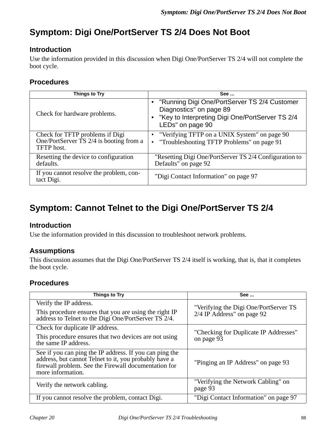# **Symptom: Digi One/PortServer TS 2/4 Does Not Boot**

### **Introduction**

Use the information provided in this discussion when Digi One/PortServer TS 2/4 will not complete the boot cycle.

#### **Procedures**

| Things to Try                                                                                         | <b>See </b>                                                                                                                                        |
|-------------------------------------------------------------------------------------------------------|----------------------------------------------------------------------------------------------------------------------------------------------------|
| Check for hardware problems.                                                                          | • "Running Digi One/PortServer TS 2/4 Customer<br>Diagnostics" on page 89<br>• "Key to Interpreting Digi One/PortServer TS 2/4<br>LEDs" on page 90 |
| Check for TFTP problems if Digi<br>One/PortServer $\overline{TS}$ 2/4 is booting from a<br>TFTP host. | • "Verifying TFTP on a UNIX System" on page 90<br>• "Troubleshooting TFTP Problems" on page 91                                                     |
| Resetting the device to configuration<br>defaults.                                                    | "Resetting Digi One/PortServer TS 2/4 Configuration to<br>Defaults" on page 92                                                                     |
| If you cannot resolve the problem, con-<br>tact Digi.                                                 | "Digi Contact Information" on page 97                                                                                                              |

# **Symptom: Cannot Telnet to the Digi One/PortServer TS 2/4**

#### **Introduction**

Use the information provided in this discussion to troubleshoot network problems.

### **Assumptions**

This discussion assumes that the Digi One/PortServer TS 2/4 itself is working, that is, that it completes the boot cycle.

### **Procedures**

| Things to Try                                                                                                                                                                                 | See                                                                 |
|-----------------------------------------------------------------------------------------------------------------------------------------------------------------------------------------------|---------------------------------------------------------------------|
| Verify the IP address.<br>This procedure ensures that you are using the right IP<br>address to Telnet to the Digi One/PortServer TS 2/4.                                                      | "Verifying the Digi One/PortServer TS<br>2/4 IP Address" on page 92 |
| Check for duplicate IP address.<br>This procedure ensures that two devices are not using<br>the same IP address.                                                                              | "Checking for Duplicate IP Addresses"<br>on page 93                 |
| See if you can ping the IP address. If you can ping the<br>address, but cannot Telnet to it, you probably have a<br>firewall problem. See the Firewall documentation for<br>more information. | "Pinging an IP Address" on page 93                                  |
| Verify the network cabling.                                                                                                                                                                   | "Verifying the Network Cabling" on<br>page 93                       |
| If you cannot resolve the problem, contact Digi.                                                                                                                                              | "Digi Contact Information" on page 97                               |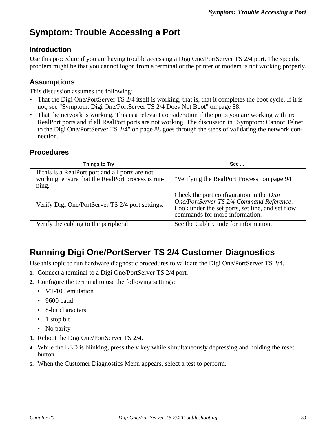### **Symptom: Trouble Accessing a Port**

#### **Introduction**

Use this procedure if you are having trouble accessing a Digi One/PortServer TS 2/4 port. The specific problem might be that you cannot logon from a terminal or the printer or modem is not working properly.

#### **Assumptions**

This discussion assumes the following:

- That the Digi One/PortServer TS 2/4 itself is working, that is, that it completes the boot cycle. If it is not, see "Symptom: Digi One/PortServer TS 2/4 Does Not Boot" on page 88.
- That the network is working. This is a relevant consideration if the ports you are working with are RealPort ports and if all RealPort ports are not working. The discussion in "Symptom: Cannot Telnet to the Digi One/PortServer TS 2/4" on page 88 goes through the steps of validating the network connection.

#### **Procedures**

| Things to Try                                                                                                  | See                                                                                                                                                                        |
|----------------------------------------------------------------------------------------------------------------|----------------------------------------------------------------------------------------------------------------------------------------------------------------------------|
| If this is a RealPort port and all ports are not<br>working, ensure that the RealPort process is run-<br>ning. | "Verifying the RealPort Process" on page 94                                                                                                                                |
| Verify Digi One/PortServer TS 2/4 port settings.                                                               | Check the port configuration in the Digi<br>One/PortServer TS 2/4 Command Reference.<br>Look under the set ports, set line, and set flow<br>commands for more information. |
| Verify the cabling to the peripheral                                                                           | See the Cable Guide for information.                                                                                                                                       |

### **Running Digi One/PortServer TS 2/4 Customer Diagnostics**

Use this topic to run hardware diagnostic procedures to validate the Digi One/PortServer TS 2/4.

- **1.** Connect a terminal to a Digi One/PortServer TS 2/4 port.
- **2.** Configure the terminal to use the following settings:
	- VT-100 emulation
	- 9600 baud
	- 8-bit characters
	- 1 stop bit
	- No parity
- **3.** Reboot the Digi One/PortServer TS 2/4.
- **4.** While the LED is blinking, press the v key while simultaneously depressing and holding the reset button.
- **5.** When the Customer Diagnostics Menu appears, select a test to perform.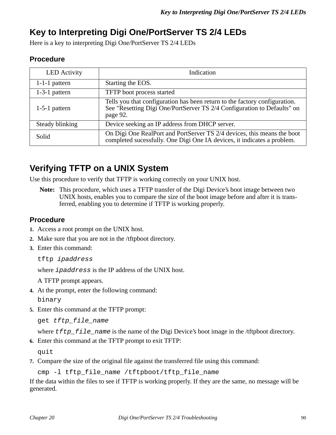### **Key to Interpreting Digi One/PortServer TS 2/4 LEDs**

Here is a key to interpreting Digi One/PortServer TS 2/4 LEDs

#### **Procedure**

| <b>LED</b> Activity | Indication                                                                                                                                                        |
|---------------------|-------------------------------------------------------------------------------------------------------------------------------------------------------------------|
| $1-1-1$ pattern     | Starting the EOS.                                                                                                                                                 |
| $1-3-1$ pattern     | TFTP boot process started                                                                                                                                         |
| $1-5-1$ pattern     | Tells you that configuration has been return to the factory configuration.<br>See "Resetting Digi One/PortServer TS 2/4 Configuration to Defaults" on<br>page 92. |
| Steady blinking     | Device seeking an IP address from DHCP server.                                                                                                                    |
| Solid               | On Digi One RealPort and PortServer TS 2/4 devices, this means the boot<br>completed sucessfully. One Digi One IA devices, it indicates a problem.                |

### **Verifying TFTP on a UNIX System**

Use this procedure to verify that TFTP is working correctly on your UNIX host.

**Note:** This procedure, which uses a TFTP transfer of the Digi Device's boot image between two UNIX hosts, enables you to compare the size of the boot image before and after it is transferred, enabling you to determine if TFTP is working properly.

#### **Procedure**

- **1.** Access a root prompt on the UNIX host.
- **2.** Make sure that you are not in the /tftpboot directory.
- **3.** Enter this command:

```
tftp ipaddress
```
where ipaddress is the IP address of the UNIX host.

A TFTP prompt appears.

- **4.** At the prompt, enter the following command: binary
- **5.** Enter this command at the TFTP prompt:

```
get tftp file name
```
where  $tftp_f$  is the name of the Digi Device's boot image in the /tftpboot directory.

**6.** Enter this command at the TFTP prompt to exit TFTP:

quit

**7.** Compare the size of the original file against the transferred file using this command:

cmp -l tftp\_file\_name /tftpboot/tftp\_file\_name

If the data within the files to see if TFTP is working properly. If they are the same, no message will be generated.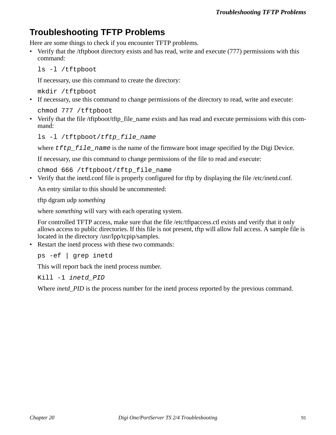### **Troubleshooting TFTP Problems**

Here are some things to check if you encounter TFTP problems.

• Verify that the /tftpboot directory exists and has read, write and execute (777) permissions with this command:

ls -l /tftpboot

If necessary, use this command to create the directory:

mkdir /tftpboot

• If necessary, use this command to change permissions of the directory to read, write and execute:

chmod 777 /tftpboot

• Verify that the file /tftpboot/tftp\_file\_name exists and has read and execute permissions with this command:

```
ls -l /tftpboot/tftp_file_name
```
where  $tftp_f$  ile\_name is the name of the firmware boot image specified by the Digi Device.

If necessary, use this command to change permissions of the file to read and execute:

chmod 666 /tftpboot/tftp\_file\_name

• Verify that the inetd.conf file is properly configured for tftp by displaying the file /etc/inetd.conf.

An entry similar to this should be uncommented:

tftp dgram udp *something*

where *something* will vary with each operating system.

For controlled TFTP access, make sure that the file /etc/tftpaccess.ctl exists and verify that it only allows access to public directories. If this file is not present, tftp will allow full access. A sample file is located in the directory /usr/lpp/tcpip/samples.

• Restart the inetd process with these two commands:

ps -ef | grep inetd

This will report back the inetd process number.

Kill -1 inetd\_PID

Where *inetd\_PID* is the process number for the inetd process reported by the previous command.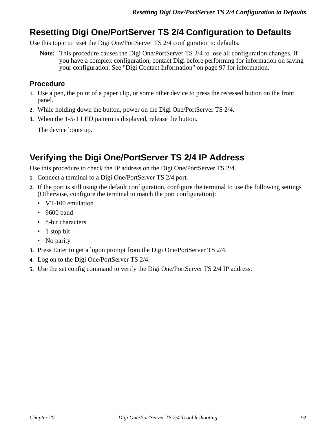### **Resetting Digi One/PortServer TS 2/4 Configuration to Defaults**

Use this topic to reset the Digi One/PortServer TS 2/4 configuration to defaults.

**Note:** This procedure causes the Digi One/PortServer TS 2/4 to lose all configuration changes. If you have a complex configuration, contact Digi before performing for information on saving your configuration. See "Digi Contact Information" on page 97 for information.

#### **Procedure**

- **1.** Use a pen, the point of a paper clip, or some other device to press the recessed button on the front panel.
- **2.** While holding down the button, power on the Digi One/PortServer TS 2/4.
- **3.** When the 1-5-1 LED pattern is displayed, release the button.

The device boots up.

### **Verifying the Digi One/PortServer TS 2/4 IP Address**

Use this procedure to check the IP address on the Digi One/PortServer TS 2/4.

- **1.** Connect a terminal to a Digi One/PortServer TS 2/4 port.
- **2.** If the port is still using the default configuration, configure the terminal to use the following settings (Otherwise, configure the terminal to match the port configuration):
	- VT-100 emulation
	- 9600 baud
	- 8-bit characters
	- 1 stop bit
	- No parity
- **3.** Press Enter to get a logon prompt from the Digi One/PortServer TS 2/4.
- **4.** Log on to the Digi One/PortServer TS 2/4.
- **5.** Use the set config command to verify the Digi One/PortServer TS 2/4 IP address.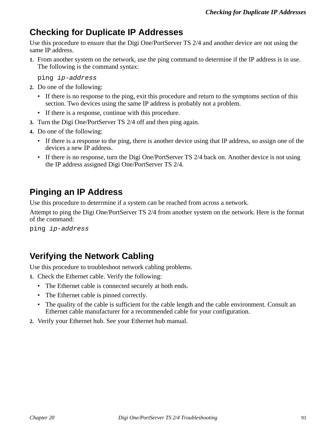### **Checking for Duplicate IP Addresses**

Use this procedure to ensure that the Digi One/PortServer TS 2/4 and another device are not using the same IP address.

**1.** From another system on the network, use the ping command to determine if the IP address is in use. The following is the command syntax:

ping ip-address

- **2.** Do one of the following:
	- If there is no response to the ping, exit this procedure and return to the symptoms section of this section. Two devices using the same IP address is probably not a problem.
	- If there is a response, continue with this procedure.
- **3.** Turn the Digi One/PortServer TS 2/4 off and then ping again.
- **4.** Do one of the following:
	- If there is a response to the ping, there is another device using that IP address, so assign one of the devices a new IP address.
	- If there is no response, turn the Digi One/PortServer TS 2/4 back on. Another device is not using the IP address assigned Digi One/PortServer TS 2/4.

### **Pinging an IP Address**

Use this procedure to deterrmine if a system can be reached from across a network.

Attempt to ping the Digi One/PortServer TS 2/4 from another system on the network. Here is the format of the command:

ping ip-address

### **Verifying the Network Cabling**

Use this procedure to troubleshoot network cabling problems.

- **1.** Check the Ethernet cable. Verify the following:
	- The Ethernet cable is connected securely at both ends.
	- The Ethernet cable is pinned correctly.
	- The quality of the cable is sufficient for the cable length and the cable environment. Consult an Ethernet cable manufacturer for a recommended cable for your configuration.
- **2.** Verify your Ethernet hub. See your Ethernet hub manual.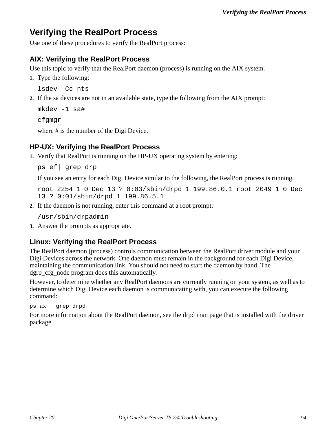### **Verifying the RealPort Process**

Use one of these procedures to verify the RealPort process:

### **AIX: Verifying the RealPort Process**

Use this topic to verify that the RealPort daemon (process) is running on the AIX system.

**1.** Type the following:

lsdev -Cc nts

**2.** If the sa devices are not in an available state, type the following from the AIX prompt:

```
mkdev -1 sa#
cfgmgr
```
where # is the number of the Digi Device.

### **HP-UX: Verifying the RealPort Process**

**1.** Verify that RealPort is running on the HP-UX operating system by entering:

ps ef| grep drp

If you see an entry for each Digi Device similar to the following, the RealPort process is running.

```
root 2254 1 0 Dec 13 ? 0:03/sbin/drpd 1 199.86.0.1 root 2049 1 0 Dec 
13 ? 0:01/sbin/drpd 1 199.86.5.1
```
**2.** If the daemon is not running, enter this command at a root prompt:

/usr/sbin/drpadmin

**3.** Answer the prompts as appropriate.

### **Linux: Verifying the RealPort Process**

The RealPort daemon (process) controls communication between the RealPort driver module and your Digi Devices across the network. One daemon must remain in the background for each Digi Device, maintaining the communication link. You should not need to start the daemon by hand. The dgrp cfg node program does this automatically.

However, to determine whether any RealPort daemons are currently running on your system, as well as to determine which Digi Device each daemon is communicating with, you can execute the following command:

ps ax | grep drpd

For more information about the RealPort daemon, see the drpd man page that is installed with the driver package.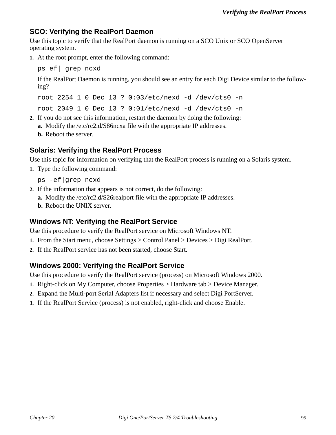#### **SCO: Verifying the RealPort Daemon**

Use this topic to verify that the RealPort daemon is running on a SCO Unix or SCO OpenServer operating system.

**1.** At the root prompt, enter the following command:

ps ef| grep ncxd

If the RealPort Daemon is running, you should see an entry for each Digi Device similar to the following?

root 2254 1 0 Dec 13 ? 0:03/etc/nexd -d /dev/cts0 -n root 2049 1 0 Dec 13 ? 0:01/etc/nexd -d /dev/cts0 -n

**2.** If you do not see this information, restart the daemon by doing the following: **a.** Modify the /etc/rc2.d/S86ncxa file with the appropriate IP addresses.

**b.** Reboot the server.

#### **Solaris: Verifying the RealPort Process**

Use this topic for information on verifying that the RealPort process is running on a Solaris system.

**1.** Type the following command:

ps -ef|grep ncxd

- **2.** If the information that appears is not correct, do the following:
	- **a.** Modify the /etc/rc2.d/S26realport file with the appropriate IP addresses.
	- **b.** Reboot the UNIX server.

#### **Windows NT: Verifying the RealPort Service**

Use this procedure to verify the RealPort service on Microsoft Windows NT.

- **1.** From the Start menu, choose Settings > Control Panel > Devices > Digi RealPort.
- **2.** If the RealPort service has not been started, choose Start.

#### **Windows 2000: Verifying the RealPort Service**

Use this procedure to verify the RealPort service (process) on Microsoft Windows 2000.

- **1.** Right-click on My Computer, choose Properties > Hardware tab > Device Manager.
- **2.** Expand the Multi-port Serial Adapters list if necessary and select Digi PortServer.
- **3.** If the RealPort Service (process) is not enabled, right-click and choose Enable.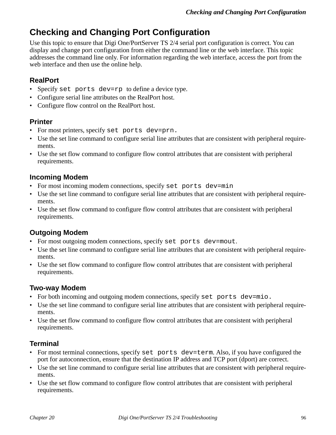### **Checking and Changing Port Configuration**

Use this topic to ensure that Digi One/PortServer TS 2/4 serial port configuration is correct. You can display and change port configuration from either the command line or the web interface. This topic addresses the command line only. For information regarding the web interface, access the port from the web interface and then use the online help.

#### **RealPort**

- Specify set ports dev=rp to define a device type.
- Configure serial line attributes on the RealPort host.
- Configure flow control on the RealPort host.

#### **Printer**

- For most printers, specify set ports dev=prn.
- Use the set line command to configure serial line attributes that are consistent with peripheral requirements.
- Use the set flow command to configure flow control attributes that are consistent with peripheral requirements.

#### **Incoming Modem**

- For most incoming modem connections, specify set ports dev=min
- Use the set line command to configure serial line attributes that are consistent with peripheral requirements.
- Use the set flow command to configure flow control attributes that are consistent with peripheral requirements.

### **Outgoing Modem**

- For most outgoing modem connections, specify set ports dev=mout.
- Use the set line command to configure serial line attributes that are consistent with peripheral requirements.
- Use the set flow command to configure flow control attributes that are consistent with peripheral requirements.

### **Two-way Modem**

- For both incoming and outgoing modem connections, specify set ports dev=mio.
- Use the set line command to configure serial line attributes that are consistent with peripheral requirements.
- Use the set flow command to configure flow control attributes that are consistent with peripheral requirements.

### **Terminal**

- For most terminal connections, specify set ports dev=term. Also, if you have configured the port for autoconnection, ensure that the destination IP address and TCP port (dport) are correct.
- Use the set line command to configure serial line attributes that are consistent with peripheral requirements.
- Use the set flow command to configure flow control attributes that are consistent with peripheral requirements.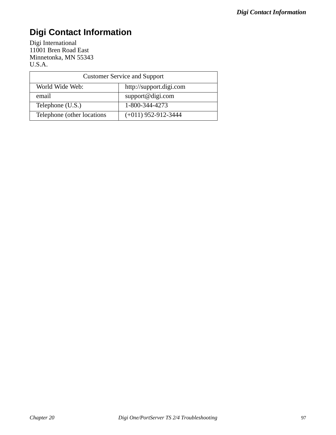# **Digi Contact Information**

Digi International 11001 Bren Road East Minnetonka, MN 55343 U.S.A.

| <b>Customer Service and Support</b> |                         |  |
|-------------------------------------|-------------------------|--|
| World Wide Web:                     | http://support.digi.com |  |
| email                               | support@digi.com        |  |
| Telephone (U.S.)                    | 1-800-344-4273          |  |
| Telephone (other locations)         | $(+011)$ 952-912-3444   |  |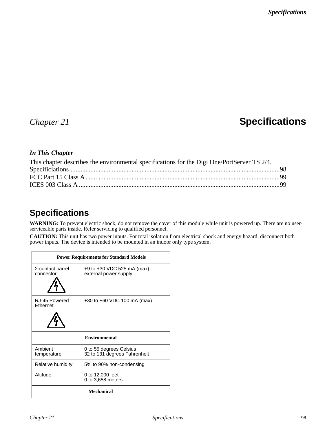# *Chapter 21* **Specifications**

#### *In This Chapter*

| This chapter describes the environmental specifications for the Digi One/PortServer TS 2/4. |  |
|---------------------------------------------------------------------------------------------|--|
|                                                                                             |  |
|                                                                                             |  |
|                                                                                             |  |
|                                                                                             |  |

### **Specifications**

**WARNING:** To prevent electric shock, do not remove the cover of this module while unit is powered up. There are no userserviceable parts inside. Refer servicing to qualified personnel.

**CAUTION:** This unit has two power inputs. For total isolation from electrical shock and energy hazard, disconnect both power inputs. The device is intended to be mounted in an indoor only type system.

| <b>Power Requirements for Standard Models</b> |                                                         |  |
|-----------------------------------------------|---------------------------------------------------------|--|
| 2-contact barrel<br>connector                 | +9 to +30 VDC 525 mA (max)<br>external power supply     |  |
| RJ-45 Powered<br><b>Ethernet</b>              | $+30$ to $+60$ VDC 100 mA (max)                         |  |
| <b>Environmental</b>                          |                                                         |  |
| Ambient<br>temperature                        | 0 to 55 degrees Celsius<br>32 to 131 degrees Fahrenheit |  |
| Relative humidity                             | 5% to 90% non-condensing                                |  |
| Altitude                                      | 0 to 12,000 feet<br>0 to 3,658 meters                   |  |
| <b>Mechanical</b>                             |                                                         |  |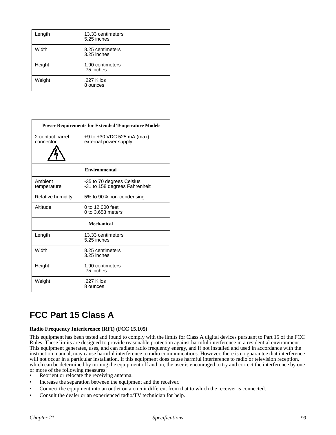| Length | 13.33 centimeters<br>5.25 inches |
|--------|----------------------------------|
| Width  | 8.25 centimeters<br>3.25 inches  |
| Height | 1.90 centimeters<br>.75 inches   |
| Weight | .227 Kilos<br>8 ounces           |

| <b>Power Requirements for Extended Temperature Models</b> |                                                            |  |
|-----------------------------------------------------------|------------------------------------------------------------|--|
| 2-contact barrel<br>connector                             | $+9$ to $+30$ VDC 525 mA (max)<br>external power supply    |  |
| <b>Environmental</b>                                      |                                                            |  |
| Ambient<br>temperature                                    | -35 to 70 degrees Celsius<br>-31 to 158 degrees Fahrenheit |  |
| Relative humidity                                         | 5% to 90% non-condensing                                   |  |
| Altitude                                                  | 0 to 12,000 feet<br>0 to 3,658 meters                      |  |
| <b>Mechanical</b>                                         |                                                            |  |
| Length                                                    | 13.33 centimeters<br>5.25 inches                           |  |
| Width                                                     | 8.25 centimeters<br>3.25 inches                            |  |
| Height                                                    | 1.90 centimeters<br>.75 inches                             |  |
| Weight                                                    | .227 Kilos<br>8 ounces                                     |  |

# **FCC Part 15 Class A**

#### **Radio Frequency Interference (RFI) (FCC 15.105)**

This equipment has been tested and found to comply with the limits for Class A digital devices pursuant to Part 15 of the FCC Rules. These limits are designed to provide reasonable protection against harmful interference in a residential environment. This equipment generates, uses, and can radiate radio frequency energy, and if not installed and used in accordance with the instruction manual, may cause harmful interference to radio communications. However, there is no guarantee that interference will not occur in a particular installation. If this equipment does cause harmful interference to radio or television reception, which can be determined by turning the equipment off and on, the user is encouraged to try and correct the interference by one or more of the following measures:

- Reorient or relocate the receiving antenna.
- Increase the separation between the equipment and the receiver.
- Connect the equipment into an outlet on a circuit different from that to which the receiver is connected.
- Consult the dealer or an experienced radio/TV technician for help.